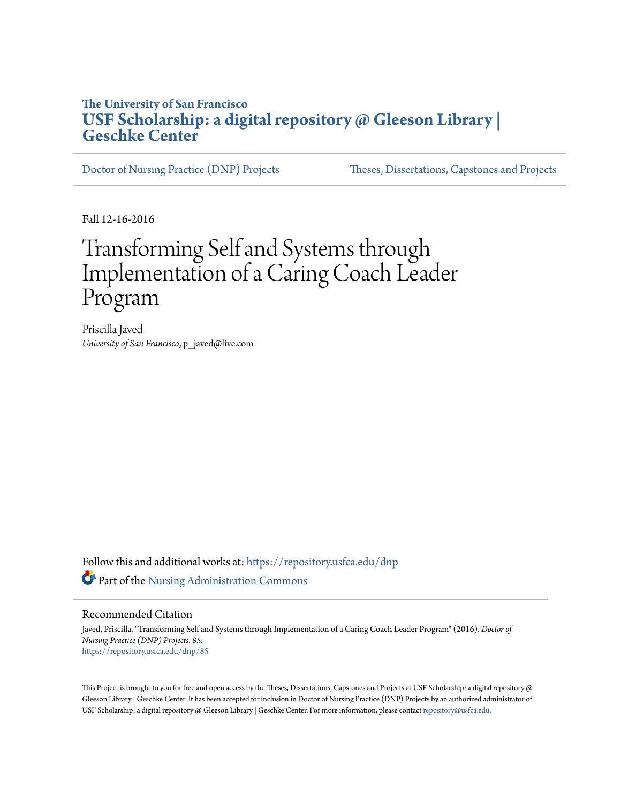### **The University of San Francisco [USF Scholarship: a digital repository @ Gleeson Library |](https://repository.usfca.edu?utm_source=repository.usfca.edu%2Fdnp%2F85&utm_medium=PDF&utm_campaign=PDFCoverPages) [Geschke Center](https://repository.usfca.edu?utm_source=repository.usfca.edu%2Fdnp%2F85&utm_medium=PDF&utm_campaign=PDFCoverPages)**

[Doctor of Nursing Practice \(DNP\) Projects](https://repository.usfca.edu/dnp?utm_source=repository.usfca.edu%2Fdnp%2F85&utm_medium=PDF&utm_campaign=PDFCoverPages) [Theses, Dissertations, Capstones and Projects](https://repository.usfca.edu/etd?utm_source=repository.usfca.edu%2Fdnp%2F85&utm_medium=PDF&utm_campaign=PDFCoverPages)

Fall 12-16-2016

# Transforming Self and Systems through Implementation of a Caring Coach Leader Program

Priscilla Javed *University of San Francisco*, p\_javed@live.com

Follow this and additional works at: [https://repository.usfca.edu/dnp](https://repository.usfca.edu/dnp?utm_source=repository.usfca.edu%2Fdnp%2F85&utm_medium=PDF&utm_campaign=PDFCoverPages) Part of the [Nursing Administration Commons](http://network.bepress.com/hgg/discipline/719?utm_source=repository.usfca.edu%2Fdnp%2F85&utm_medium=PDF&utm_campaign=PDFCoverPages)

#### Recommended Citation

Javed, Priscilla, "Transforming Self and Systems through Implementation of a Caring Coach Leader Program" (2016). *Doctor of Nursing Practice (DNP) Projects*. 85. [https://repository.usfca.edu/dnp/85](https://repository.usfca.edu/dnp/85?utm_source=repository.usfca.edu%2Fdnp%2F85&utm_medium=PDF&utm_campaign=PDFCoverPages)

This Project is brought to you for free and open access by the Theses, Dissertations, Capstones and Projects at USF Scholarship: a digital repository  $@$ Gleeson Library | Geschke Center. It has been accepted for inclusion in Doctor of Nursing Practice (DNP) Projects by an authorized administrator of USF Scholarship: a digital repository @ Gleeson Library | Geschke Center. For more information, please contact [repository@usfca.edu.](mailto:repository@usfca.edu)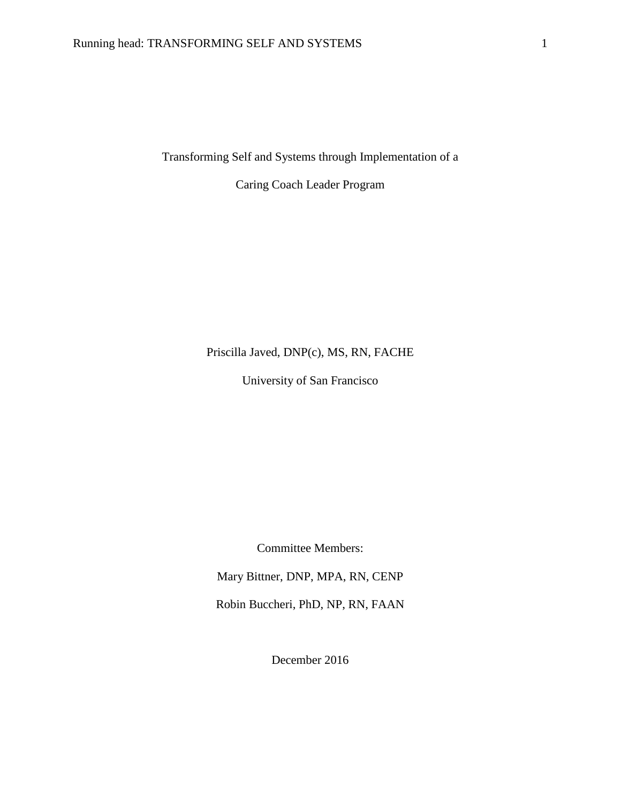Transforming Self and Systems through Implementation of a

Caring Coach Leader Program

### Priscilla Javed, DNP(c), MS, RN, FACHE

University of San Francisco

Committee Members:

Mary Bittner, DNP, MPA, RN, CENP

Robin Buccheri, PhD, NP, RN, FAAN

December 2016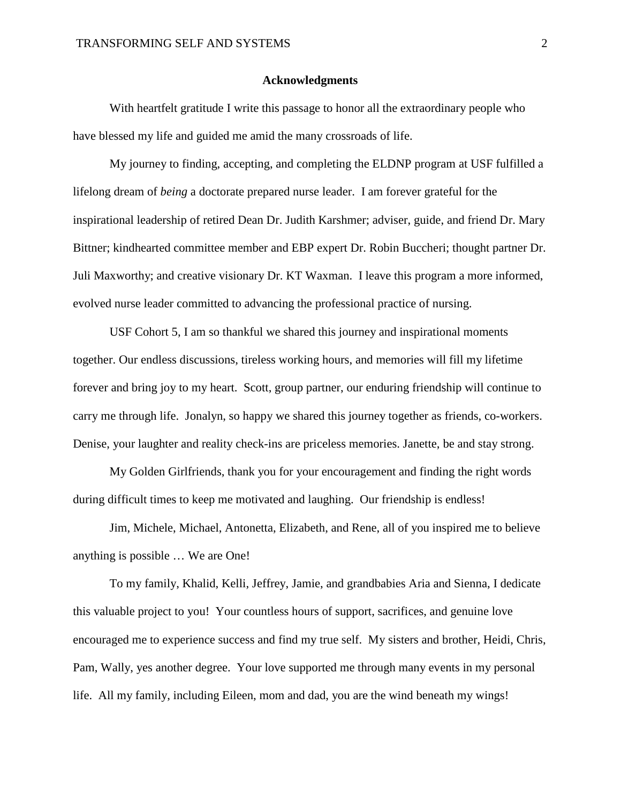#### **Acknowledgments**

With heartfelt gratitude I write this passage to honor all the extraordinary people who have blessed my life and guided me amid the many crossroads of life.

My journey to finding, accepting, and completing the ELDNP program at USF fulfilled a lifelong dream of *being* a doctorate prepared nurse leader. I am forever grateful for the inspirational leadership of retired Dean Dr. Judith Karshmer; adviser, guide, and friend Dr. Mary Bittner; kindhearted committee member and EBP expert Dr. Robin Buccheri; thought partner Dr. Juli Maxworthy; and creative visionary Dr. KT Waxman. I leave this program a more informed, evolved nurse leader committed to advancing the professional practice of nursing.

USF Cohort 5, I am so thankful we shared this journey and inspirational moments together. Our endless discussions, tireless working hours, and memories will fill my lifetime forever and bring joy to my heart. Scott, group partner, our enduring friendship will continue to carry me through life. Jonalyn, so happy we shared this journey together as friends, co-workers. Denise, your laughter and reality check-ins are priceless memories. Janette, be and stay strong.

My Golden Girlfriends, thank you for your encouragement and finding the right words during difficult times to keep me motivated and laughing. Our friendship is endless!

Jim, Michele, Michael, Antonetta, Elizabeth, and Rene, all of you inspired me to believe anything is possible … We are One!

To my family, Khalid, Kelli, Jeffrey, Jamie, and grandbabies Aria and Sienna, I dedicate this valuable project to you! Your countless hours of support, sacrifices, and genuine love encouraged me to experience success and find my true self. My sisters and brother, Heidi, Chris, Pam, Wally, yes another degree. Your love supported me through many events in my personal life. All my family, including Eileen, mom and dad, you are the wind beneath my wings!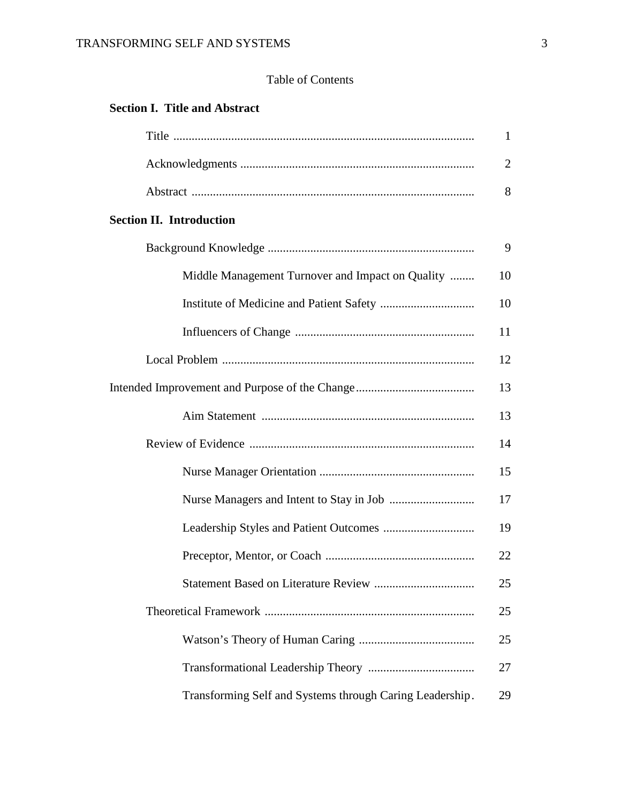### Table of Contents

### **Section I. Title and Abstract**

|                                                          | 1              |
|----------------------------------------------------------|----------------|
|                                                          | $\overline{2}$ |
|                                                          | 8              |
| <b>Section II. Introduction</b>                          |                |
|                                                          | 9              |
| Middle Management Turnover and Impact on Quality         | 10             |
|                                                          | 10             |
|                                                          | 11             |
|                                                          | 12             |
|                                                          | 13             |
|                                                          | 13             |
|                                                          | 14             |
|                                                          | 15             |
|                                                          | 17             |
|                                                          | 19             |
|                                                          | 22             |
|                                                          | 25             |
|                                                          | 25             |
|                                                          | 25             |
|                                                          | 27             |
| Transforming Self and Systems through Caring Leadership. | 29             |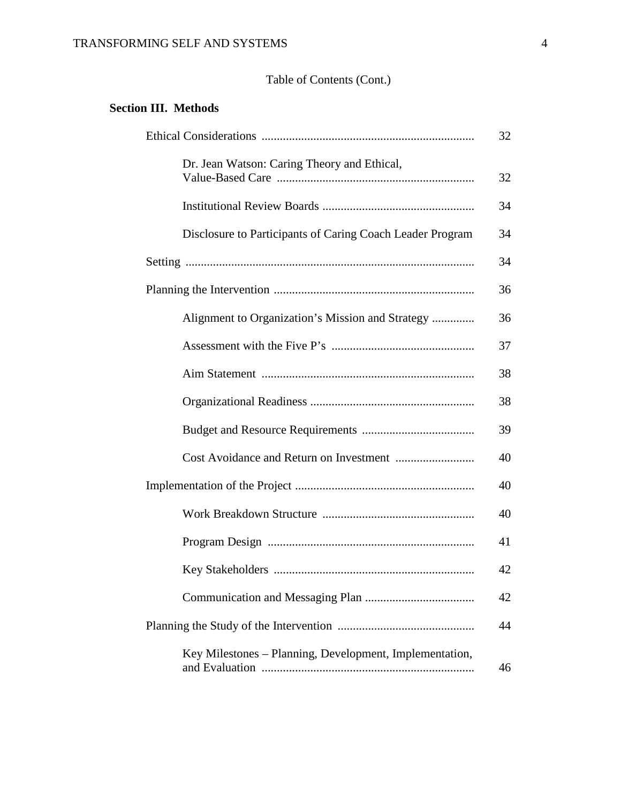### TRANSFORMING SELF AND SYSTEMS 4

### Table of Contents (Cont.)

### **Section III. Methods**

|                                                           | 32 |
|-----------------------------------------------------------|----|
| Dr. Jean Watson: Caring Theory and Ethical,               | 32 |
|                                                           | 34 |
| Disclosure to Participants of Caring Coach Leader Program | 34 |
|                                                           | 34 |
|                                                           | 36 |
| Alignment to Organization's Mission and Strategy          | 36 |
|                                                           | 37 |
|                                                           | 38 |
|                                                           | 38 |
|                                                           | 39 |
|                                                           | 40 |
|                                                           | 40 |
|                                                           | 40 |
|                                                           | 41 |
|                                                           | 42 |
|                                                           | 42 |
|                                                           | 44 |
| Key Milestones - Planning, Development, Implementation,   | 46 |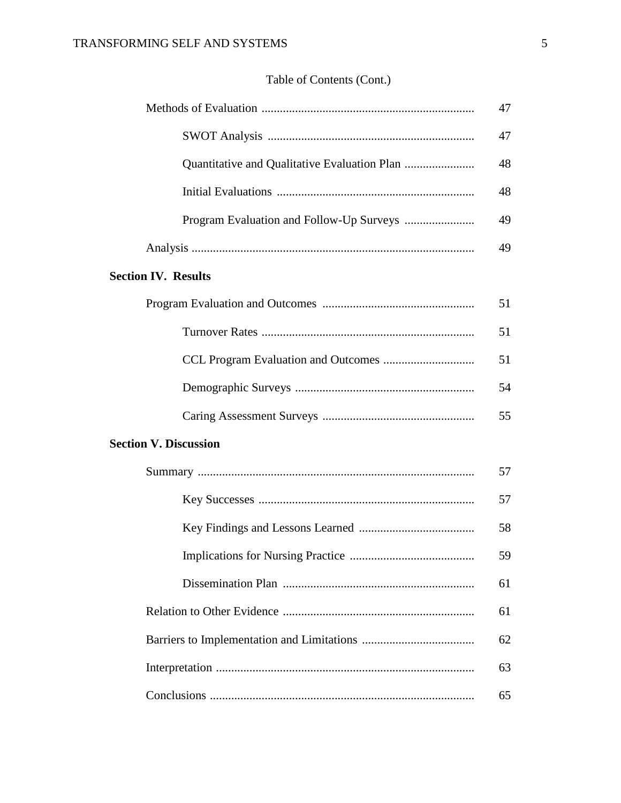# Table of Contents (Cont.)

|                                          | 47 |
|------------------------------------------|----|
|                                          | 47 |
|                                          | 48 |
|                                          | 48 |
| Program Evaluation and Follow-Up Surveys | 49 |
|                                          | 49 |
| <b>Section IV. Results</b>               |    |
|                                          | 51 |
|                                          | 51 |
|                                          | 51 |
|                                          | 54 |
|                                          | 55 |
| <b>Section V. Discussion</b>             |    |
|                                          | 57 |
|                                          | 57 |
|                                          | 58 |
|                                          | 59 |
|                                          | 61 |
|                                          | 61 |
|                                          | 62 |
|                                          | 63 |
|                                          | 65 |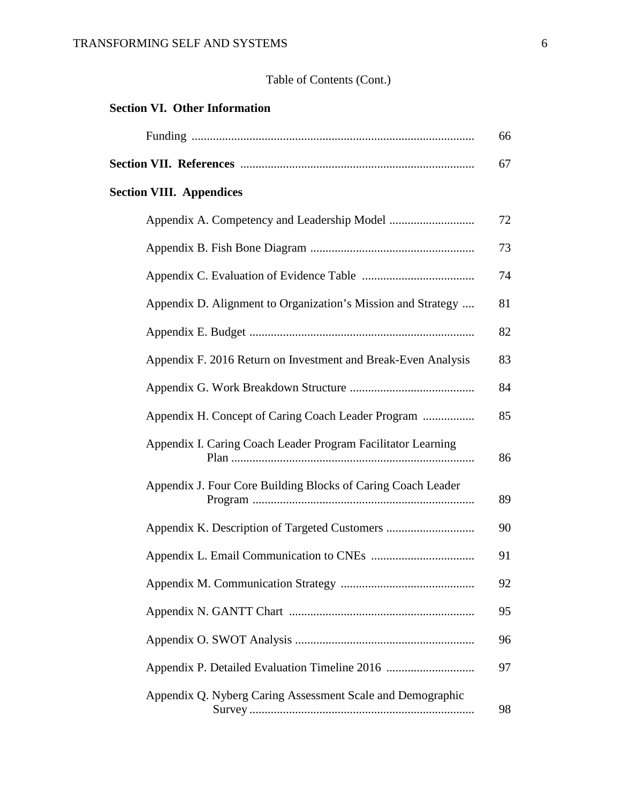# Table of Contents (Cont.)

| <b>Section VI. Other Information</b>                          |    |
|---------------------------------------------------------------|----|
|                                                               | 66 |
|                                                               | 67 |
| <b>Section VIII. Appendices</b>                               |    |
|                                                               | 72 |
|                                                               | 73 |
|                                                               | 74 |
| Appendix D. Alignment to Organization's Mission and Strategy  | 81 |
|                                                               | 82 |
| Appendix F. 2016 Return on Investment and Break-Even Analysis | 83 |
|                                                               | 84 |
| Appendix H. Concept of Caring Coach Leader Program            | 85 |
| Appendix I. Caring Coach Leader Program Facilitator Learning  | 86 |
| Appendix J. Four Core Building Blocks of Caring Coach Leader  | 89 |
|                                                               | 90 |
| Appendix L. Email Communication to CNEs                       | 91 |
|                                                               | 92 |
|                                                               | 95 |
|                                                               | 96 |
| Appendix P. Detailed Evaluation Timeline 2016                 | 97 |
| Appendix Q. Nyberg Caring Assessment Scale and Demographic    | 98 |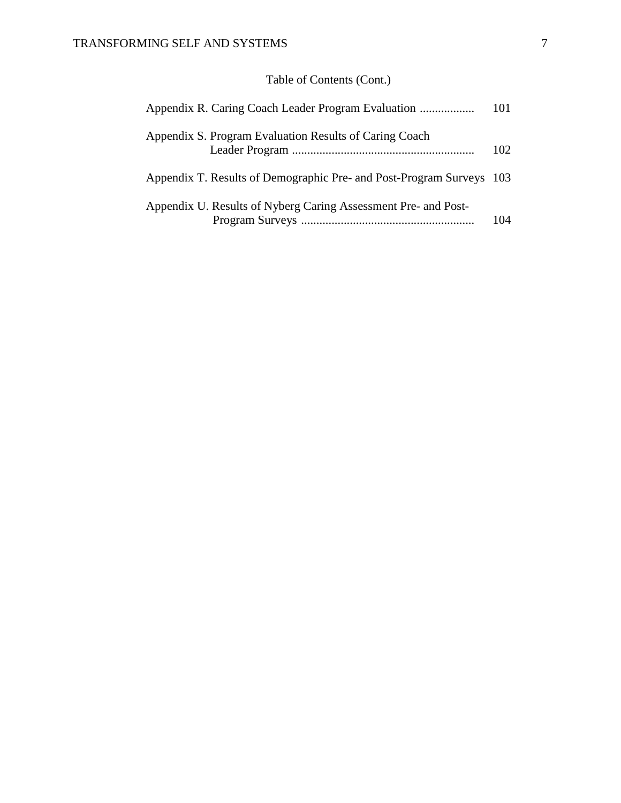# Table of Contents (Cont.)

| Appendix R. Caring Coach Leader Program Evaluation                   | 101  |
|----------------------------------------------------------------------|------|
| Appendix S. Program Evaluation Results of Caring Coach               | 102. |
| Appendix T. Results of Demographic Pre- and Post-Program Surveys 103 |      |
| Appendix U. Results of Nyberg Caring Assessment Pre- and Post-       | 104  |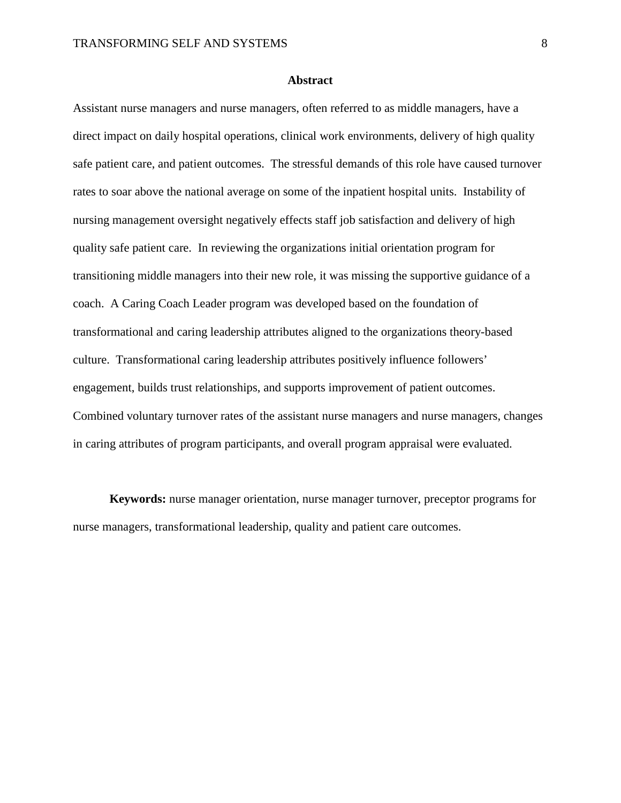#### **Abstract**

Assistant nurse managers and nurse managers, often referred to as middle managers, have a direct impact on daily hospital operations, clinical work environments, delivery of high quality safe patient care, and patient outcomes. The stressful demands of this role have caused turnover rates to soar above the national average on some of the inpatient hospital units. Instability of nursing management oversight negatively effects staff job satisfaction and delivery of high quality safe patient care. In reviewing the organizations initial orientation program for transitioning middle managers into their new role, it was missing the supportive guidance of a coach. A Caring Coach Leader program was developed based on the foundation of transformational and caring leadership attributes aligned to the organizations theory-based culture. Transformational caring leadership attributes positively influence followers' engagement, builds trust relationships, and supports improvement of patient outcomes. Combined voluntary turnover rates of the assistant nurse managers and nurse managers, changes in caring attributes of program participants, and overall program appraisal were evaluated.

**Keywords:** nurse manager orientation, nurse manager turnover, preceptor programs for nurse managers, transformational leadership, quality and patient care outcomes.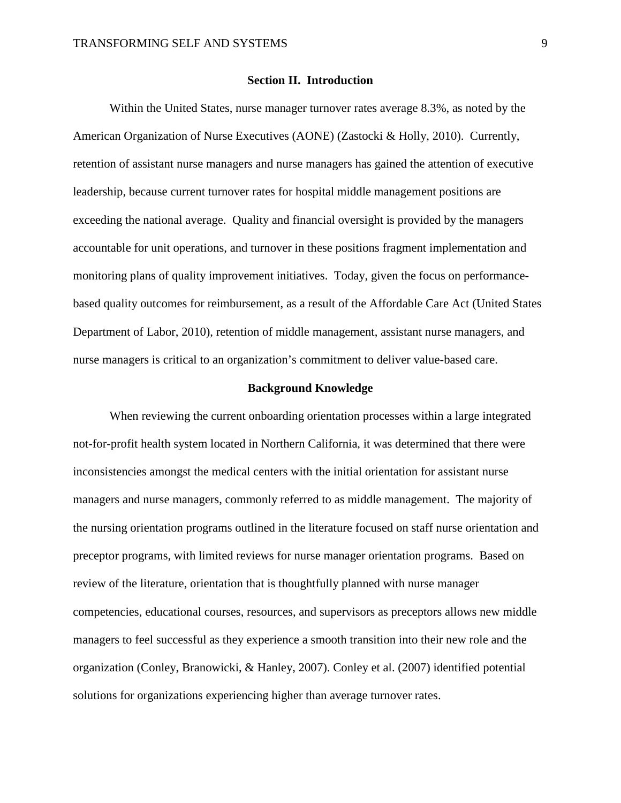#### **Section II. Introduction**

Within the United States, nurse manager turnover rates average 8.3%, as noted by the American Organization of Nurse Executives (AONE) (Zastocki & Holly, 2010). Currently, retention of assistant nurse managers and nurse managers has gained the attention of executive leadership, because current turnover rates for hospital middle management positions are exceeding the national average. Quality and financial oversight is provided by the managers accountable for unit operations, and turnover in these positions fragment implementation and monitoring plans of quality improvement initiatives. Today, given the focus on performancebased quality outcomes for reimbursement, as a result of the Affordable Care Act (United States Department of Labor, 2010), retention of middle management, assistant nurse managers, and nurse managers is critical to an organization's commitment to deliver value-based care.

#### **Background Knowledge**

When reviewing the current onboarding orientation processes within a large integrated not-for-profit health system located in Northern California, it was determined that there were inconsistencies amongst the medical centers with the initial orientation for assistant nurse managers and nurse managers, commonly referred to as middle management. The majority of the nursing orientation programs outlined in the literature focused on staff nurse orientation and preceptor programs, with limited reviews for nurse manager orientation programs. Based on review of the literature, orientation that is thoughtfully planned with nurse manager competencies, educational courses, resources, and supervisors as preceptors allows new middle managers to feel successful as they experience a smooth transition into their new role and the organization (Conley, Branowicki, & Hanley, 2007). Conley et al. (2007) identified potential solutions for organizations experiencing higher than average turnover rates.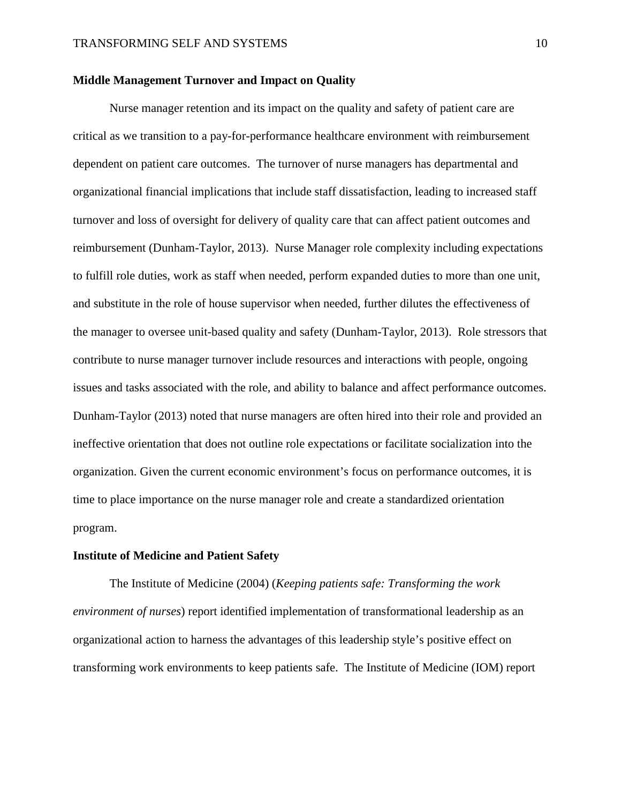#### **Middle Management Turnover and Impact on Quality**

Nurse manager retention and its impact on the quality and safety of patient care are critical as we transition to a pay-for-performance healthcare environment with reimbursement dependent on patient care outcomes. The turnover of nurse managers has departmental and organizational financial implications that include staff dissatisfaction, leading to increased staff turnover and loss of oversight for delivery of quality care that can affect patient outcomes and reimbursement (Dunham-Taylor, 2013). Nurse Manager role complexity including expectations to fulfill role duties, work as staff when needed, perform expanded duties to more than one unit, and substitute in the role of house supervisor when needed, further dilutes the effectiveness of the manager to oversee unit-based quality and safety (Dunham-Taylor, 2013). Role stressors that contribute to nurse manager turnover include resources and interactions with people, ongoing issues and tasks associated with the role, and ability to balance and affect performance outcomes. Dunham-Taylor (2013) noted that nurse managers are often hired into their role and provided an ineffective orientation that does not outline role expectations or facilitate socialization into the organization. Given the current economic environment's focus on performance outcomes, it is time to place importance on the nurse manager role and create a standardized orientation program.

#### **Institute of Medicine and Patient Safety**

The Institute of Medicine (2004) (*Keeping patients safe: Transforming the work environment of nurses*) report identified implementation of transformational leadership as an organizational action to harness the advantages of this leadership style's positive effect on transforming work environments to keep patients safe. The Institute of Medicine (IOM) report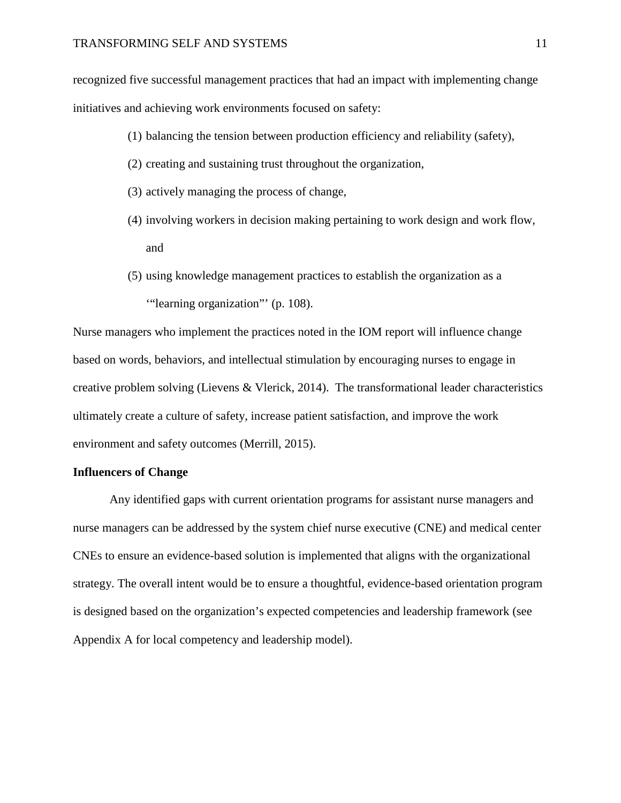recognized five successful management practices that had an impact with implementing change initiatives and achieving work environments focused on safety:

- (1) balancing the tension between production efficiency and reliability (safety),
- (2) creating and sustaining trust throughout the organization,
- (3) actively managing the process of change,
- (4) involving workers in decision making pertaining to work design and work flow, and
- (5) using knowledge management practices to establish the organization as a '"learning organization"' (p. 108).

Nurse managers who implement the practices noted in the IOM report will influence change based on words, behaviors, and intellectual stimulation by encouraging nurses to engage in creative problem solving (Lievens & Vlerick, 2014). The transformational leader characteristics ultimately create a culture of safety, increase patient satisfaction, and improve the work environment and safety outcomes (Merrill, 2015).

#### **Influencers of Change**

Any identified gaps with current orientation programs for assistant nurse managers and nurse managers can be addressed by the system chief nurse executive (CNE) and medical center CNEs to ensure an evidence-based solution is implemented that aligns with the organizational strategy. The overall intent would be to ensure a thoughtful, evidence-based orientation program is designed based on the organization's expected competencies and leadership framework (see Appendix A for local competency and leadership model).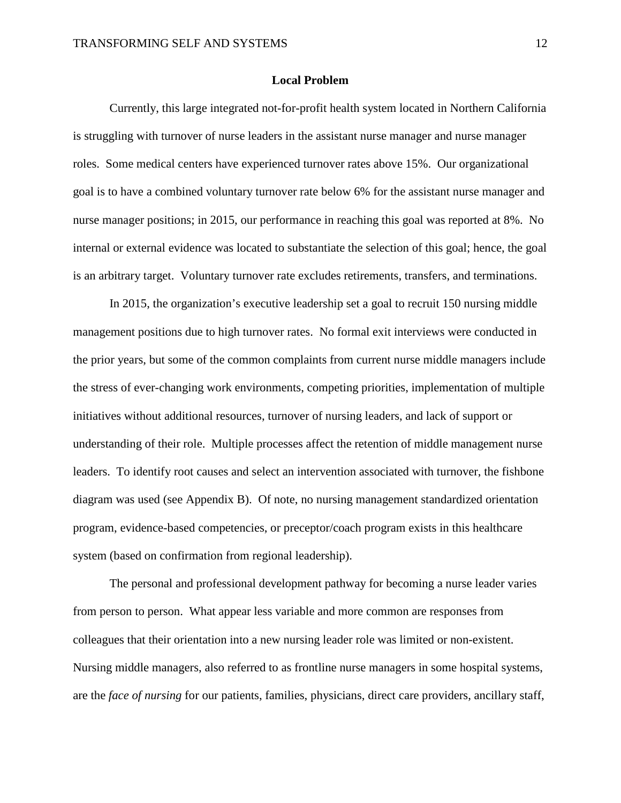#### **Local Problem**

Currently, this large integrated not-for-profit health system located in Northern California is struggling with turnover of nurse leaders in the assistant nurse manager and nurse manager roles. Some medical centers have experienced turnover rates above 15%. Our organizational goal is to have a combined voluntary turnover rate below 6% for the assistant nurse manager and nurse manager positions; in 2015, our performance in reaching this goal was reported at 8%. No internal or external evidence was located to substantiate the selection of this goal; hence, the goal is an arbitrary target. Voluntary turnover rate excludes retirements, transfers, and terminations.

In 2015, the organization's executive leadership set a goal to recruit 150 nursing middle management positions due to high turnover rates. No formal exit interviews were conducted in the prior years, but some of the common complaints from current nurse middle managers include the stress of ever-changing work environments, competing priorities, implementation of multiple initiatives without additional resources, turnover of nursing leaders, and lack of support or understanding of their role. Multiple processes affect the retention of middle management nurse leaders. To identify root causes and select an intervention associated with turnover, the fishbone diagram was used (see Appendix B). Of note, no nursing management standardized orientation program, evidence-based competencies, or preceptor/coach program exists in this healthcare system (based on confirmation from regional leadership).

The personal and professional development pathway for becoming a nurse leader varies from person to person. What appear less variable and more common are responses from colleagues that their orientation into a new nursing leader role was limited or non-existent. Nursing middle managers, also referred to as frontline nurse managers in some hospital systems, are the *face of nursing* for our patients, families, physicians, direct care providers, ancillary staff,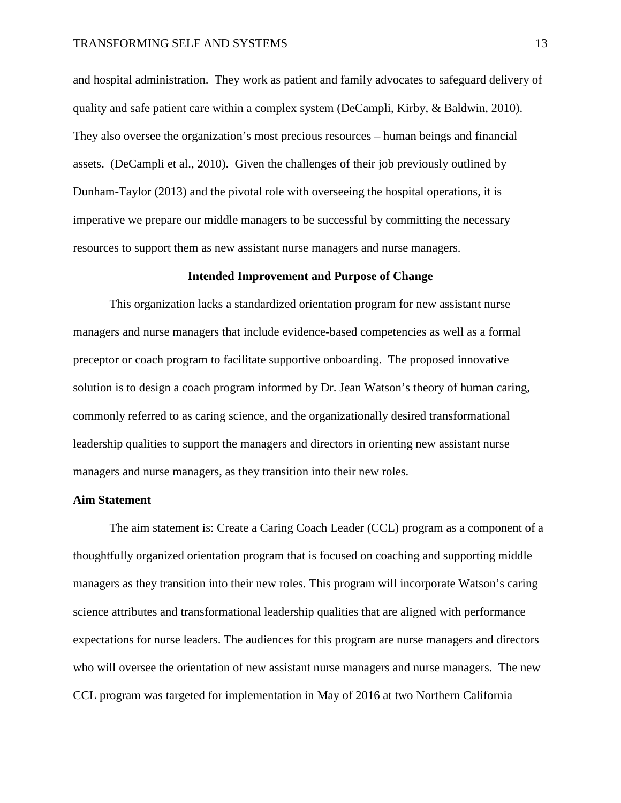and hospital administration. They work as patient and family advocates to safeguard delivery of quality and safe patient care within a complex system (DeCampli, Kirby, & Baldwin, 2010). They also oversee the organization's most precious resources – human beings and financial assets. (DeCampli et al., 2010). Given the challenges of their job previously outlined by Dunham-Taylor (2013) and the pivotal role with overseeing the hospital operations, it is imperative we prepare our middle managers to be successful by committing the necessary resources to support them as new assistant nurse managers and nurse managers.

#### **Intended Improvement and Purpose of Change**

This organization lacks a standardized orientation program for new assistant nurse managers and nurse managers that include evidence-based competencies as well as a formal preceptor or coach program to facilitate supportive onboarding. The proposed innovative solution is to design a coach program informed by Dr. Jean Watson's theory of human caring, commonly referred to as caring science, and the organizationally desired transformational leadership qualities to support the managers and directors in orienting new assistant nurse managers and nurse managers, as they transition into their new roles.

#### **Aim Statement**

The aim statement is: Create a Caring Coach Leader (CCL) program as a component of a thoughtfully organized orientation program that is focused on coaching and supporting middle managers as they transition into their new roles. This program will incorporate Watson's caring science attributes and transformational leadership qualities that are aligned with performance expectations for nurse leaders. The audiences for this program are nurse managers and directors who will oversee the orientation of new assistant nurse managers and nurse managers. The new CCL program was targeted for implementation in May of 2016 at two Northern California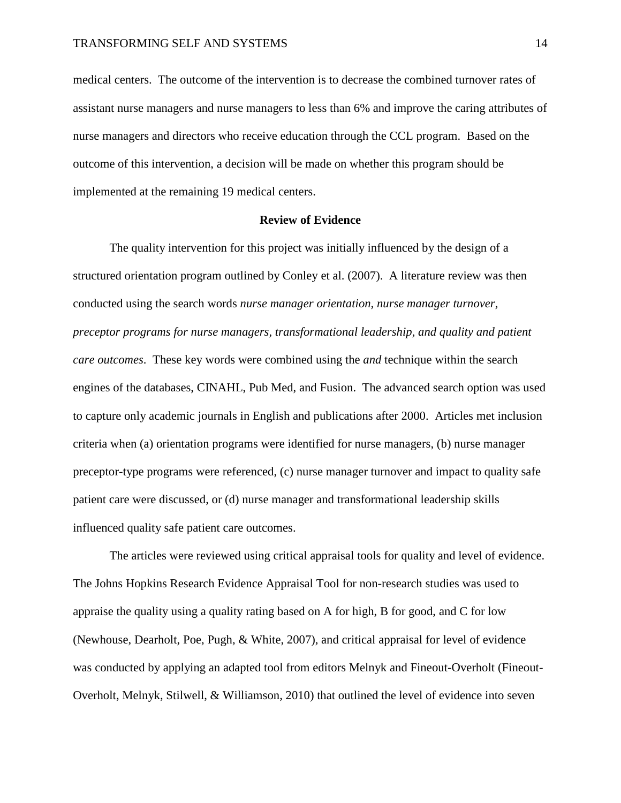medical centers. The outcome of the intervention is to decrease the combined turnover rates of assistant nurse managers and nurse managers to less than 6% and improve the caring attributes of nurse managers and directors who receive education through the CCL program. Based on the outcome of this intervention, a decision will be made on whether this program should be implemented at the remaining 19 medical centers.

#### **Review of Evidence**

The quality intervention for this project was initially influenced by the design of a structured orientation program outlined by Conley et al. (2007). A literature review was then conducted using the search words *nurse manager orientation, nurse manager turnover, preceptor programs for nurse managers, transformational leadership, and quality and patient care outcomes*. These key words were combined using the *and* technique within the search engines of the databases, CINAHL, Pub Med, and Fusion. The advanced search option was used to capture only academic journals in English and publications after 2000. Articles met inclusion criteria when (a) orientation programs were identified for nurse managers, (b) nurse manager preceptor-type programs were referenced, (c) nurse manager turnover and impact to quality safe patient care were discussed, or (d) nurse manager and transformational leadership skills influenced quality safe patient care outcomes.

The articles were reviewed using critical appraisal tools for quality and level of evidence. The Johns Hopkins Research Evidence Appraisal Tool for non-research studies was used to appraise the quality using a quality rating based on A for high, B for good, and C for low (Newhouse, Dearholt, Poe, Pugh, & White, 2007), and critical appraisal for level of evidence was conducted by applying an adapted tool from editors Melnyk and Fineout-Overholt (Fineout-Overholt, Melnyk, Stilwell, & Williamson, 2010) that outlined the level of evidence into seven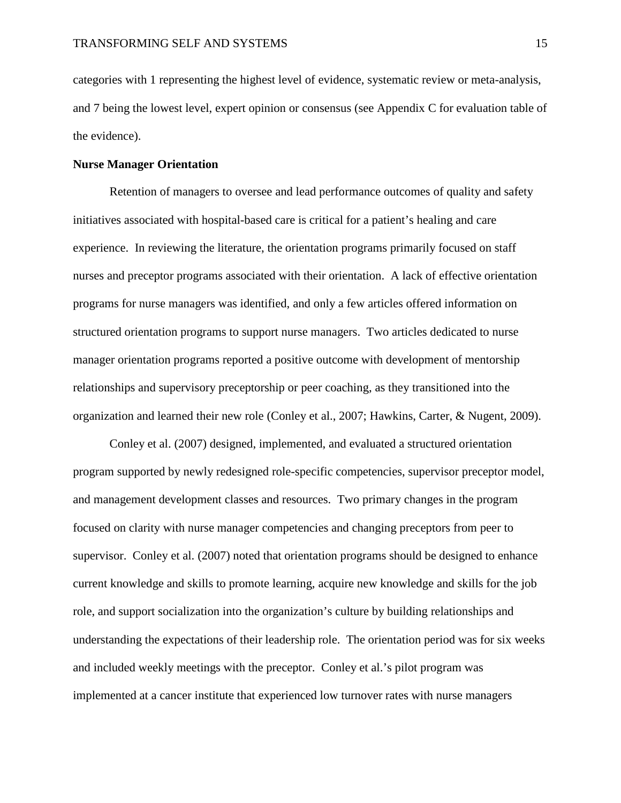categories with 1 representing the highest level of evidence, systematic review or meta-analysis, and 7 being the lowest level, expert opinion or consensus (see Appendix C for evaluation table of the evidence).

#### **Nurse Manager Orientation**

Retention of managers to oversee and lead performance outcomes of quality and safety initiatives associated with hospital-based care is critical for a patient's healing and care experience. In reviewing the literature, the orientation programs primarily focused on staff nurses and preceptor programs associated with their orientation. A lack of effective orientation programs for nurse managers was identified, and only a few articles offered information on structured orientation programs to support nurse managers. Two articles dedicated to nurse manager orientation programs reported a positive outcome with development of mentorship relationships and supervisory preceptorship or peer coaching, as they transitioned into the organization and learned their new role (Conley et al., 2007; Hawkins, Carter, & Nugent, 2009).

Conley et al. (2007) designed, implemented, and evaluated a structured orientation program supported by newly redesigned role-specific competencies, supervisor preceptor model, and management development classes and resources. Two primary changes in the program focused on clarity with nurse manager competencies and changing preceptors from peer to supervisor. Conley et al. (2007) noted that orientation programs should be designed to enhance current knowledge and skills to promote learning, acquire new knowledge and skills for the job role, and support socialization into the organization's culture by building relationships and understanding the expectations of their leadership role. The orientation period was for six weeks and included weekly meetings with the preceptor. Conley et al.'s pilot program was implemented at a cancer institute that experienced low turnover rates with nurse managers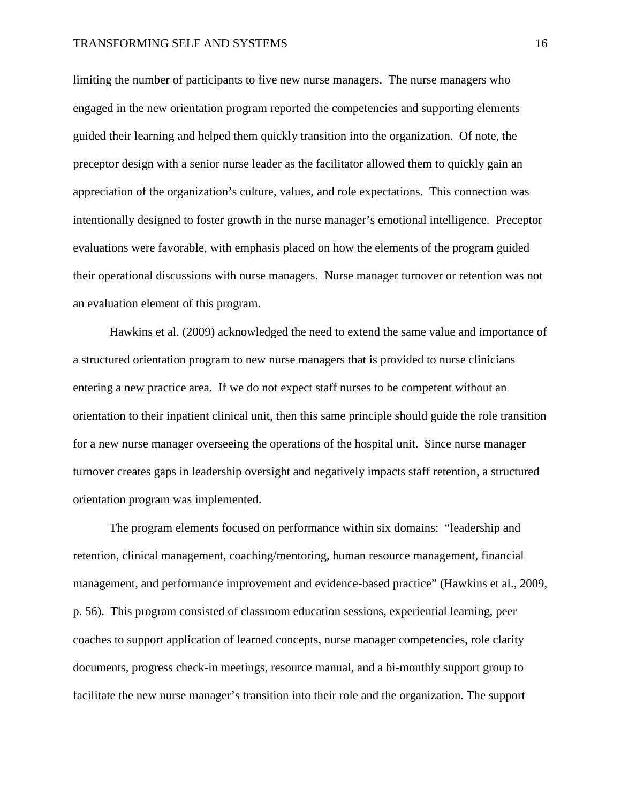limiting the number of participants to five new nurse managers. The nurse managers who engaged in the new orientation program reported the competencies and supporting elements guided their learning and helped them quickly transition into the organization. Of note, the preceptor design with a senior nurse leader as the facilitator allowed them to quickly gain an appreciation of the organization's culture, values, and role expectations. This connection was intentionally designed to foster growth in the nurse manager's emotional intelligence. Preceptor evaluations were favorable, with emphasis placed on how the elements of the program guided their operational discussions with nurse managers. Nurse manager turnover or retention was not an evaluation element of this program.

Hawkins et al. (2009) acknowledged the need to extend the same value and importance of a structured orientation program to new nurse managers that is provided to nurse clinicians entering a new practice area. If we do not expect staff nurses to be competent without an orientation to their inpatient clinical unit, then this same principle should guide the role transition for a new nurse manager overseeing the operations of the hospital unit. Since nurse manager turnover creates gaps in leadership oversight and negatively impacts staff retention, a structured orientation program was implemented.

The program elements focused on performance within six domains: "leadership and retention, clinical management, coaching/mentoring, human resource management, financial management, and performance improvement and evidence-based practice" (Hawkins et al., 2009, p. 56). This program consisted of classroom education sessions, experiential learning, peer coaches to support application of learned concepts, nurse manager competencies, role clarity documents, progress check-in meetings, resource manual, and a bi-monthly support group to facilitate the new nurse manager's transition into their role and the organization. The support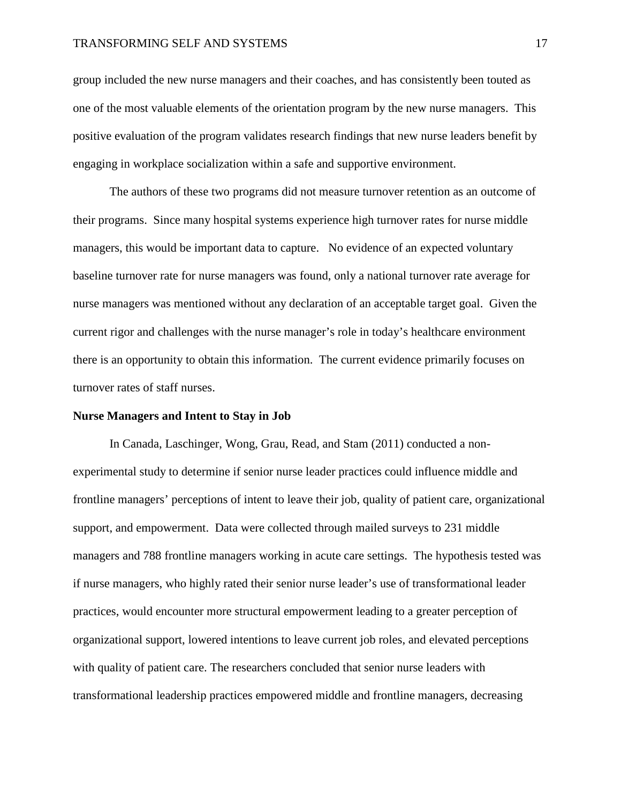#### TRANSFORMING SELF AND SYSTEMS 17

group included the new nurse managers and their coaches, and has consistently been touted as one of the most valuable elements of the orientation program by the new nurse managers. This positive evaluation of the program validates research findings that new nurse leaders benefit by engaging in workplace socialization within a safe and supportive environment.

The authors of these two programs did not measure turnover retention as an outcome of their programs. Since many hospital systems experience high turnover rates for nurse middle managers, this would be important data to capture. No evidence of an expected voluntary baseline turnover rate for nurse managers was found, only a national turnover rate average for nurse managers was mentioned without any declaration of an acceptable target goal. Given the current rigor and challenges with the nurse manager's role in today's healthcare environment there is an opportunity to obtain this information. The current evidence primarily focuses on turnover rates of staff nurses.

#### **Nurse Managers and Intent to Stay in Job**

In Canada, Laschinger, Wong, Grau, Read, and Stam (2011) conducted a nonexperimental study to determine if senior nurse leader practices could influence middle and frontline managers' perceptions of intent to leave their job, quality of patient care, organizational support, and empowerment. Data were collected through mailed surveys to 231 middle managers and 788 frontline managers working in acute care settings. The hypothesis tested was if nurse managers, who highly rated their senior nurse leader's use of transformational leader practices, would encounter more structural empowerment leading to a greater perception of organizational support, lowered intentions to leave current job roles, and elevated perceptions with quality of patient care. The researchers concluded that senior nurse leaders with transformational leadership practices empowered middle and frontline managers, decreasing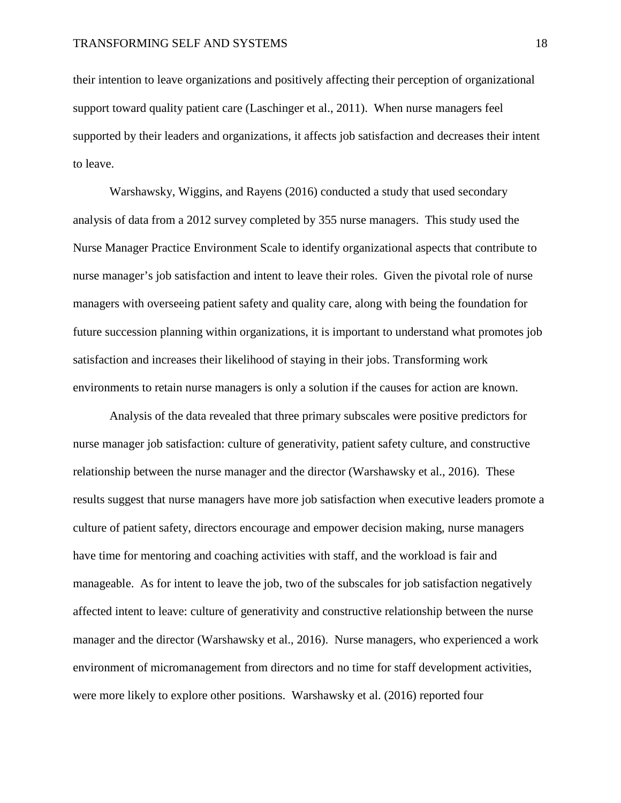their intention to leave organizations and positively affecting their perception of organizational support toward quality patient care (Laschinger et al., 2011). When nurse managers feel supported by their leaders and organizations, it affects job satisfaction and decreases their intent to leave.

Warshawsky, Wiggins, and Rayens (2016) conducted a study that used secondary analysis of data from a 2012 survey completed by 355 nurse managers. This study used the Nurse Manager Practice Environment Scale to identify organizational aspects that contribute to nurse manager's job satisfaction and intent to leave their roles. Given the pivotal role of nurse managers with overseeing patient safety and quality care, along with being the foundation for future succession planning within organizations, it is important to understand what promotes job satisfaction and increases their likelihood of staying in their jobs. Transforming work environments to retain nurse managers is only a solution if the causes for action are known.

Analysis of the data revealed that three primary subscales were positive predictors for nurse manager job satisfaction: culture of generativity, patient safety culture, and constructive relationship between the nurse manager and the director (Warshawsky et al., 2016). These results suggest that nurse managers have more job satisfaction when executive leaders promote a culture of patient safety, directors encourage and empower decision making, nurse managers have time for mentoring and coaching activities with staff, and the workload is fair and manageable. As for intent to leave the job, two of the subscales for job satisfaction negatively affected intent to leave: culture of generativity and constructive relationship between the nurse manager and the director (Warshawsky et al., 2016). Nurse managers, who experienced a work environment of micromanagement from directors and no time for staff development activities, were more likely to explore other positions. Warshawsky et al. (2016) reported four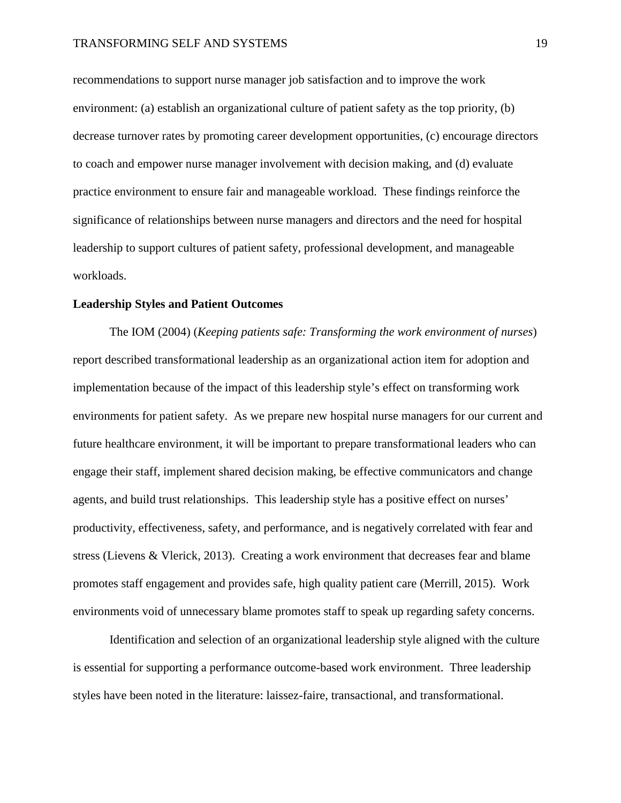recommendations to support nurse manager job satisfaction and to improve the work environment: (a) establish an organizational culture of patient safety as the top priority, (b) decrease turnover rates by promoting career development opportunities, (c) encourage directors to coach and empower nurse manager involvement with decision making, and (d) evaluate practice environment to ensure fair and manageable workload. These findings reinforce the significance of relationships between nurse managers and directors and the need for hospital leadership to support cultures of patient safety, professional development, and manageable workloads.

#### **Leadership Styles and Patient Outcomes**

The IOM (2004) (*Keeping patients safe: Transforming the work environment of nurses*) report described transformational leadership as an organizational action item for adoption and implementation because of the impact of this leadership style's effect on transforming work environments for patient safety. As we prepare new hospital nurse managers for our current and future healthcare environment, it will be important to prepare transformational leaders who can engage their staff, implement shared decision making, be effective communicators and change agents, and build trust relationships. This leadership style has a positive effect on nurses' productivity, effectiveness, safety, and performance, and is negatively correlated with fear and stress (Lievens & Vlerick, 2013). Creating a work environment that decreases fear and blame promotes staff engagement and provides safe, high quality patient care (Merrill, 2015). Work environments void of unnecessary blame promotes staff to speak up regarding safety concerns.

Identification and selection of an organizational leadership style aligned with the culture is essential for supporting a performance outcome-based work environment. Three leadership styles have been noted in the literature: laissez-faire, transactional, and transformational.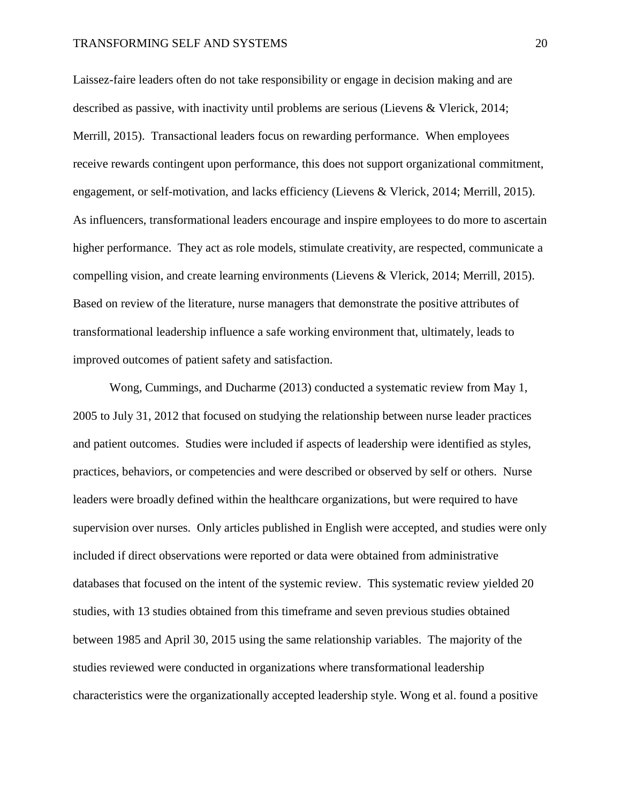#### TRANSFORMING SELF AND SYSTEMS 20

Laissez-faire leaders often do not take responsibility or engage in decision making and are described as passive, with inactivity until problems are serious (Lievens & Vlerick, 2014; Merrill, 2015). Transactional leaders focus on rewarding performance. When employees receive rewards contingent upon performance, this does not support organizational commitment, engagement, or self-motivation, and lacks efficiency (Lievens & Vlerick, 2014; Merrill, 2015). As influencers, transformational leaders encourage and inspire employees to do more to ascertain higher performance. They act as role models, stimulate creativity, are respected, communicate a compelling vision, and create learning environments (Lievens & Vlerick, 2014; Merrill, 2015). Based on review of the literature, nurse managers that demonstrate the positive attributes of transformational leadership influence a safe working environment that, ultimately, leads to improved outcomes of patient safety and satisfaction.

Wong, Cummings, and Ducharme (2013) conducted a systematic review from May 1, 2005 to July 31, 2012 that focused on studying the relationship between nurse leader practices and patient outcomes. Studies were included if aspects of leadership were identified as styles, practices, behaviors, or competencies and were described or observed by self or others. Nurse leaders were broadly defined within the healthcare organizations, but were required to have supervision over nurses. Only articles published in English were accepted, and studies were only included if direct observations were reported or data were obtained from administrative databases that focused on the intent of the systemic review. This systematic review yielded 20 studies, with 13 studies obtained from this timeframe and seven previous studies obtained between 1985 and April 30, 2015 using the same relationship variables. The majority of the studies reviewed were conducted in organizations where transformational leadership characteristics were the organizationally accepted leadership style. Wong et al. found a positive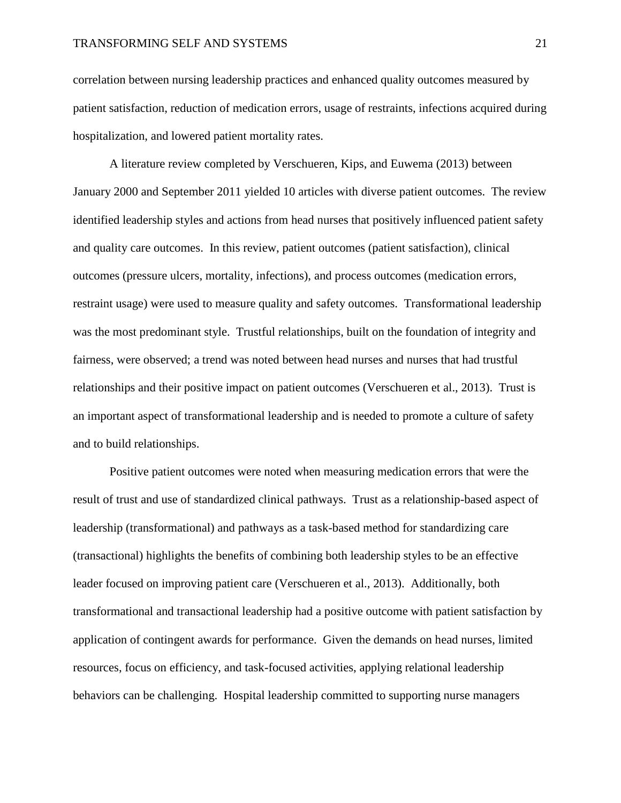correlation between nursing leadership practices and enhanced quality outcomes measured by patient satisfaction, reduction of medication errors, usage of restraints, infections acquired during hospitalization, and lowered patient mortality rates.

A literature review completed by Verschueren, Kips, and Euwema (2013) between January 2000 and September 2011 yielded 10 articles with diverse patient outcomes. The review identified leadership styles and actions from head nurses that positively influenced patient safety and quality care outcomes. In this review, patient outcomes (patient satisfaction), clinical outcomes (pressure ulcers, mortality, infections), and process outcomes (medication errors, restraint usage) were used to measure quality and safety outcomes. Transformational leadership was the most predominant style. Trustful relationships, built on the foundation of integrity and fairness, were observed; a trend was noted between head nurses and nurses that had trustful relationships and their positive impact on patient outcomes (Verschueren et al., 2013). Trust is an important aspect of transformational leadership and is needed to promote a culture of safety and to build relationships.

Positive patient outcomes were noted when measuring medication errors that were the result of trust and use of standardized clinical pathways. Trust as a relationship-based aspect of leadership (transformational) and pathways as a task-based method for standardizing care (transactional) highlights the benefits of combining both leadership styles to be an effective leader focused on improving patient care (Verschueren et al., 2013). Additionally, both transformational and transactional leadership had a positive outcome with patient satisfaction by application of contingent awards for performance. Given the demands on head nurses, limited resources, focus on efficiency, and task-focused activities, applying relational leadership behaviors can be challenging. Hospital leadership committed to supporting nurse managers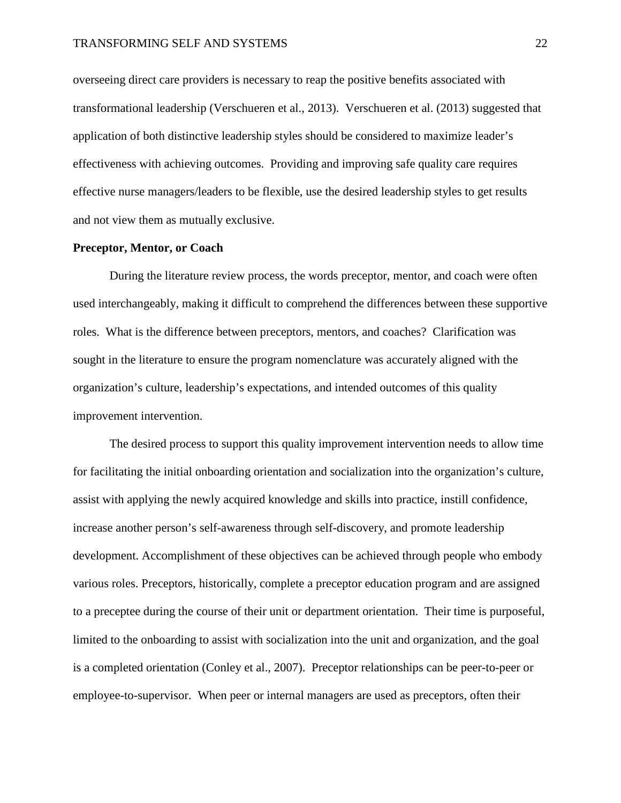overseeing direct care providers is necessary to reap the positive benefits associated with transformational leadership (Verschueren et al., 2013). Verschueren et al. (2013) suggested that application of both distinctive leadership styles should be considered to maximize leader's effectiveness with achieving outcomes. Providing and improving safe quality care requires effective nurse managers/leaders to be flexible, use the desired leadership styles to get results and not view them as mutually exclusive.

#### **Preceptor, Mentor, or Coach**

During the literature review process, the words preceptor, mentor, and coach were often used interchangeably, making it difficult to comprehend the differences between these supportive roles. What is the difference between preceptors, mentors, and coaches? Clarification was sought in the literature to ensure the program nomenclature was accurately aligned with the organization's culture, leadership's expectations, and intended outcomes of this quality improvement intervention.

The desired process to support this quality improvement intervention needs to allow time for facilitating the initial onboarding orientation and socialization into the organization's culture, assist with applying the newly acquired knowledge and skills into practice, instill confidence, increase another person's self-awareness through self-discovery, and promote leadership development. Accomplishment of these objectives can be achieved through people who embody various roles. Preceptors, historically, complete a preceptor education program and are assigned to a preceptee during the course of their unit or department orientation. Their time is purposeful, limited to the onboarding to assist with socialization into the unit and organization, and the goal is a completed orientation (Conley et al., 2007). Preceptor relationships can be peer-to-peer or employee-to-supervisor. When peer or internal managers are used as preceptors, often their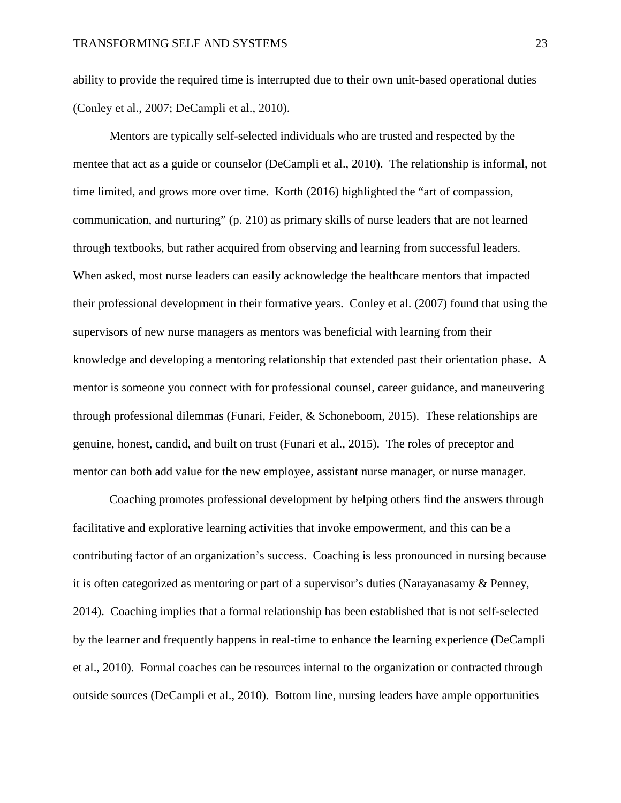ability to provide the required time is interrupted due to their own unit-based operational duties (Conley et al., 2007; DeCampli et al., 2010).

Mentors are typically self-selected individuals who are trusted and respected by the mentee that act as a guide or counselor (DeCampli et al., 2010). The relationship is informal, not time limited, and grows more over time. Korth (2016) highlighted the "art of compassion, communication, and nurturing" (p. 210) as primary skills of nurse leaders that are not learned through textbooks, but rather acquired from observing and learning from successful leaders. When asked, most nurse leaders can easily acknowledge the healthcare mentors that impacted their professional development in their formative years. Conley et al. (2007) found that using the supervisors of new nurse managers as mentors was beneficial with learning from their knowledge and developing a mentoring relationship that extended past their orientation phase. A mentor is someone you connect with for professional counsel, career guidance, and maneuvering through professional dilemmas (Funari, Feider, & Schoneboom, 2015). These relationships are genuine, honest, candid, and built on trust (Funari et al., 2015). The roles of preceptor and mentor can both add value for the new employee, assistant nurse manager, or nurse manager.

Coaching promotes professional development by helping others find the answers through facilitative and explorative learning activities that invoke empowerment, and this can be a contributing factor of an organization's success. Coaching is less pronounced in nursing because it is often categorized as mentoring or part of a supervisor's duties (Narayanasamy & Penney, 2014). Coaching implies that a formal relationship has been established that is not self-selected by the learner and frequently happens in real-time to enhance the learning experience (DeCampli et al., 2010). Formal coaches can be resources internal to the organization or contracted through outside sources (DeCampli et al., 2010). Bottom line, nursing leaders have ample opportunities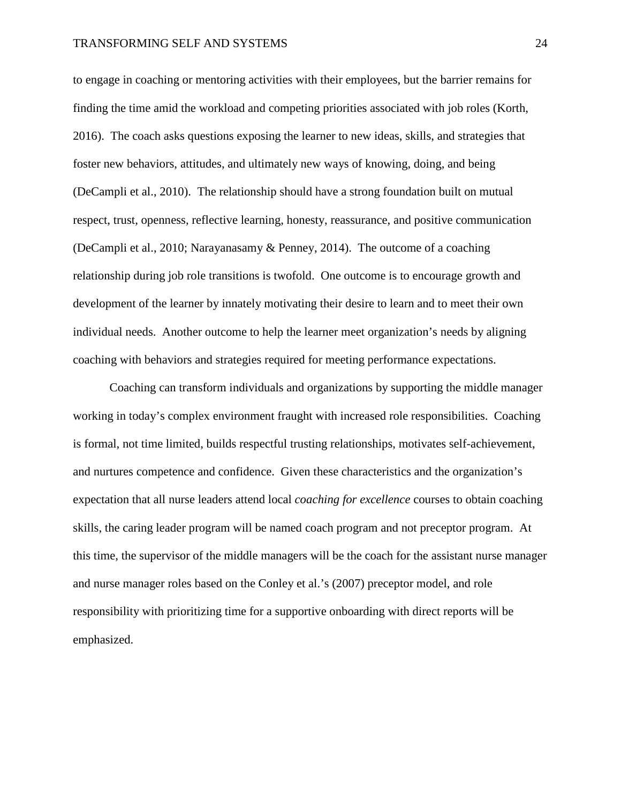to engage in coaching or mentoring activities with their employees, but the barrier remains for finding the time amid the workload and competing priorities associated with job roles (Korth, 2016). The coach asks questions exposing the learner to new ideas, skills, and strategies that foster new behaviors, attitudes, and ultimately new ways of knowing, doing, and being (DeCampli et al., 2010). The relationship should have a strong foundation built on mutual respect, trust, openness, reflective learning, honesty, reassurance, and positive communication (DeCampli et al., 2010; Narayanasamy & Penney, 2014). The outcome of a coaching relationship during job role transitions is twofold. One outcome is to encourage growth and development of the learner by innately motivating their desire to learn and to meet their own individual needs. Another outcome to help the learner meet organization's needs by aligning coaching with behaviors and strategies required for meeting performance expectations.

Coaching can transform individuals and organizations by supporting the middle manager working in today's complex environment fraught with increased role responsibilities. Coaching is formal, not time limited, builds respectful trusting relationships, motivates self-achievement, and nurtures competence and confidence. Given these characteristics and the organization's expectation that all nurse leaders attend local *coaching for excellence* courses to obtain coaching skills, the caring leader program will be named coach program and not preceptor program. At this time, the supervisor of the middle managers will be the coach for the assistant nurse manager and nurse manager roles based on the Conley et al.'s (2007) preceptor model, and role responsibility with prioritizing time for a supportive onboarding with direct reports will be emphasized.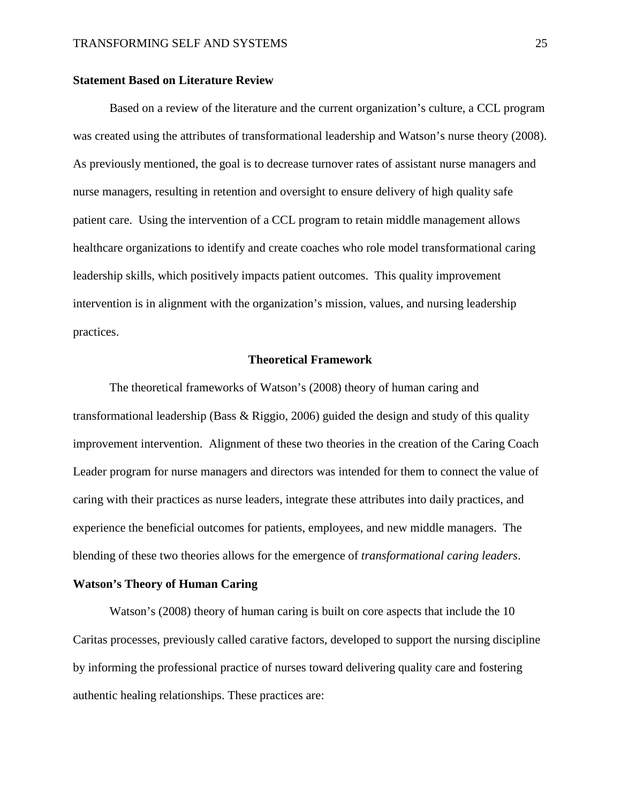#### **Statement Based on Literature Review**

Based on a review of the literature and the current organization's culture, a CCL program was created using the attributes of transformational leadership and Watson's nurse theory (2008). As previously mentioned, the goal is to decrease turnover rates of assistant nurse managers and nurse managers, resulting in retention and oversight to ensure delivery of high quality safe patient care. Using the intervention of a CCL program to retain middle management allows healthcare organizations to identify and create coaches who role model transformational caring leadership skills, which positively impacts patient outcomes. This quality improvement intervention is in alignment with the organization's mission, values, and nursing leadership practices.

#### **Theoretical Framework**

The theoretical frameworks of Watson's (2008) theory of human caring and transformational leadership (Bass & Riggio, 2006) guided the design and study of this quality improvement intervention. Alignment of these two theories in the creation of the Caring Coach Leader program for nurse managers and directors was intended for them to connect the value of caring with their practices as nurse leaders, integrate these attributes into daily practices, and experience the beneficial outcomes for patients, employees, and new middle managers. The blending of these two theories allows for the emergence of *transformational caring leaders*.

#### **Watson's Theory of Human Caring**

Watson's (2008) theory of human caring is built on core aspects that include the 10 Caritas processes, previously called carative factors, developed to support the nursing discipline by informing the professional practice of nurses toward delivering quality care and fostering authentic healing relationships. These practices are: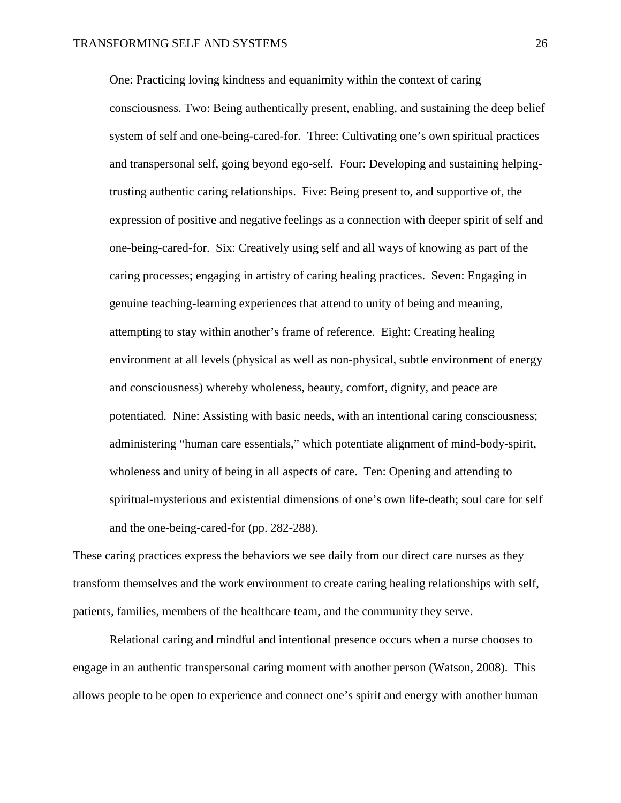One: Practicing loving kindness and equanimity within the context of caring consciousness. Two: Being authentically present, enabling, and sustaining the deep belief system of self and one-being-cared-for. Three: Cultivating one's own spiritual practices and transpersonal self, going beyond ego-self. Four: Developing and sustaining helpingtrusting authentic caring relationships. Five: Being present to, and supportive of, the expression of positive and negative feelings as a connection with deeper spirit of self and one-being-cared-for. Six: Creatively using self and all ways of knowing as part of the caring processes; engaging in artistry of caring healing practices. Seven: Engaging in genuine teaching-learning experiences that attend to unity of being and meaning, attempting to stay within another's frame of reference. Eight: Creating healing environment at all levels (physical as well as non-physical, subtle environment of energy and consciousness) whereby wholeness, beauty, comfort, dignity, and peace are potentiated. Nine: Assisting with basic needs, with an intentional caring consciousness; administering "human care essentials," which potentiate alignment of mind-body-spirit, wholeness and unity of being in all aspects of care. Ten: Opening and attending to spiritual-mysterious and existential dimensions of one's own life-death; soul care for self and the one-being-cared-for (pp. 282-288).

These caring practices express the behaviors we see daily from our direct care nurses as they transform themselves and the work environment to create caring healing relationships with self, patients, families, members of the healthcare team, and the community they serve.

Relational caring and mindful and intentional presence occurs when a nurse chooses to engage in an authentic transpersonal caring moment with another person (Watson, 2008). This allows people to be open to experience and connect one's spirit and energy with another human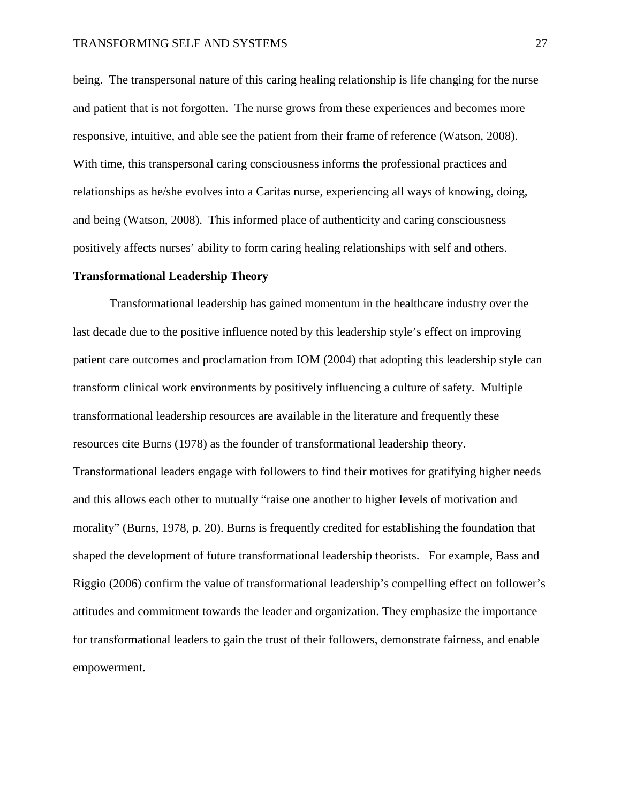#### TRANSFORMING SELF AND SYSTEMS 27

being. The transpersonal nature of this caring healing relationship is life changing for the nurse and patient that is not forgotten. The nurse grows from these experiences and becomes more responsive, intuitive, and able see the patient from their frame of reference (Watson, 2008). With time, this transpersonal caring consciousness informs the professional practices and relationships as he/she evolves into a Caritas nurse, experiencing all ways of knowing, doing, and being (Watson, 2008). This informed place of authenticity and caring consciousness positively affects nurses' ability to form caring healing relationships with self and others.

#### **Transformational Leadership Theory**

Transformational leadership has gained momentum in the healthcare industry over the last decade due to the positive influence noted by this leadership style's effect on improving patient care outcomes and proclamation from IOM (2004) that adopting this leadership style can transform clinical work environments by positively influencing a culture of safety. Multiple transformational leadership resources are available in the literature and frequently these resources cite Burns (1978) as the founder of transformational leadership theory. Transformational leaders engage with followers to find their motives for gratifying higher needs and this allows each other to mutually "raise one another to higher levels of motivation and morality" (Burns, 1978, p. 20). Burns is frequently credited for establishing the foundation that shaped the development of future transformational leadership theorists. For example, Bass and Riggio (2006) confirm the value of transformational leadership's compelling effect on follower's attitudes and commitment towards the leader and organization. They emphasize the importance for transformational leaders to gain the trust of their followers, demonstrate fairness, and enable empowerment.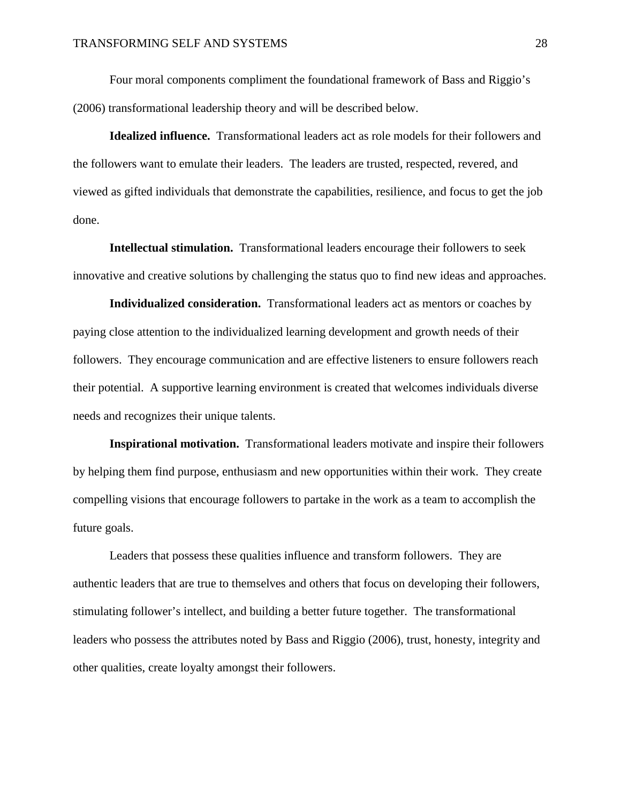Four moral components compliment the foundational framework of Bass and Riggio's (2006) transformational leadership theory and will be described below.

**Idealized influence.** Transformational leaders act as role models for their followers and the followers want to emulate their leaders. The leaders are trusted, respected, revered, and viewed as gifted individuals that demonstrate the capabilities, resilience, and focus to get the job done.

**Intellectual stimulation.** Transformational leaders encourage their followers to seek innovative and creative solutions by challenging the status quo to find new ideas and approaches.

**Individualized consideration.** Transformational leaders act as mentors or coaches by paying close attention to the individualized learning development and growth needs of their followers. They encourage communication and are effective listeners to ensure followers reach their potential. A supportive learning environment is created that welcomes individuals diverse needs and recognizes their unique talents.

**Inspirational motivation.** Transformational leaders motivate and inspire their followers by helping them find purpose, enthusiasm and new opportunities within their work. They create compelling visions that encourage followers to partake in the work as a team to accomplish the future goals.

Leaders that possess these qualities influence and transform followers. They are authentic leaders that are true to themselves and others that focus on developing their followers, stimulating follower's intellect, and building a better future together. The transformational leaders who possess the attributes noted by Bass and Riggio (2006), trust, honesty, integrity and other qualities, create loyalty amongst their followers.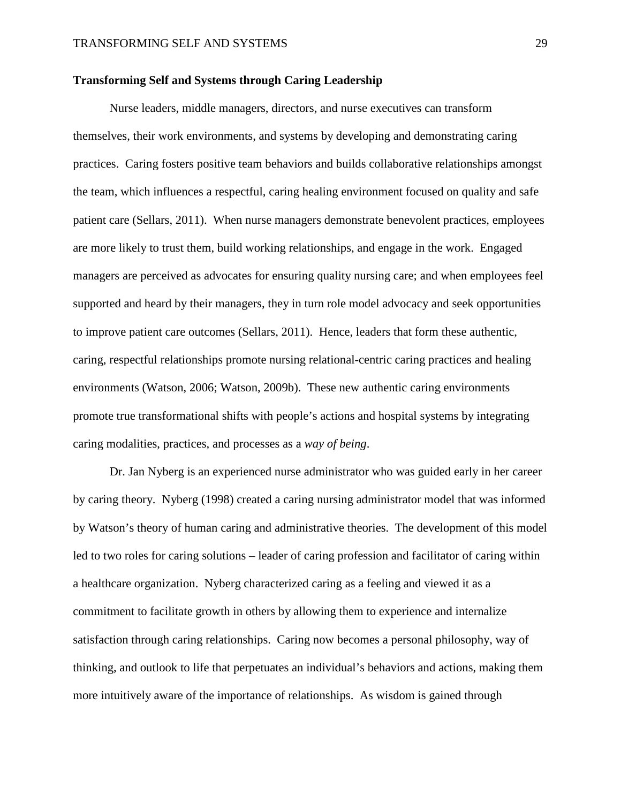#### **Transforming Self and Systems through Caring Leadership**

Nurse leaders, middle managers, directors, and nurse executives can transform themselves, their work environments, and systems by developing and demonstrating caring practices. Caring fosters positive team behaviors and builds collaborative relationships amongst the team, which influences a respectful, caring healing environment focused on quality and safe patient care (Sellars, 2011). When nurse managers demonstrate benevolent practices, employees are more likely to trust them, build working relationships, and engage in the work. Engaged managers are perceived as advocates for ensuring quality nursing care; and when employees feel supported and heard by their managers, they in turn role model advocacy and seek opportunities to improve patient care outcomes (Sellars, 2011). Hence, leaders that form these authentic, caring, respectful relationships promote nursing relational-centric caring practices and healing environments (Watson, 2006; Watson, 2009b). These new authentic caring environments promote true transformational shifts with people's actions and hospital systems by integrating caring modalities, practices, and processes as a *way of being*.

Dr. Jan Nyberg is an experienced nurse administrator who was guided early in her career by caring theory. Nyberg (1998) created a caring nursing administrator model that was informed by Watson's theory of human caring and administrative theories. The development of this model led to two roles for caring solutions – leader of caring profession and facilitator of caring within a healthcare organization. Nyberg characterized caring as a feeling and viewed it as a commitment to facilitate growth in others by allowing them to experience and internalize satisfaction through caring relationships. Caring now becomes a personal philosophy, way of thinking, and outlook to life that perpetuates an individual's behaviors and actions, making them more intuitively aware of the importance of relationships. As wisdom is gained through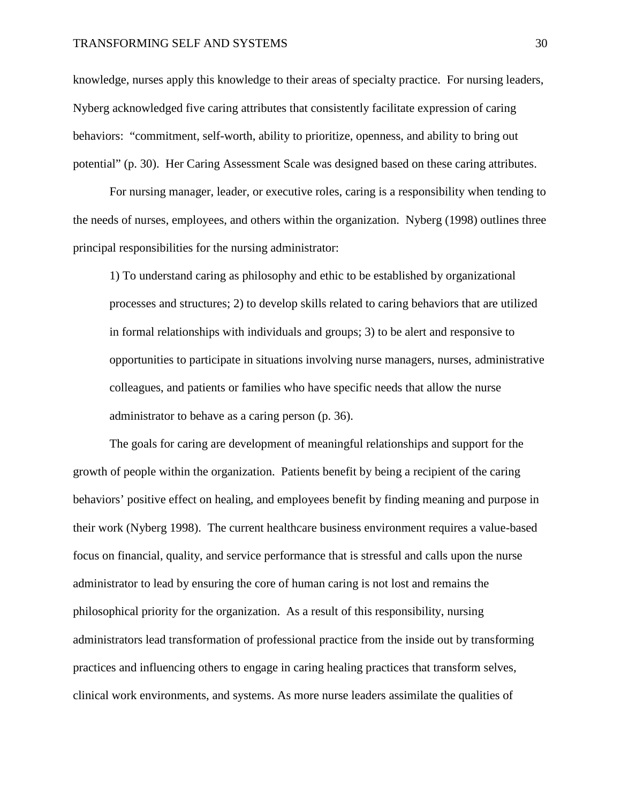#### TRANSFORMING SELF AND SYSTEMS 30

knowledge, nurses apply this knowledge to their areas of specialty practice. For nursing leaders, Nyberg acknowledged five caring attributes that consistently facilitate expression of caring behaviors: "commitment, self-worth, ability to prioritize, openness, and ability to bring out potential" (p. 30). Her Caring Assessment Scale was designed based on these caring attributes.

For nursing manager, leader, or executive roles, caring is a responsibility when tending to the needs of nurses, employees, and others within the organization. Nyberg (1998) outlines three principal responsibilities for the nursing administrator:

1) To understand caring as philosophy and ethic to be established by organizational processes and structures; 2) to develop skills related to caring behaviors that are utilized in formal relationships with individuals and groups; 3) to be alert and responsive to opportunities to participate in situations involving nurse managers, nurses, administrative colleagues, and patients or families who have specific needs that allow the nurse administrator to behave as a caring person (p. 36).

 The goals for caring are development of meaningful relationships and support for the growth of people within the organization. Patients benefit by being a recipient of the caring behaviors' positive effect on healing, and employees benefit by finding meaning and purpose in their work (Nyberg 1998). The current healthcare business environment requires a value-based focus on financial, quality, and service performance that is stressful and calls upon the nurse administrator to lead by ensuring the core of human caring is not lost and remains the philosophical priority for the organization. As a result of this responsibility, nursing administrators lead transformation of professional practice from the inside out by transforming practices and influencing others to engage in caring healing practices that transform selves, clinical work environments, and systems. As more nurse leaders assimilate the qualities of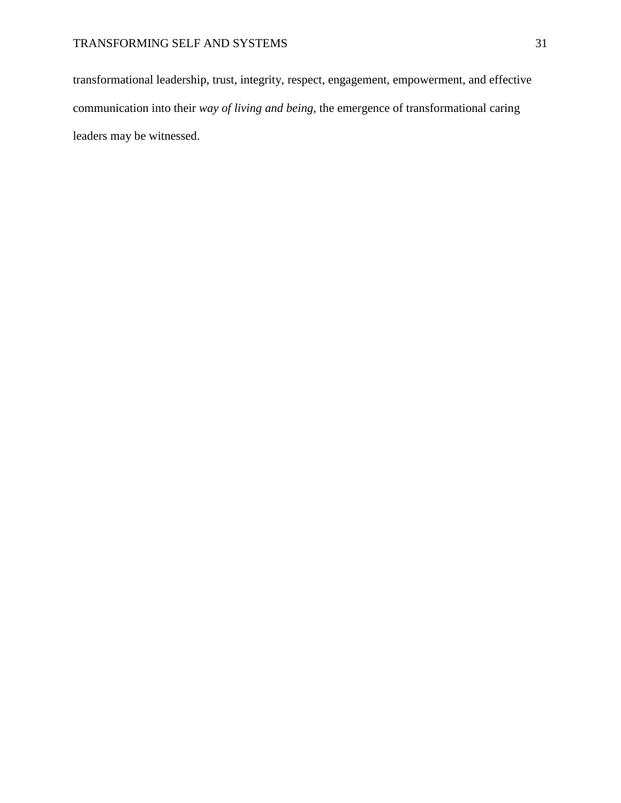transformational leadership, trust, integrity, respect, engagement, empowerment, and effective communication into their *way of living and being,* the emergence of transformational caring leaders may be witnessed.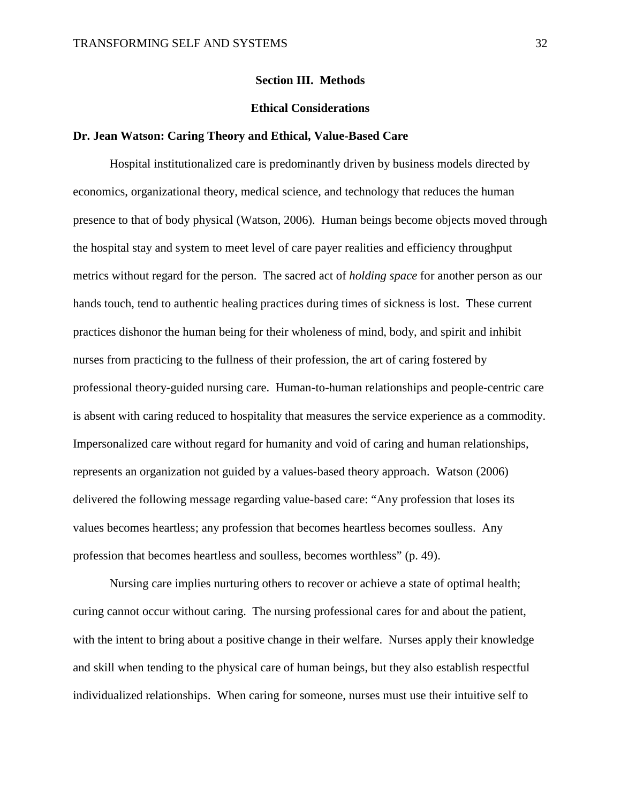#### **Section III. Methods**

#### **Ethical Considerations**

#### **Dr. Jean Watson: Caring Theory and Ethical, Value-Based Care**

Hospital institutionalized care is predominantly driven by business models directed by economics, organizational theory, medical science, and technology that reduces the human presence to that of body physical (Watson, 2006). Human beings become objects moved through the hospital stay and system to meet level of care payer realities and efficiency throughput metrics without regard for the person. The sacred act of *holding space* for another person as our hands touch, tend to authentic healing practices during times of sickness is lost. These current practices dishonor the human being for their wholeness of mind, body, and spirit and inhibit nurses from practicing to the fullness of their profession, the art of caring fostered by professional theory-guided nursing care. Human-to-human relationships and people-centric care is absent with caring reduced to hospitality that measures the service experience as a commodity. Impersonalized care without regard for humanity and void of caring and human relationships, represents an organization not guided by a values-based theory approach. Watson (2006) delivered the following message regarding value-based care: "Any profession that loses its values becomes heartless; any profession that becomes heartless becomes soulless. Any profession that becomes heartless and soulless, becomes worthless" (p. 49).

Nursing care implies nurturing others to recover or achieve a state of optimal health; curing cannot occur without caring. The nursing professional cares for and about the patient, with the intent to bring about a positive change in their welfare. Nurses apply their knowledge and skill when tending to the physical care of human beings, but they also establish respectful individualized relationships. When caring for someone, nurses must use their intuitive self to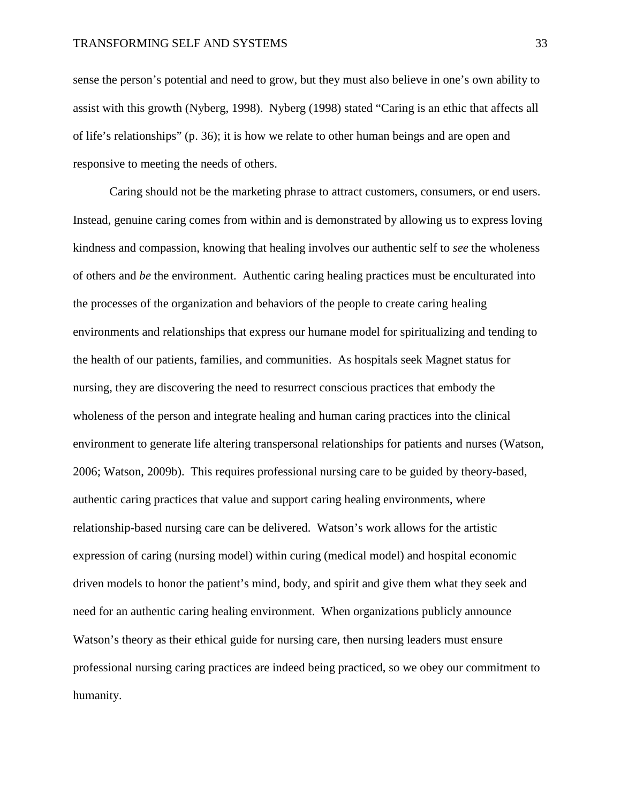sense the person's potential and need to grow, but they must also believe in one's own ability to assist with this growth (Nyberg, 1998). Nyberg (1998) stated "Caring is an ethic that affects all of life's relationships" (p. 36); it is how we relate to other human beings and are open and responsive to meeting the needs of others.

Caring should not be the marketing phrase to attract customers, consumers, or end users. Instead, genuine caring comes from within and is demonstrated by allowing us to express loving kindness and compassion, knowing that healing involves our authentic self to *see* the wholeness of others and *be* the environment. Authentic caring healing practices must be enculturated into the processes of the organization and behaviors of the people to create caring healing environments and relationships that express our humane model for spiritualizing and tending to the health of our patients, families, and communities. As hospitals seek Magnet status for nursing, they are discovering the need to resurrect conscious practices that embody the wholeness of the person and integrate healing and human caring practices into the clinical environment to generate life altering transpersonal relationships for patients and nurses (Watson, 2006; Watson, 2009b). This requires professional nursing care to be guided by theory-based, authentic caring practices that value and support caring healing environments, where relationship-based nursing care can be delivered. Watson's work allows for the artistic expression of caring (nursing model) within curing (medical model) and hospital economic driven models to honor the patient's mind, body, and spirit and give them what they seek and need for an authentic caring healing environment. When organizations publicly announce Watson's theory as their ethical guide for nursing care, then nursing leaders must ensure professional nursing caring practices are indeed being practiced, so we obey our commitment to humanity.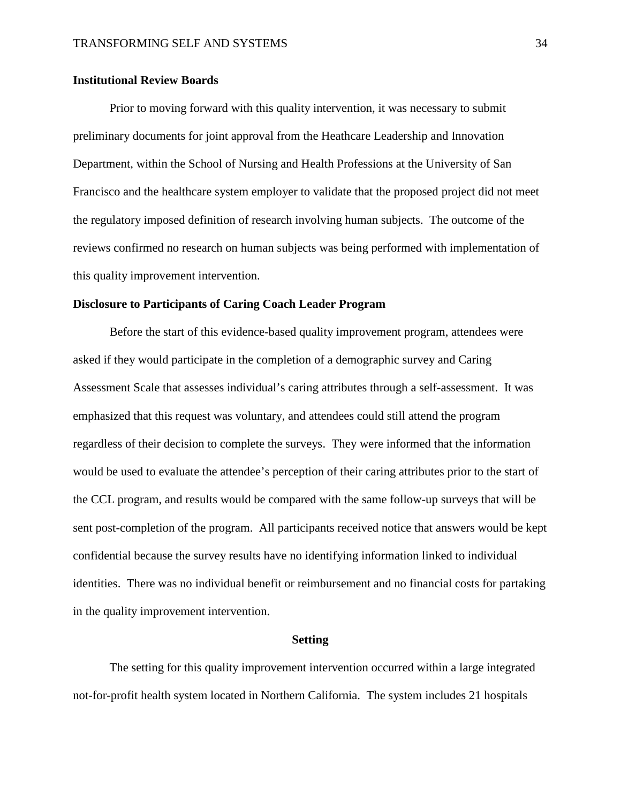#### **Institutional Review Boards**

Prior to moving forward with this quality intervention, it was necessary to submit preliminary documents for joint approval from the Heathcare Leadership and Innovation Department, within the School of Nursing and Health Professions at the University of San Francisco and the healthcare system employer to validate that the proposed project did not meet the regulatory imposed definition of research involving human subjects. The outcome of the reviews confirmed no research on human subjects was being performed with implementation of this quality improvement intervention.

#### **Disclosure to Participants of Caring Coach Leader Program**

Before the start of this evidence-based quality improvement program, attendees were asked if they would participate in the completion of a demographic survey and Caring Assessment Scale that assesses individual's caring attributes through a self-assessment. It was emphasized that this request was voluntary, and attendees could still attend the program regardless of their decision to complete the surveys. They were informed that the information would be used to evaluate the attendee's perception of their caring attributes prior to the start of the CCL program, and results would be compared with the same follow-up surveys that will be sent post-completion of the program. All participants received notice that answers would be kept confidential because the survey results have no identifying information linked to individual identities. There was no individual benefit or reimbursement and no financial costs for partaking in the quality improvement intervention.

#### **Setting**

The setting for this quality improvement intervention occurred within a large integrated not-for-profit health system located in Northern California. The system includes 21 hospitals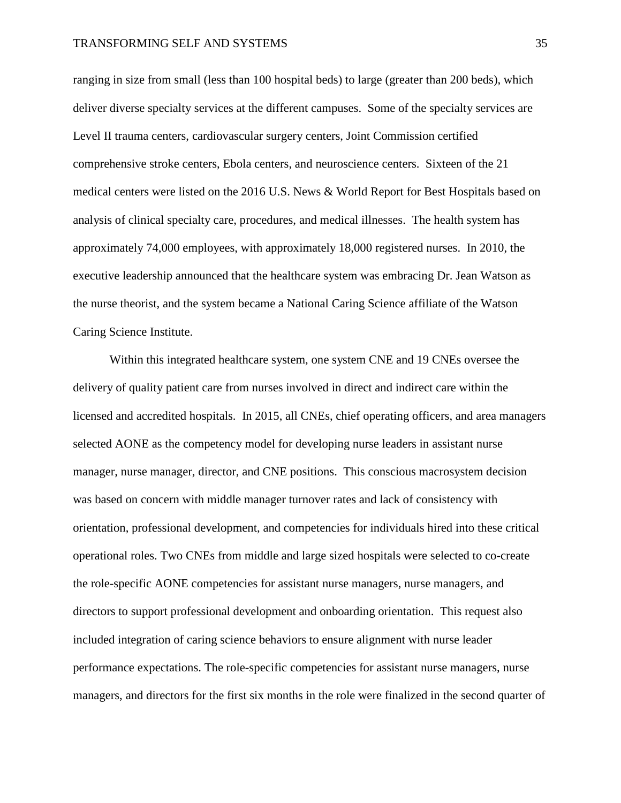ranging in size from small (less than 100 hospital beds) to large (greater than 200 beds), which deliver diverse specialty services at the different campuses. Some of the specialty services are Level II trauma centers, cardiovascular surgery centers, Joint Commission certified comprehensive stroke centers, Ebola centers, and neuroscience centers. Sixteen of the 21 medical centers were listed on the 2016 U.S. News & World Report for Best Hospitals based on analysis of clinical specialty care, procedures, and medical illnesses. The health system has approximately 74,000 employees, with approximately 18,000 registered nurses. In 2010, the executive leadership announced that the healthcare system was embracing Dr. Jean Watson as the nurse theorist, and the system became a National Caring Science affiliate of the Watson Caring Science Institute.

Within this integrated healthcare system, one system CNE and 19 CNEs oversee the delivery of quality patient care from nurses involved in direct and indirect care within the licensed and accredited hospitals. In 2015, all CNEs, chief operating officers, and area managers selected AONE as the competency model for developing nurse leaders in assistant nurse manager, nurse manager, director, and CNE positions. This conscious macrosystem decision was based on concern with middle manager turnover rates and lack of consistency with orientation, professional development, and competencies for individuals hired into these critical operational roles. Two CNEs from middle and large sized hospitals were selected to co-create the role-specific AONE competencies for assistant nurse managers, nurse managers, and directors to support professional development and onboarding orientation. This request also included integration of caring science behaviors to ensure alignment with nurse leader performance expectations. The role-specific competencies for assistant nurse managers, nurse managers, and directors for the first six months in the role were finalized in the second quarter of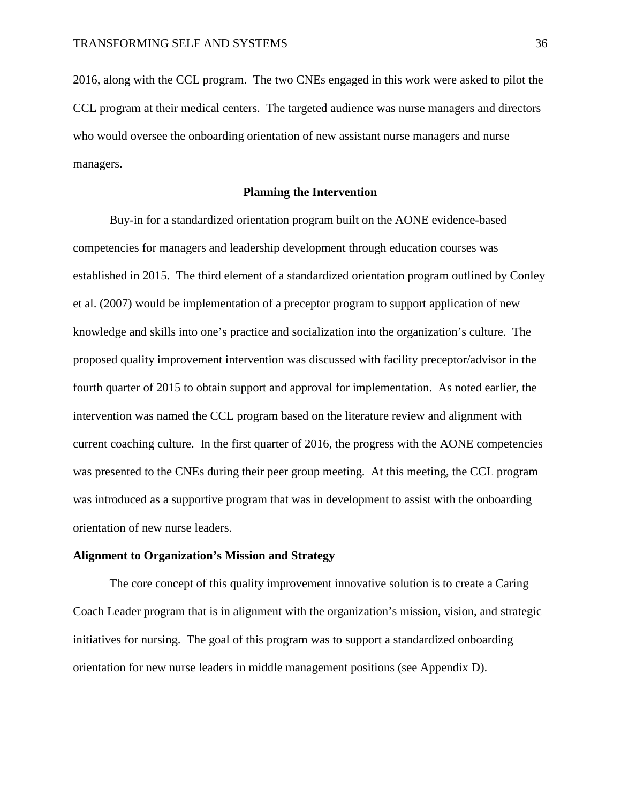2016, along with the CCL program. The two CNEs engaged in this work were asked to pilot the CCL program at their medical centers. The targeted audience was nurse managers and directors who would oversee the onboarding orientation of new assistant nurse managers and nurse managers.

### **Planning the Intervention**

Buy-in for a standardized orientation program built on the AONE evidence-based competencies for managers and leadership development through education courses was established in 2015. The third element of a standardized orientation program outlined by Conley et al. (2007) would be implementation of a preceptor program to support application of new knowledge and skills into one's practice and socialization into the organization's culture. The proposed quality improvement intervention was discussed with facility preceptor/advisor in the fourth quarter of 2015 to obtain support and approval for implementation. As noted earlier, the intervention was named the CCL program based on the literature review and alignment with current coaching culture. In the first quarter of 2016, the progress with the AONE competencies was presented to the CNEs during their peer group meeting. At this meeting, the CCL program was introduced as a supportive program that was in development to assist with the onboarding orientation of new nurse leaders.

## **Alignment to Organization's Mission and Strategy**

The core concept of this quality improvement innovative solution is to create a Caring Coach Leader program that is in alignment with the organization's mission, vision, and strategic initiatives for nursing. The goal of this program was to support a standardized onboarding orientation for new nurse leaders in middle management positions (see Appendix D).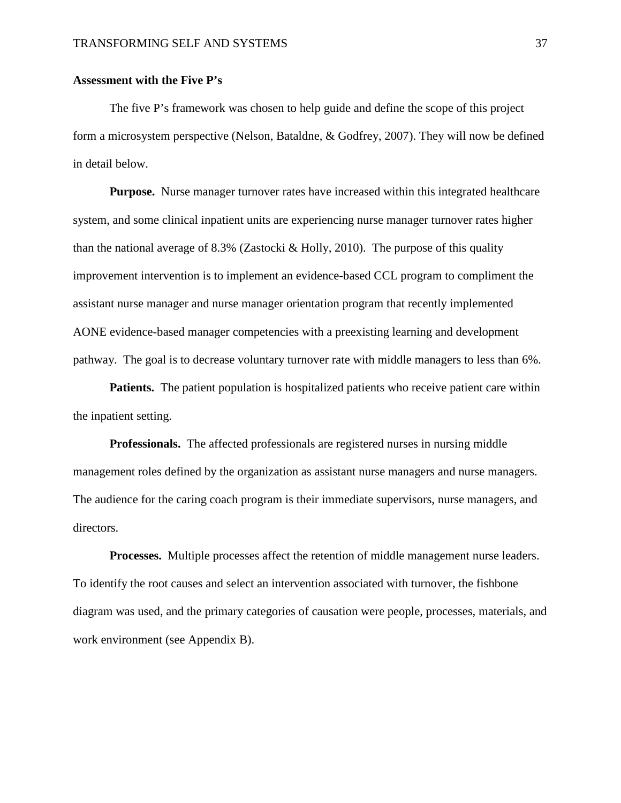## **Assessment with the Five P's**

The five P's framework was chosen to help guide and define the scope of this project form a microsystem perspective (Nelson, Bataldne, & Godfrey, 2007). They will now be defined in detail below.

**Purpose.** Nurse manager turnover rates have increased within this integrated healthcare system, and some clinical inpatient units are experiencing nurse manager turnover rates higher than the national average of 8.3% (Zastocki & Holly, 2010). The purpose of this quality improvement intervention is to implement an evidence-based CCL program to compliment the assistant nurse manager and nurse manager orientation program that recently implemented AONE evidence-based manager competencies with a preexisting learning and development pathway. The goal is to decrease voluntary turnover rate with middle managers to less than 6%.

**Patients.** The patient population is hospitalized patients who receive patient care within the inpatient setting.

**Professionals.** The affected professionals are registered nurses in nursing middle management roles defined by the organization as assistant nurse managers and nurse managers. The audience for the caring coach program is their immediate supervisors, nurse managers, and directors.

**Processes.** Multiple processes affect the retention of middle management nurse leaders. To identify the root causes and select an intervention associated with turnover, the fishbone diagram was used, and the primary categories of causation were people, processes, materials, and work environment (see Appendix B).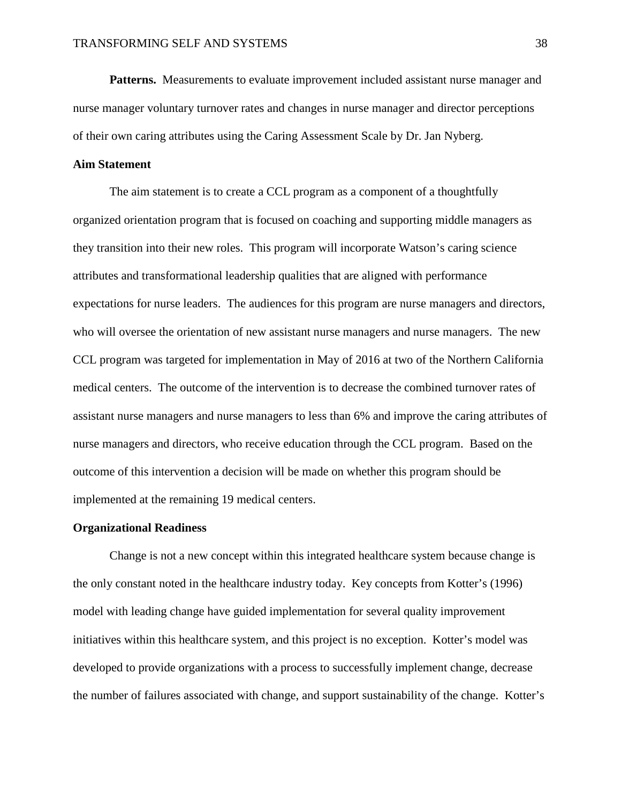**Patterns.** Measurements to evaluate improvement included assistant nurse manager and nurse manager voluntary turnover rates and changes in nurse manager and director perceptions of their own caring attributes using the Caring Assessment Scale by Dr. Jan Nyberg.

## **Aim Statement**

The aim statement is to create a CCL program as a component of a thoughtfully organized orientation program that is focused on coaching and supporting middle managers as they transition into their new roles. This program will incorporate Watson's caring science attributes and transformational leadership qualities that are aligned with performance expectations for nurse leaders. The audiences for this program are nurse managers and directors, who will oversee the orientation of new assistant nurse managers and nurse managers. The new CCL program was targeted for implementation in May of 2016 at two of the Northern California medical centers. The outcome of the intervention is to decrease the combined turnover rates of assistant nurse managers and nurse managers to less than 6% and improve the caring attributes of nurse managers and directors, who receive education through the CCL program. Based on the outcome of this intervention a decision will be made on whether this program should be implemented at the remaining 19 medical centers.

#### **Organizational Readiness**

Change is not a new concept within this integrated healthcare system because change is the only constant noted in the healthcare industry today. Key concepts from Kotter's (1996) model with leading change have guided implementation for several quality improvement initiatives within this healthcare system, and this project is no exception. Kotter's model was developed to provide organizations with a process to successfully implement change, decrease the number of failures associated with change, and support sustainability of the change. Kotter's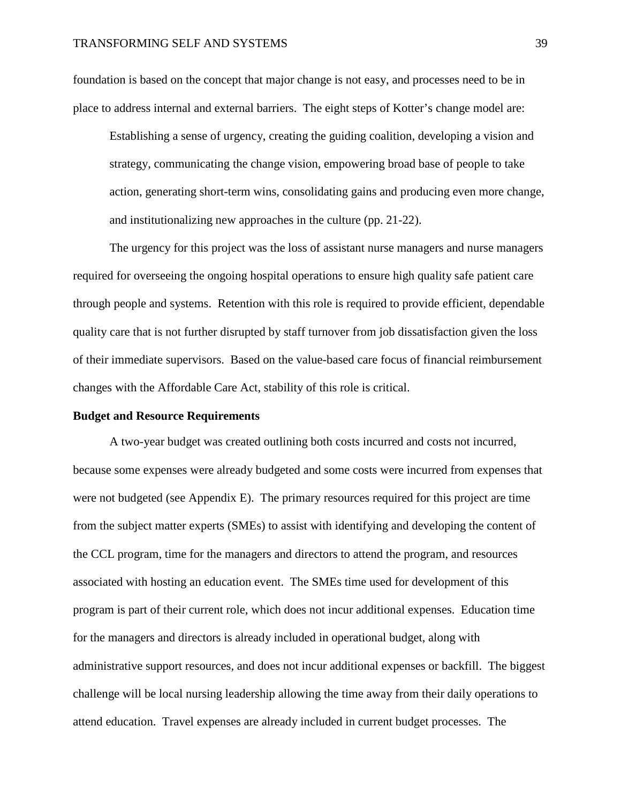foundation is based on the concept that major change is not easy, and processes need to be in place to address internal and external barriers. The eight steps of Kotter's change model are:

Establishing a sense of urgency, creating the guiding coalition, developing a vision and strategy, communicating the change vision, empowering broad base of people to take action, generating short-term wins, consolidating gains and producing even more change, and institutionalizing new approaches in the culture (pp. 21-22).

The urgency for this project was the loss of assistant nurse managers and nurse managers required for overseeing the ongoing hospital operations to ensure high quality safe patient care through people and systems. Retention with this role is required to provide efficient, dependable quality care that is not further disrupted by staff turnover from job dissatisfaction given the loss of their immediate supervisors. Based on the value-based care focus of financial reimbursement changes with the Affordable Care Act, stability of this role is critical.

#### **Budget and Resource Requirements**

A two-year budget was created outlining both costs incurred and costs not incurred, because some expenses were already budgeted and some costs were incurred from expenses that were not budgeted (see Appendix E). The primary resources required for this project are time from the subject matter experts (SMEs) to assist with identifying and developing the content of the CCL program, time for the managers and directors to attend the program, and resources associated with hosting an education event. The SMEs time used for development of this program is part of their current role, which does not incur additional expenses. Education time for the managers and directors is already included in operational budget, along with administrative support resources, and does not incur additional expenses or backfill. The biggest challenge will be local nursing leadership allowing the time away from their daily operations to attend education. Travel expenses are already included in current budget processes. The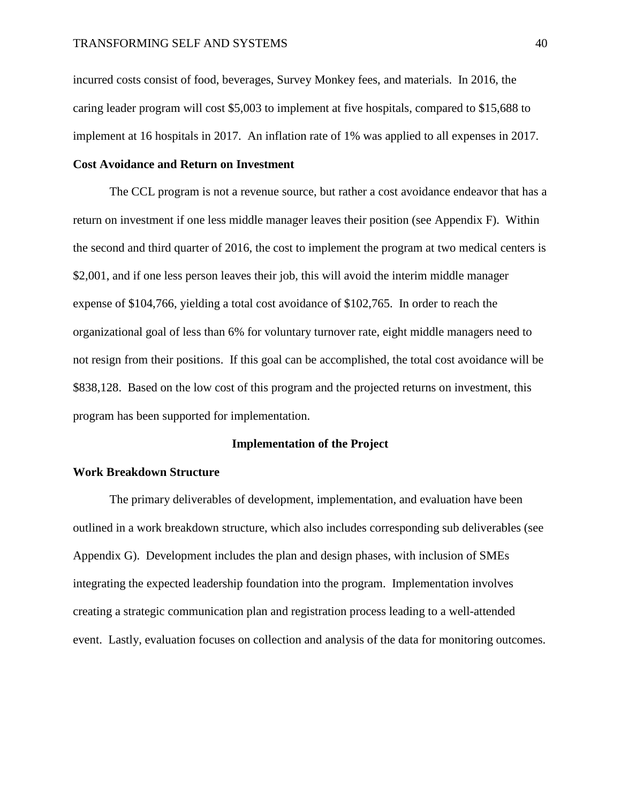incurred costs consist of food, beverages, Survey Monkey fees, and materials. In 2016, the caring leader program will cost \$5,003 to implement at five hospitals, compared to \$15,688 to implement at 16 hospitals in 2017. An inflation rate of 1% was applied to all expenses in 2017.

## **Cost Avoidance and Return on Investment**

The CCL program is not a revenue source, but rather a cost avoidance endeavor that has a return on investment if one less middle manager leaves their position (see Appendix F). Within the second and third quarter of 2016, the cost to implement the program at two medical centers is \$2,001, and if one less person leaves their job, this will avoid the interim middle manager expense of \$104,766, yielding a total cost avoidance of \$102,765. In order to reach the organizational goal of less than 6% for voluntary turnover rate, eight middle managers need to not resign from their positions. If this goal can be accomplished, the total cost avoidance will be \$838,128. Based on the low cost of this program and the projected returns on investment, this program has been supported for implementation.

#### **Implementation of the Project**

### **Work Breakdown Structure**

The primary deliverables of development, implementation, and evaluation have been outlined in a work breakdown structure, which also includes corresponding sub deliverables (see Appendix G). Development includes the plan and design phases, with inclusion of SMEs integrating the expected leadership foundation into the program. Implementation involves creating a strategic communication plan and registration process leading to a well-attended event. Lastly, evaluation focuses on collection and analysis of the data for monitoring outcomes.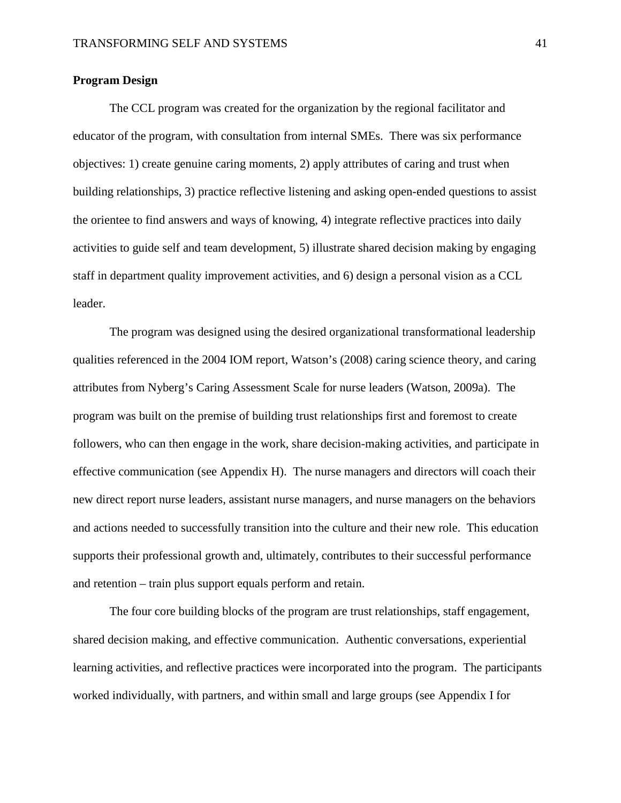## **Program Design**

The CCL program was created for the organization by the regional facilitator and educator of the program, with consultation from internal SMEs. There was six performance objectives: 1) create genuine caring moments, 2) apply attributes of caring and trust when building relationships, 3) practice reflective listening and asking open-ended questions to assist the orientee to find answers and ways of knowing, 4) integrate reflective practices into daily activities to guide self and team development, 5) illustrate shared decision making by engaging staff in department quality improvement activities, and 6) design a personal vision as a CCL leader.

The program was designed using the desired organizational transformational leadership qualities referenced in the 2004 IOM report, Watson's (2008) caring science theory, and caring attributes from Nyberg's Caring Assessment Scale for nurse leaders (Watson, 2009a). The program was built on the premise of building trust relationships first and foremost to create followers, who can then engage in the work, share decision-making activities, and participate in effective communication (see Appendix H). The nurse managers and directors will coach their new direct report nurse leaders, assistant nurse managers, and nurse managers on the behaviors and actions needed to successfully transition into the culture and their new role. This education supports their professional growth and, ultimately, contributes to their successful performance and retention – train plus support equals perform and retain.

The four core building blocks of the program are trust relationships, staff engagement, shared decision making, and effective communication. Authentic conversations, experiential learning activities, and reflective practices were incorporated into the program. The participants worked individually, with partners, and within small and large groups (see Appendix I for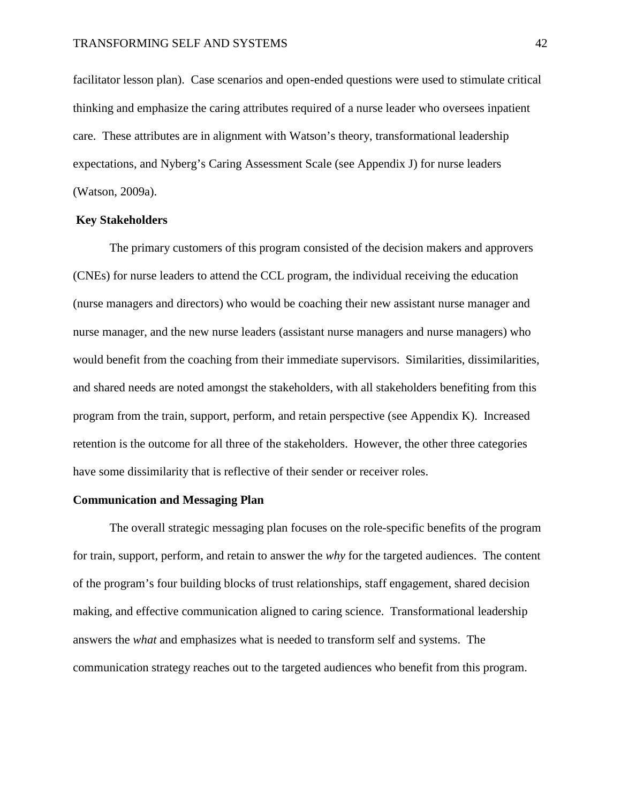facilitator lesson plan). Case scenarios and open-ended questions were used to stimulate critical thinking and emphasize the caring attributes required of a nurse leader who oversees inpatient care. These attributes are in alignment with Watson's theory, transformational leadership expectations, and Nyberg's Caring Assessment Scale (see Appendix J) for nurse leaders (Watson, 2009a).

## **Key Stakeholders**

The primary customers of this program consisted of the decision makers and approvers (CNEs) for nurse leaders to attend the CCL program, the individual receiving the education (nurse managers and directors) who would be coaching their new assistant nurse manager and nurse manager, and the new nurse leaders (assistant nurse managers and nurse managers) who would benefit from the coaching from their immediate supervisors. Similarities, dissimilarities, and shared needs are noted amongst the stakeholders, with all stakeholders benefiting from this program from the train, support, perform, and retain perspective (see Appendix K). Increased retention is the outcome for all three of the stakeholders. However, the other three categories have some dissimilarity that is reflective of their sender or receiver roles.

## **Communication and Messaging Plan**

The overall strategic messaging plan focuses on the role-specific benefits of the program for train, support, perform, and retain to answer the *why* for the targeted audiences. The content of the program's four building blocks of trust relationships, staff engagement, shared decision making, and effective communication aligned to caring science. Transformational leadership answers the *what* and emphasizes what is needed to transform self and systems. The communication strategy reaches out to the targeted audiences who benefit from this program.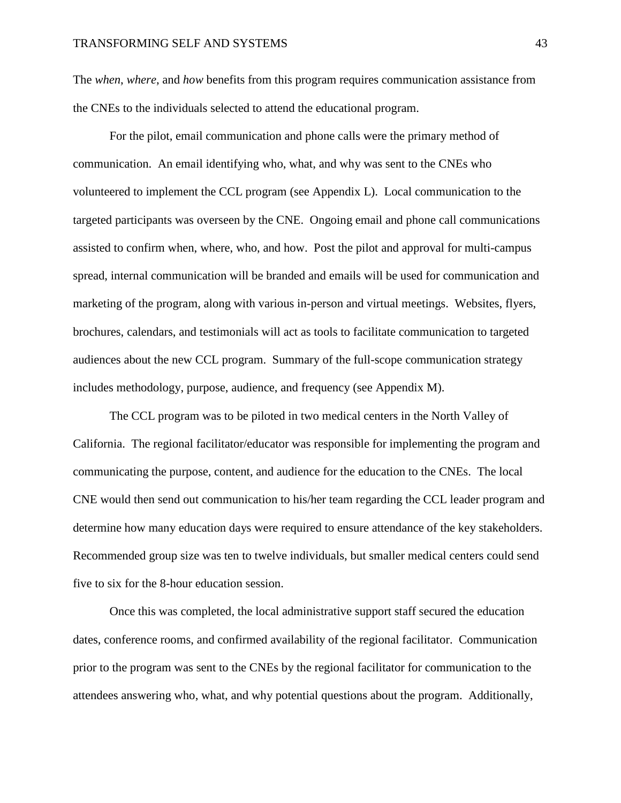The *when*, *where*, and *how* benefits from this program requires communication assistance from the CNEs to the individuals selected to attend the educational program.

For the pilot, email communication and phone calls were the primary method of communication. An email identifying who, what, and why was sent to the CNEs who volunteered to implement the CCL program (see Appendix L). Local communication to the targeted participants was overseen by the CNE. Ongoing email and phone call communications assisted to confirm when, where, who, and how. Post the pilot and approval for multi-campus spread, internal communication will be branded and emails will be used for communication and marketing of the program, along with various in-person and virtual meetings. Websites, flyers, brochures, calendars, and testimonials will act as tools to facilitate communication to targeted audiences about the new CCL program. Summary of the full-scope communication strategy includes methodology, purpose, audience, and frequency (see Appendix M).

The CCL program was to be piloted in two medical centers in the North Valley of California. The regional facilitator/educator was responsible for implementing the program and communicating the purpose, content, and audience for the education to the CNEs. The local CNE would then send out communication to his/her team regarding the CCL leader program and determine how many education days were required to ensure attendance of the key stakeholders. Recommended group size was ten to twelve individuals, but smaller medical centers could send five to six for the 8-hour education session.

Once this was completed, the local administrative support staff secured the education dates, conference rooms, and confirmed availability of the regional facilitator. Communication prior to the program was sent to the CNEs by the regional facilitator for communication to the attendees answering who, what, and why potential questions about the program. Additionally,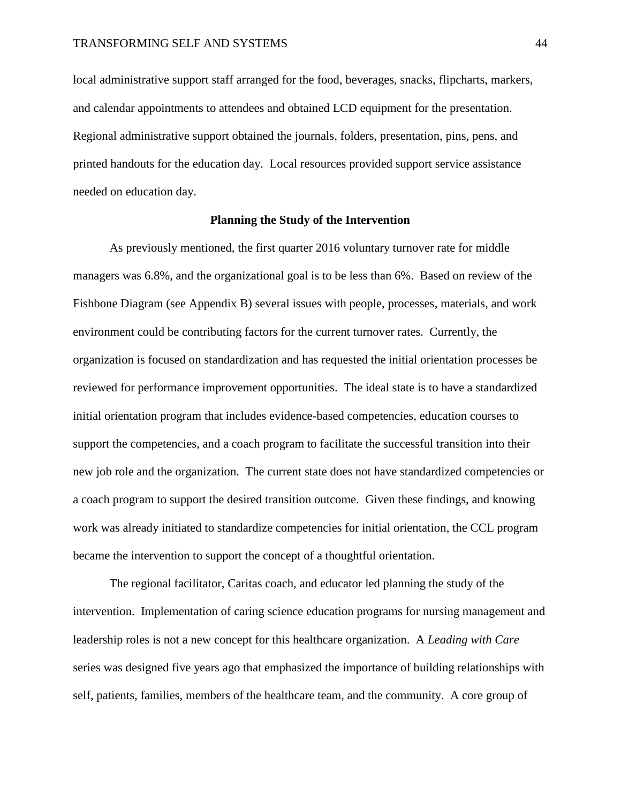local administrative support staff arranged for the food, beverages, snacks, flipcharts, markers, and calendar appointments to attendees and obtained LCD equipment for the presentation. Regional administrative support obtained the journals, folders, presentation, pins, pens, and printed handouts for the education day. Local resources provided support service assistance needed on education day.

### **Planning the Study of the Intervention**

As previously mentioned, the first quarter 2016 voluntary turnover rate for middle managers was 6.8%, and the organizational goal is to be less than 6%. Based on review of the Fishbone Diagram (see Appendix B) several issues with people, processes, materials, and work environment could be contributing factors for the current turnover rates. Currently, the organization is focused on standardization and has requested the initial orientation processes be reviewed for performance improvement opportunities. The ideal state is to have a standardized initial orientation program that includes evidence-based competencies, education courses to support the competencies, and a coach program to facilitate the successful transition into their new job role and the organization. The current state does not have standardized competencies or a coach program to support the desired transition outcome. Given these findings, and knowing work was already initiated to standardize competencies for initial orientation, the CCL program became the intervention to support the concept of a thoughtful orientation.

The regional facilitator, Caritas coach, and educator led planning the study of the intervention. Implementation of caring science education programs for nursing management and leadership roles is not a new concept for this healthcare organization. A *Leading with Care* series was designed five years ago that emphasized the importance of building relationships with self, patients, families, members of the healthcare team, and the community. A core group of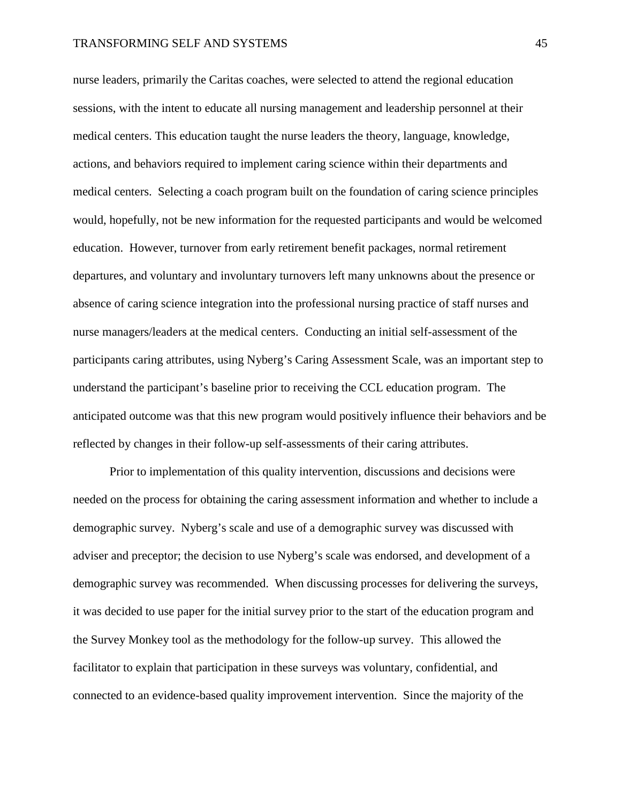nurse leaders, primarily the Caritas coaches, were selected to attend the regional education sessions, with the intent to educate all nursing management and leadership personnel at their medical centers. This education taught the nurse leaders the theory, language, knowledge, actions, and behaviors required to implement caring science within their departments and medical centers. Selecting a coach program built on the foundation of caring science principles would, hopefully, not be new information for the requested participants and would be welcomed education. However, turnover from early retirement benefit packages, normal retirement departures, and voluntary and involuntary turnovers left many unknowns about the presence or absence of caring science integration into the professional nursing practice of staff nurses and nurse managers/leaders at the medical centers. Conducting an initial self-assessment of the participants caring attributes, using Nyberg's Caring Assessment Scale, was an important step to understand the participant's baseline prior to receiving the CCL education program. The anticipated outcome was that this new program would positively influence their behaviors and be reflected by changes in their follow-up self-assessments of their caring attributes.

Prior to implementation of this quality intervention, discussions and decisions were needed on the process for obtaining the caring assessment information and whether to include a demographic survey. Nyberg's scale and use of a demographic survey was discussed with adviser and preceptor; the decision to use Nyberg's scale was endorsed, and development of a demographic survey was recommended. When discussing processes for delivering the surveys, it was decided to use paper for the initial survey prior to the start of the education program and the Survey Monkey tool as the methodology for the follow-up survey. This allowed the facilitator to explain that participation in these surveys was voluntary, confidential, and connected to an evidence-based quality improvement intervention. Since the majority of the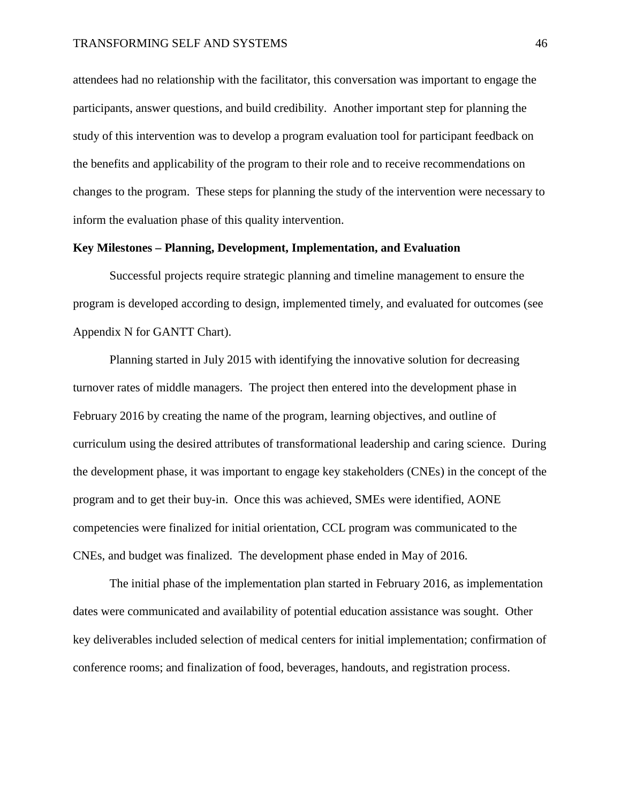attendees had no relationship with the facilitator, this conversation was important to engage the participants, answer questions, and build credibility. Another important step for planning the study of this intervention was to develop a program evaluation tool for participant feedback on the benefits and applicability of the program to their role and to receive recommendations on changes to the program. These steps for planning the study of the intervention were necessary to inform the evaluation phase of this quality intervention.

## **Key Milestones – Planning, Development, Implementation, and Evaluation**

Successful projects require strategic planning and timeline management to ensure the program is developed according to design, implemented timely, and evaluated for outcomes (see Appendix N for GANTT Chart).

Planning started in July 2015 with identifying the innovative solution for decreasing turnover rates of middle managers. The project then entered into the development phase in February 2016 by creating the name of the program, learning objectives, and outline of curriculum using the desired attributes of transformational leadership and caring science.During the development phase, it was important to engage key stakeholders (CNEs) in the concept of the program and to get their buy-in. Once this was achieved, SMEs were identified, AONE competencies were finalized for initial orientation, CCL program was communicated to the CNEs, and budget was finalized. The development phase ended in May of 2016.

The initial phase of the implementation plan started in February 2016, as implementation dates were communicated and availability of potential education assistance was sought. Other key deliverables included selection of medical centers for initial implementation; confirmation of conference rooms; and finalization of food, beverages, handouts, and registration process.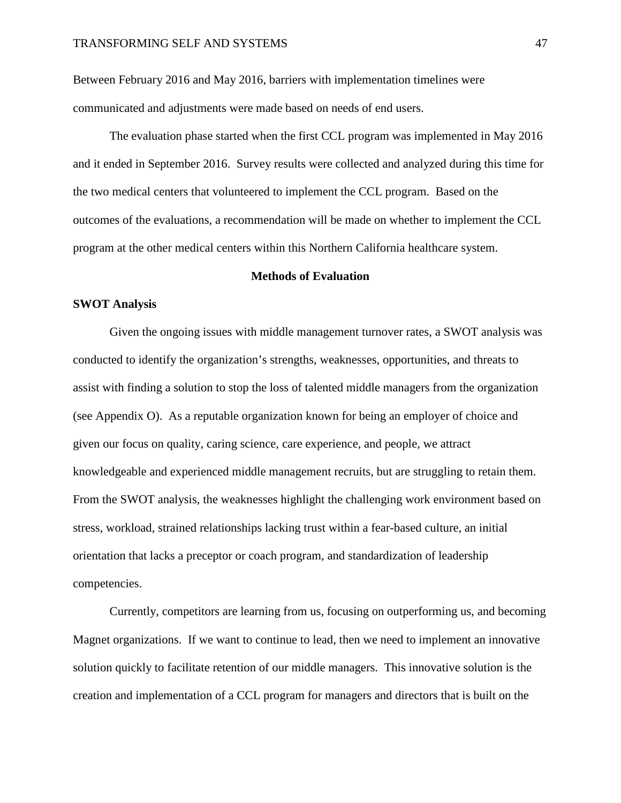Between February 2016 and May 2016, barriers with implementation timelines were communicated and adjustments were made based on needs of end users.

The evaluation phase started when the first CCL program was implemented in May 2016 and it ended in September 2016. Survey results were collected and analyzed during this time for the two medical centers that volunteered to implement the CCL program. Based on the outcomes of the evaluations, a recommendation will be made on whether to implement the CCL program at the other medical centers within this Northern California healthcare system.

### **Methods of Evaluation**

## **SWOT Analysis**

Given the ongoing issues with middle management turnover rates, a SWOT analysis was conducted to identify the organization's strengths, weaknesses, opportunities, and threats to assist with finding a solution to stop the loss of talented middle managers from the organization (see Appendix O). As a reputable organization known for being an employer of choice and given our focus on quality, caring science, care experience, and people, we attract knowledgeable and experienced middle management recruits, but are struggling to retain them. From the SWOT analysis, the weaknesses highlight the challenging work environment based on stress, workload, strained relationships lacking trust within a fear-based culture, an initial orientation that lacks a preceptor or coach program, and standardization of leadership competencies.

Currently, competitors are learning from us, focusing on outperforming us, and becoming Magnet organizations. If we want to continue to lead, then we need to implement an innovative solution quickly to facilitate retention of our middle managers. This innovative solution is the creation and implementation of a CCL program for managers and directors that is built on the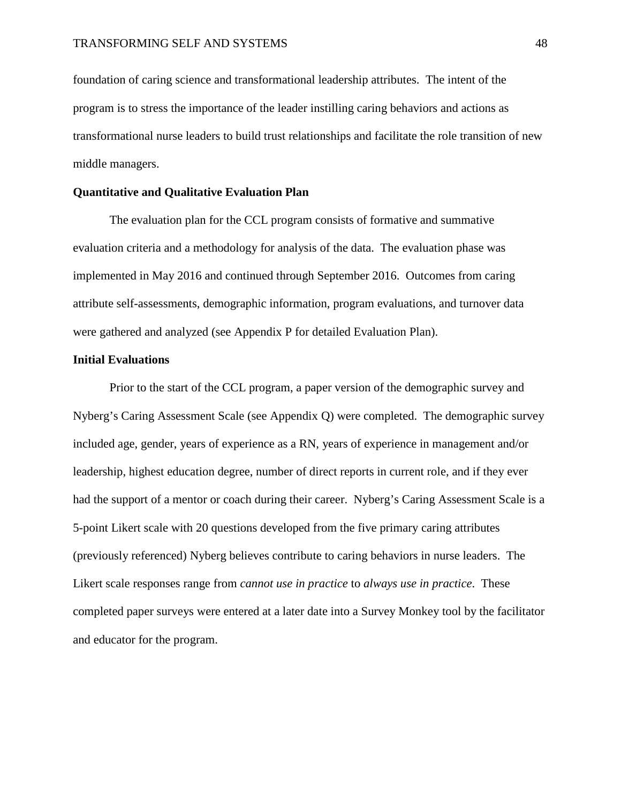foundation of caring science and transformational leadership attributes. The intent of the program is to stress the importance of the leader instilling caring behaviors and actions as transformational nurse leaders to build trust relationships and facilitate the role transition of new middle managers.

## **Quantitative and Qualitative Evaluation Plan**

The evaluation plan for the CCL program consists of formative and summative evaluation criteria and a methodology for analysis of the data. The evaluation phase was implemented in May 2016 and continued through September 2016. Outcomes from caring attribute self-assessments, demographic information, program evaluations, and turnover data were gathered and analyzed (see Appendix P for detailed Evaluation Plan).

## **Initial Evaluations**

Prior to the start of the CCL program, a paper version of the demographic survey and Nyberg's Caring Assessment Scale (see Appendix Q) were completed. The demographic survey included age, gender, years of experience as a RN, years of experience in management and/or leadership, highest education degree, number of direct reports in current role, and if they ever had the support of a mentor or coach during their career. Nyberg's Caring Assessment Scale is a 5-point Likert scale with 20 questions developed from the five primary caring attributes (previously referenced) Nyberg believes contribute to caring behaviors in nurse leaders. The Likert scale responses range from *cannot use in practice* to *always use in practice*. These completed paper surveys were entered at a later date into a Survey Monkey tool by the facilitator and educator for the program.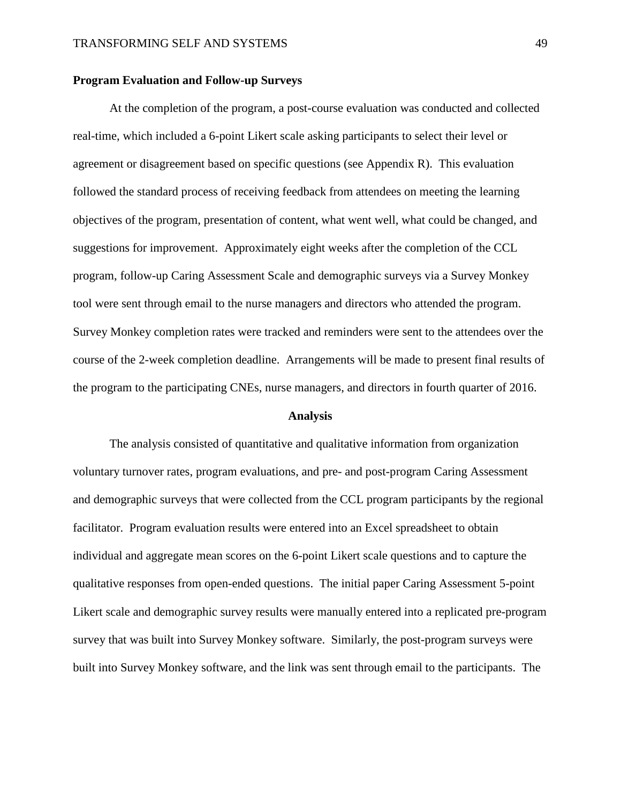### **Program Evaluation and Follow-up Surveys**

At the completion of the program, a post-course evaluation was conducted and collected real-time, which included a 6-point Likert scale asking participants to select their level or agreement or disagreement based on specific questions (see Appendix R). This evaluation followed the standard process of receiving feedback from attendees on meeting the learning objectives of the program, presentation of content, what went well, what could be changed, and suggestions for improvement. Approximately eight weeks after the completion of the CCL program, follow-up Caring Assessment Scale and demographic surveys via a Survey Monkey tool were sent through email to the nurse managers and directors who attended the program. Survey Monkey completion rates were tracked and reminders were sent to the attendees over the course of the 2-week completion deadline. Arrangements will be made to present final results of the program to the participating CNEs, nurse managers, and directors in fourth quarter of 2016.

#### **Analysis**

The analysis consisted of quantitative and qualitative information from organization voluntary turnover rates, program evaluations, and pre- and post-program Caring Assessment and demographic surveys that were collected from the CCL program participants by the regional facilitator. Program evaluation results were entered into an Excel spreadsheet to obtain individual and aggregate mean scores on the 6-point Likert scale questions and to capture the qualitative responses from open-ended questions. The initial paper Caring Assessment 5-point Likert scale and demographic survey results were manually entered into a replicated pre-program survey that was built into Survey Monkey software. Similarly, the post-program surveys were built into Survey Monkey software, and the link was sent through email to the participants. The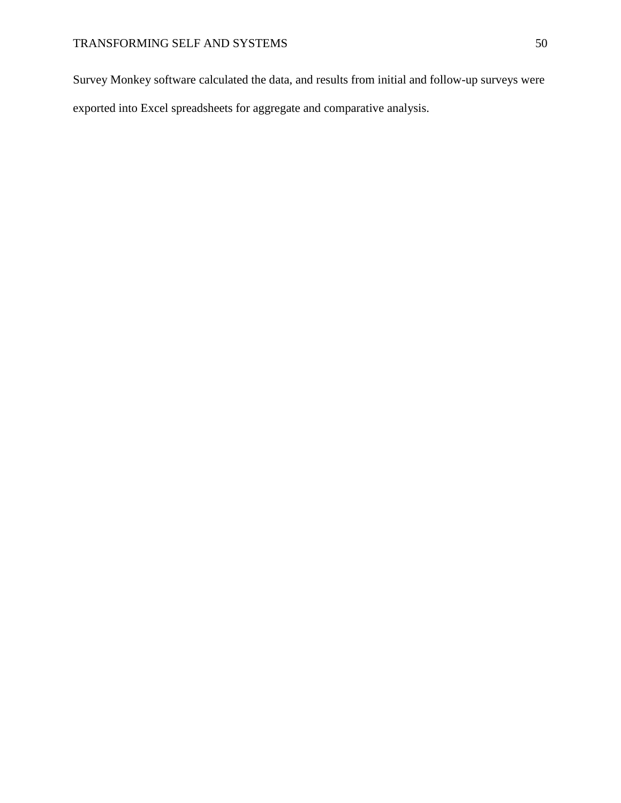Survey Monkey software calculated the data, and results from initial and follow-up surveys were exported into Excel spreadsheets for aggregate and comparative analysis.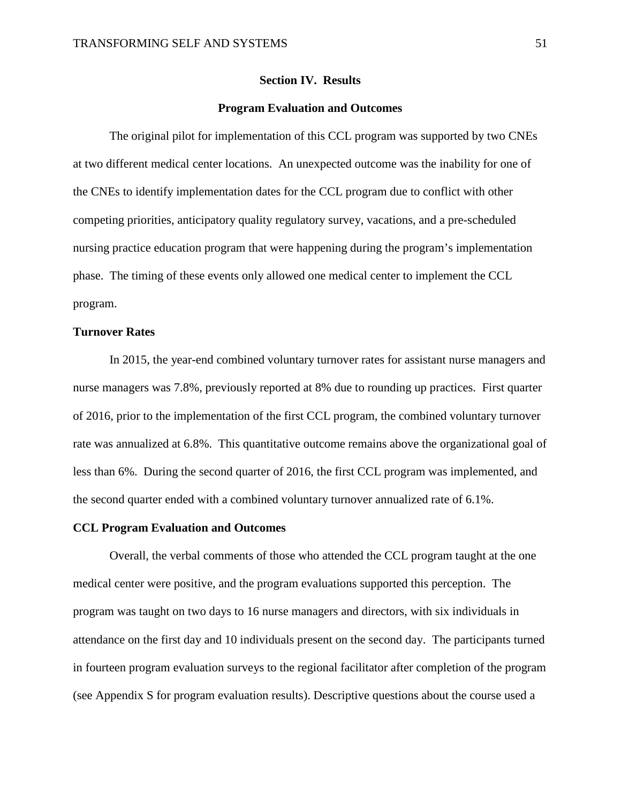#### **Section IV. Results**

#### **Program Evaluation and Outcomes**

The original pilot for implementation of this CCL program was supported by two CNEs at two different medical center locations. An unexpected outcome was the inability for one of the CNEs to identify implementation dates for the CCL program due to conflict with other competing priorities, anticipatory quality regulatory survey, vacations, and a pre-scheduled nursing practice education program that were happening during the program's implementation phase. The timing of these events only allowed one medical center to implement the CCL program.

## **Turnover Rates**

In 2015, the year-end combined voluntary turnover rates for assistant nurse managers and nurse managers was 7.8%, previously reported at 8% due to rounding up practices. First quarter of 2016, prior to the implementation of the first CCL program, the combined voluntary turnover rate was annualized at 6.8%. This quantitative outcome remains above the organizational goal of less than 6%. During the second quarter of 2016, the first CCL program was implemented, and the second quarter ended with a combined voluntary turnover annualized rate of 6.1%.

#### **CCL Program Evaluation and Outcomes**

Overall, the verbal comments of those who attended the CCL program taught at the one medical center were positive, and the program evaluations supported this perception. The program was taught on two days to 16 nurse managers and directors, with six individuals in attendance on the first day and 10 individuals present on the second day. The participants turned in fourteen program evaluation surveys to the regional facilitator after completion of the program (see Appendix S for program evaluation results). Descriptive questions about the course used a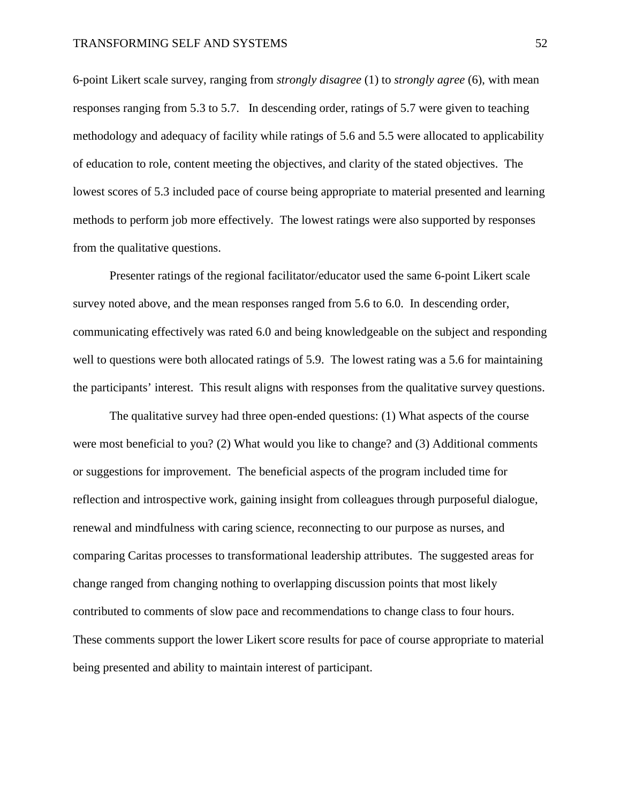6-point Likert scale survey, ranging from *strongly disagree* (1) to *strongly agree* (6), with mean responses ranging from 5.3 to 5.7. In descending order, ratings of 5.7 were given to teaching methodology and adequacy of facility while ratings of 5.6 and 5.5 were allocated to applicability of education to role, content meeting the objectives, and clarity of the stated objectives. The lowest scores of 5.3 included pace of course being appropriate to material presented and learning methods to perform job more effectively. The lowest ratings were also supported by responses from the qualitative questions.

Presenter ratings of the regional facilitator/educator used the same 6-point Likert scale survey noted above, and the mean responses ranged from 5.6 to 6.0. In descending order, communicating effectively was rated 6.0 and being knowledgeable on the subject and responding well to questions were both allocated ratings of 5.9. The lowest rating was a 5.6 for maintaining the participants' interest. This result aligns with responses from the qualitative survey questions.

The qualitative survey had three open-ended questions: (1) What aspects of the course were most beneficial to you? (2) What would you like to change? and (3) Additional comments or suggestions for improvement. The beneficial aspects of the program included time for reflection and introspective work, gaining insight from colleagues through purposeful dialogue, renewal and mindfulness with caring science, reconnecting to our purpose as nurses, and comparing Caritas processes to transformational leadership attributes. The suggested areas for change ranged from changing nothing to overlapping discussion points that most likely contributed to comments of slow pace and recommendations to change class to four hours. These comments support the lower Likert score results for pace of course appropriate to material being presented and ability to maintain interest of participant.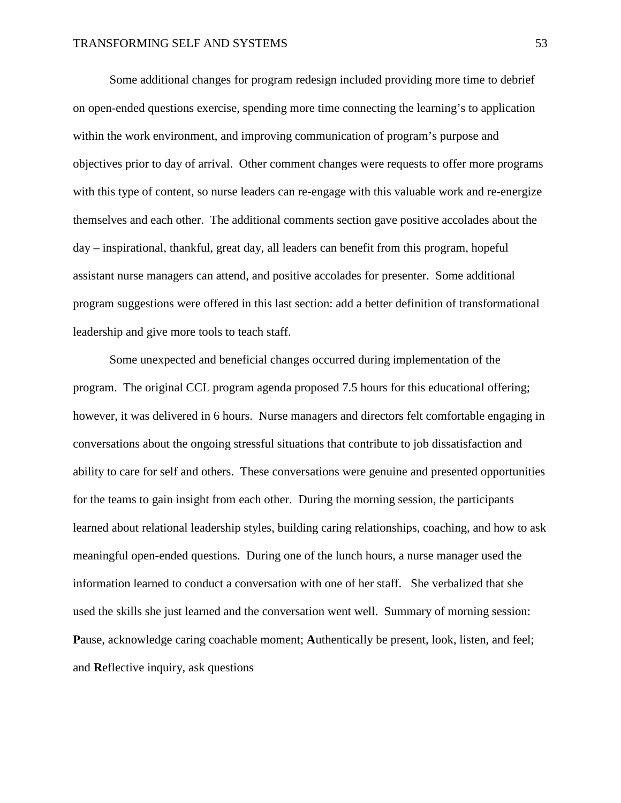Some additional changes for program redesign included providing more time to debrief on open-ended questions exercise, spending more time connecting the learning's to application within the work environment, and improving communication of program's purpose and objectives prior to day of arrival. Other comment changes were requests to offer more programs with this type of content, so nurse leaders can re-engage with this valuable work and re-energize themselves and each other. The additional comments section gave positive accolades about the day – inspirational, thankful, great day, all leaders can benefit from this program, hopeful assistant nurse managers can attend, and positive accolades for presenter. Some additional program suggestions were offered in this last section: add a better definition of transformational leadership and give more tools to teach staff.

Some unexpected and beneficial changes occurred during implementation of the program. The original CCL program agenda proposed 7.5 hours for this educational offering; however, it was delivered in 6 hours. Nurse managers and directors felt comfortable engaging in conversations about the ongoing stressful situations that contribute to job dissatisfaction and ability to care for self and others. These conversations were genuine and presented opportunities for the teams to gain insight from each other. During the morning session, the participants learned about relational leadership styles, building caring relationships, coaching, and how to ask meaningful open-ended questions. During one of the lunch hours, a nurse manager used the information learned to conduct a conversation with one of her staff. She verbalized that she used the skills she just learned and the conversation went well. Summary of morning session: **P**ause, acknowledge caring coachable moment; **A**uthentically be present, look, listen, and feel; and **R**eflective inquiry, ask questions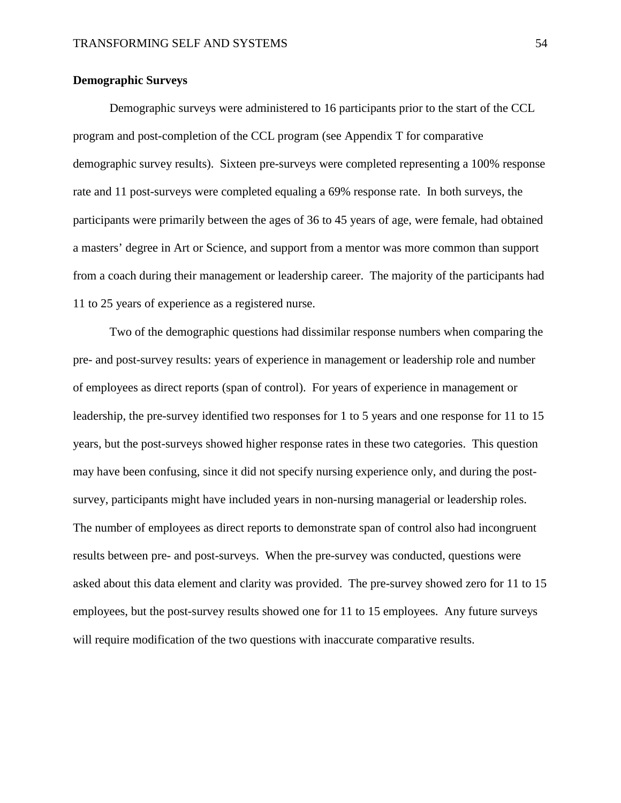## **Demographic Surveys**

Demographic surveys were administered to 16 participants prior to the start of the CCL program and post-completion of the CCL program (see Appendix T for comparative demographic survey results). Sixteen pre-surveys were completed representing a 100% response rate and 11 post-surveys were completed equaling a 69% response rate. In both surveys, the participants were primarily between the ages of 36 to 45 years of age, were female, had obtained a masters' degree in Art or Science, and support from a mentor was more common than support from a coach during their management or leadership career. The majority of the participants had 11 to 25 years of experience as a registered nurse.

Two of the demographic questions had dissimilar response numbers when comparing the pre- and post-survey results: years of experience in management or leadership role and number of employees as direct reports (span of control). For years of experience in management or leadership, the pre-survey identified two responses for 1 to 5 years and one response for 11 to 15 years, but the post-surveys showed higher response rates in these two categories. This question may have been confusing, since it did not specify nursing experience only, and during the postsurvey, participants might have included years in non-nursing managerial or leadership roles. The number of employees as direct reports to demonstrate span of control also had incongruent results between pre- and post-surveys. When the pre-survey was conducted, questions were asked about this data element and clarity was provided. The pre-survey showed zero for 11 to 15 employees, but the post-survey results showed one for 11 to 15 employees. Any future surveys will require modification of the two questions with inaccurate comparative results.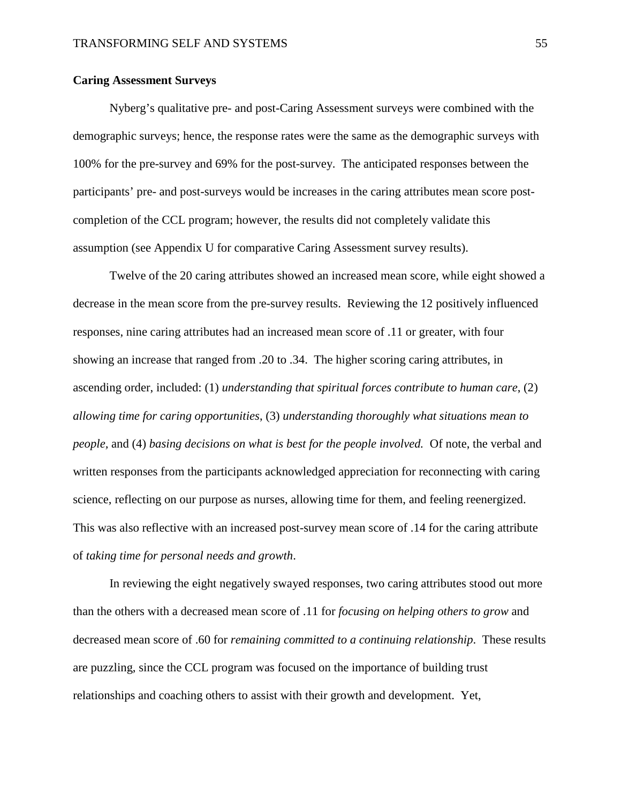## **Caring Assessment Surveys**

Nyberg's qualitative pre- and post-Caring Assessment surveys were combined with the demographic surveys; hence, the response rates were the same as the demographic surveys with 100% for the pre-survey and 69% for the post-survey. The anticipated responses between the participants' pre- and post-surveys would be increases in the caring attributes mean score postcompletion of the CCL program; however, the results did not completely validate this assumption (see Appendix U for comparative Caring Assessment survey results).

Twelve of the 20 caring attributes showed an increased mean score, while eight showed a decrease in the mean score from the pre-survey results. Reviewing the 12 positively influenced responses, nine caring attributes had an increased mean score of .11 or greater, with four showing an increase that ranged from .20 to .34. The higher scoring caring attributes, in ascending order, included: (1) *understanding that spiritual forces contribute to human care*, (2) *allowing time for caring opportunities*, (3) *understanding thoroughly what situations mean to people,* and (4) *basing decisions on what is best for the people involved.* Of note, the verbal and written responses from the participants acknowledged appreciation for reconnecting with caring science, reflecting on our purpose as nurses, allowing time for them, and feeling reenergized. This was also reflective with an increased post-survey mean score of .14 for the caring attribute of *taking time for personal needs and growth*.

In reviewing the eight negatively swayed responses, two caring attributes stood out more than the others with a decreased mean score of .11 for *focusing on helping others to grow* and decreased mean score of .60 for *remaining committed to a continuing relationship*. These results are puzzling, since the CCL program was focused on the importance of building trust relationships and coaching others to assist with their growth and development. Yet,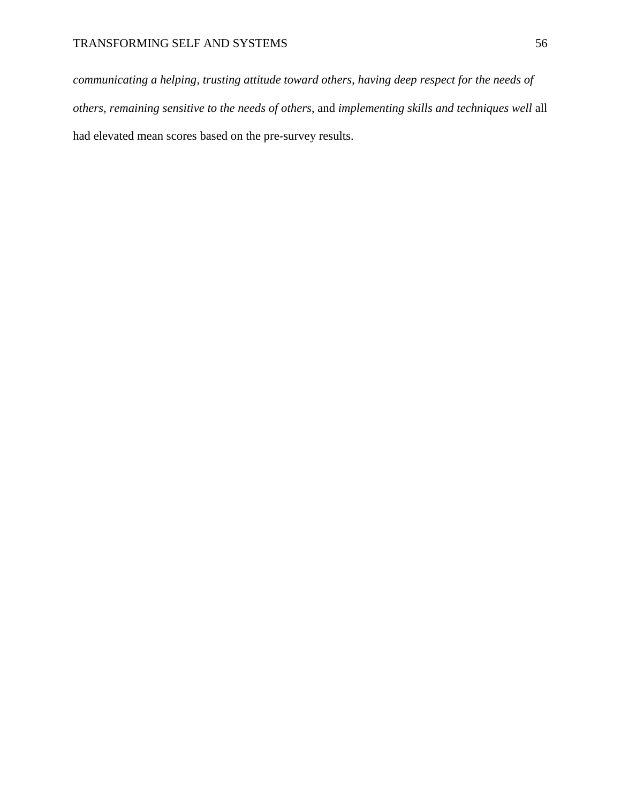*communicating a helping, trusting attitude toward others*, *having deep respect for the needs of others, remaining sensitive to the needs of others*, and *implementing skills and techniques well* all had elevated mean scores based on the pre-survey results.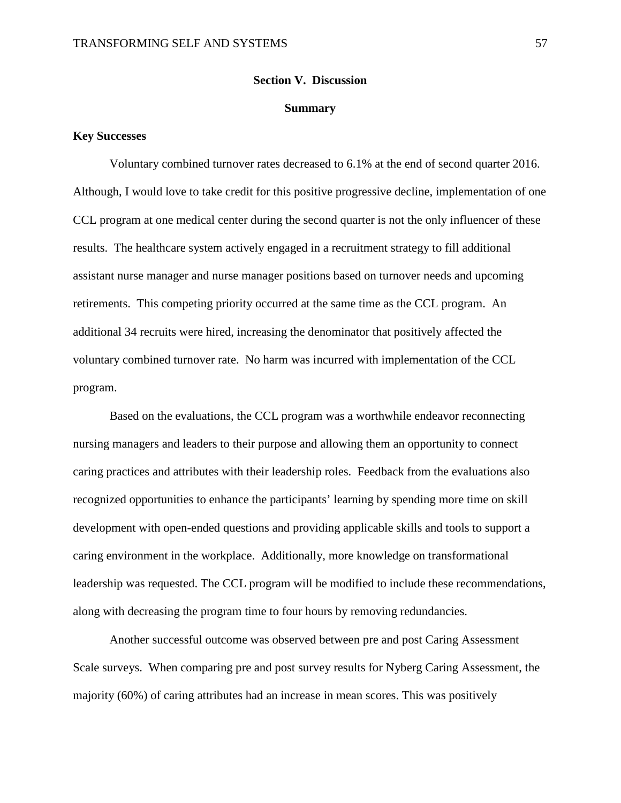#### **Section V. Discussion**

#### **Summary**

## **Key Successes**

Voluntary combined turnover rates decreased to 6.1% at the end of second quarter 2016. Although, I would love to take credit for this positive progressive decline, implementation of one CCL program at one medical center during the second quarter is not the only influencer of these results. The healthcare system actively engaged in a recruitment strategy to fill additional assistant nurse manager and nurse manager positions based on turnover needs and upcoming retirements. This competing priority occurred at the same time as the CCL program. An additional 34 recruits were hired, increasing the denominator that positively affected the voluntary combined turnover rate. No harm was incurred with implementation of the CCL program.

Based on the evaluations, the CCL program was a worthwhile endeavor reconnecting nursing managers and leaders to their purpose and allowing them an opportunity to connect caring practices and attributes with their leadership roles. Feedback from the evaluations also recognized opportunities to enhance the participants' learning by spending more time on skill development with open-ended questions and providing applicable skills and tools to support a caring environment in the workplace. Additionally, more knowledge on transformational leadership was requested. The CCL program will be modified to include these recommendations, along with decreasing the program time to four hours by removing redundancies.

Another successful outcome was observed between pre and post Caring Assessment Scale surveys. When comparing pre and post survey results for Nyberg Caring Assessment, the majority (60%) of caring attributes had an increase in mean scores. This was positively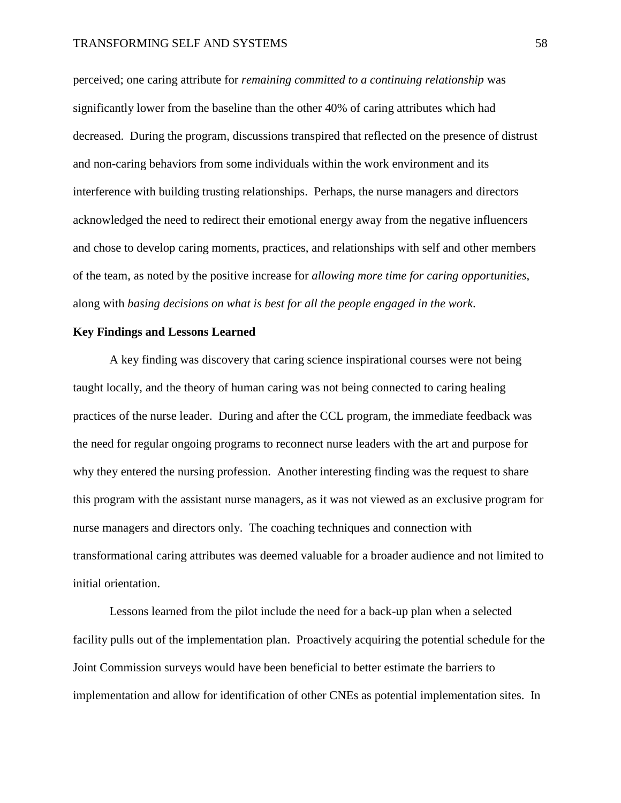#### TRANSFORMING SELF AND SYSTEMS 68 and the state of the state of the state of the state of the state of the state of the state of the state of the state of the state of the state of the state of the state of the state of the

perceived; one caring attribute for *remaining committed to a continuing relationship* was significantly lower from the baseline than the other 40% of caring attributes which had decreased. During the program, discussions transpired that reflected on the presence of distrust and non-caring behaviors from some individuals within the work environment and its interference with building trusting relationships. Perhaps, the nurse managers and directors acknowledged the need to redirect their emotional energy away from the negative influencers and chose to develop caring moments, practices, and relationships with self and other members of the team, as noted by the positive increase for *allowing more time for caring opportunities*, along with *basing decisions on what is best for all the people engaged in the work*.

## **Key Findings and Lessons Learned**

A key finding was discovery that caring science inspirational courses were not being taught locally, and the theory of human caring was not being connected to caring healing practices of the nurse leader. During and after the CCL program, the immediate feedback was the need for regular ongoing programs to reconnect nurse leaders with the art and purpose for why they entered the nursing profession. Another interesting finding was the request to share this program with the assistant nurse managers, as it was not viewed as an exclusive program for nurse managers and directors only. The coaching techniques and connection with transformational caring attributes was deemed valuable for a broader audience and not limited to initial orientation.

Lessons learned from the pilot include the need for a back-up plan when a selected facility pulls out of the implementation plan. Proactively acquiring the potential schedule for the Joint Commission surveys would have been beneficial to better estimate the barriers to implementation and allow for identification of other CNEs as potential implementation sites. In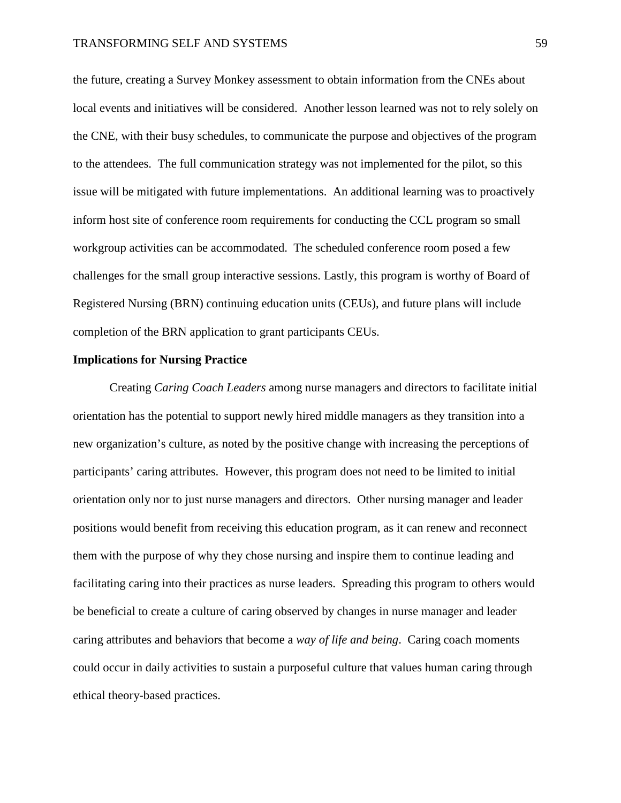the future, creating a Survey Monkey assessment to obtain information from the CNEs about local events and initiatives will be considered. Another lesson learned was not to rely solely on the CNE, with their busy schedules, to communicate the purpose and objectives of the program to the attendees. The full communication strategy was not implemented for the pilot, so this issue will be mitigated with future implementations. An additional learning was to proactively inform host site of conference room requirements for conducting the CCL program so small workgroup activities can be accommodated. The scheduled conference room posed a few challenges for the small group interactive sessions. Lastly, this program is worthy of Board of Registered Nursing (BRN) continuing education units (CEUs), and future plans will include completion of the BRN application to grant participants CEUs.

#### **Implications for Nursing Practice**

Creating *Caring Coach Leaders* among nurse managers and directors to facilitate initial orientation has the potential to support newly hired middle managers as they transition into a new organization's culture, as noted by the positive change with increasing the perceptions of participants' caring attributes. However, this program does not need to be limited to initial orientation only nor to just nurse managers and directors. Other nursing manager and leader positions would benefit from receiving this education program, as it can renew and reconnect them with the purpose of why they chose nursing and inspire them to continue leading and facilitating caring into their practices as nurse leaders. Spreading this program to others would be beneficial to create a culture of caring observed by changes in nurse manager and leader caring attributes and behaviors that become a *way of life and being*. Caring coach moments could occur in daily activities to sustain a purposeful culture that values human caring through ethical theory-based practices.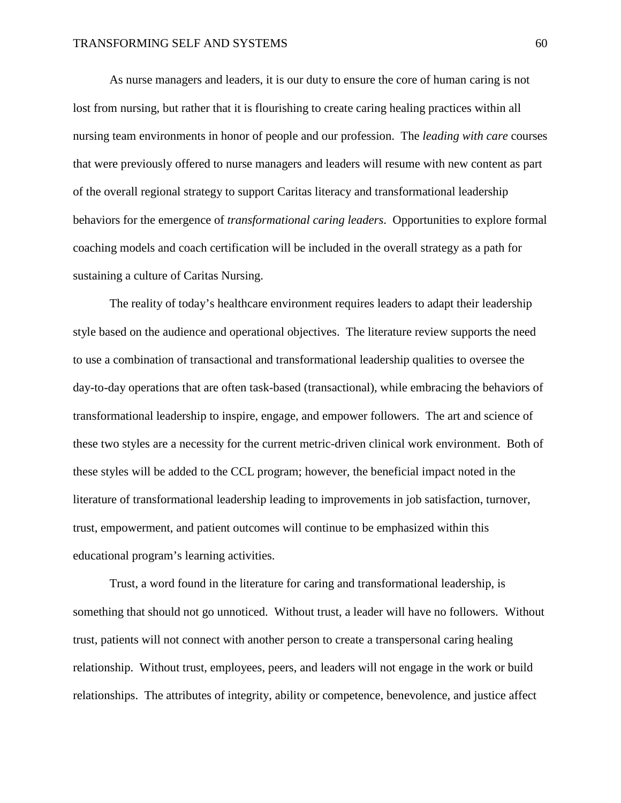As nurse managers and leaders, it is our duty to ensure the core of human caring is not lost from nursing, but rather that it is flourishing to create caring healing practices within all nursing team environments in honor of people and our profession. The *leading with care* courses that were previously offered to nurse managers and leaders will resume with new content as part of the overall regional strategy to support Caritas literacy and transformational leadership behaviors for the emergence of *transformational caring leaders*. Opportunities to explore formal coaching models and coach certification will be included in the overall strategy as a path for sustaining a culture of Caritas Nursing.

The reality of today's healthcare environment requires leaders to adapt their leadership style based on the audience and operational objectives. The literature review supports the need to use a combination of transactional and transformational leadership qualities to oversee the day-to-day operations that are often task-based (transactional), while embracing the behaviors of transformational leadership to inspire, engage, and empower followers. The art and science of these two styles are a necessity for the current metric-driven clinical work environment. Both of these styles will be added to the CCL program; however, the beneficial impact noted in the literature of transformational leadership leading to improvements in job satisfaction, turnover, trust, empowerment, and patient outcomes will continue to be emphasized within this educational program's learning activities.

Trust, a word found in the literature for caring and transformational leadership, is something that should not go unnoticed. Without trust, a leader will have no followers. Without trust, patients will not connect with another person to create a transpersonal caring healing relationship. Without trust, employees, peers, and leaders will not engage in the work or build relationships. The attributes of integrity, ability or competence, benevolence, and justice affect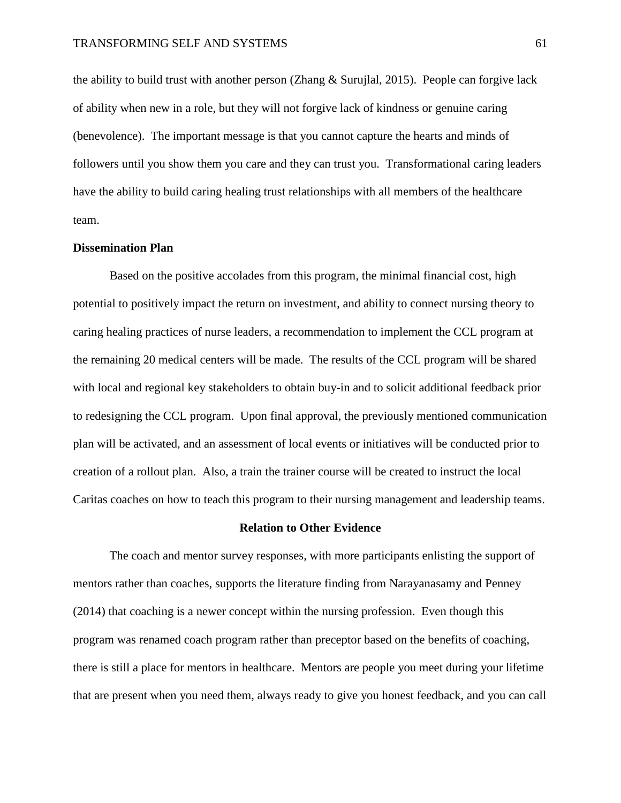the ability to build trust with another person (Zhang & Surujlal, 2015). People can forgive lack of ability when new in a role, but they will not forgive lack of kindness or genuine caring (benevolence). The important message is that you cannot capture the hearts and minds of followers until you show them you care and they can trust you. Transformational caring leaders have the ability to build caring healing trust relationships with all members of the healthcare team.

## **Dissemination Plan**

Based on the positive accolades from this program, the minimal financial cost, high potential to positively impact the return on investment, and ability to connect nursing theory to caring healing practices of nurse leaders, a recommendation to implement the CCL program at the remaining 20 medical centers will be made. The results of the CCL program will be shared with local and regional key stakeholders to obtain buy-in and to solicit additional feedback prior to redesigning the CCL program. Upon final approval, the previously mentioned communication plan will be activated, and an assessment of local events or initiatives will be conducted prior to creation of a rollout plan. Also, a train the trainer course will be created to instruct the local Caritas coaches on how to teach this program to their nursing management and leadership teams.

#### **Relation to Other Evidence**

The coach and mentor survey responses, with more participants enlisting the support of mentors rather than coaches, supports the literature finding from Narayanasamy and Penney (2014) that coaching is a newer concept within the nursing profession. Even though this program was renamed coach program rather than preceptor based on the benefits of coaching, there is still a place for mentors in healthcare. Mentors are people you meet during your lifetime that are present when you need them, always ready to give you honest feedback, and you can call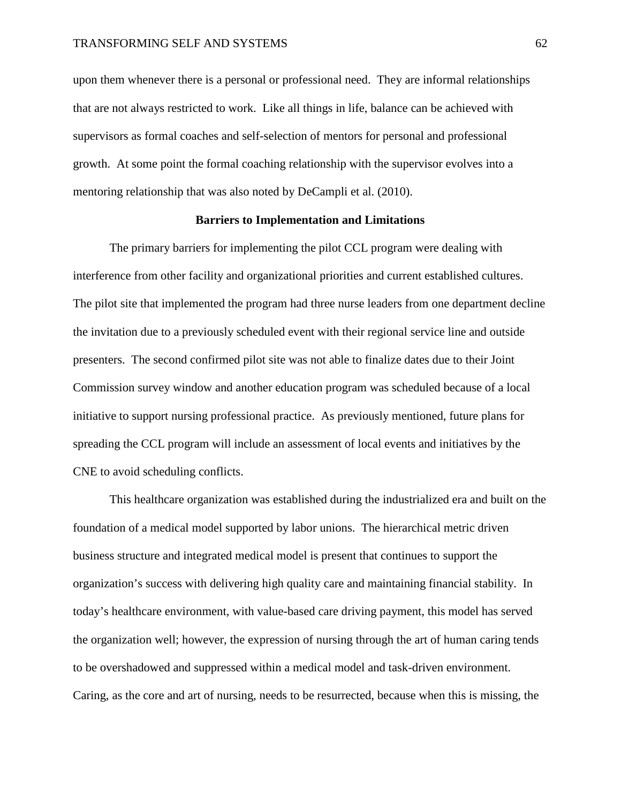upon them whenever there is a personal or professional need. They are informal relationships that are not always restricted to work. Like all things in life, balance can be achieved with supervisors as formal coaches and self-selection of mentors for personal and professional growth. At some point the formal coaching relationship with the supervisor evolves into a mentoring relationship that was also noted by DeCampli et al. (2010).

## **Barriers to Implementation and Limitations**

The primary barriers for implementing the pilot CCL program were dealing with interference from other facility and organizational priorities and current established cultures. The pilot site that implemented the program had three nurse leaders from one department decline the invitation due to a previously scheduled event with their regional service line and outside presenters. The second confirmed pilot site was not able to finalize dates due to their Joint Commission survey window and another education program was scheduled because of a local initiative to support nursing professional practice. As previously mentioned, future plans for spreading the CCL program will include an assessment of local events and initiatives by the CNE to avoid scheduling conflicts.

This healthcare organization was established during the industrialized era and built on the foundation of a medical model supported by labor unions. The hierarchical metric driven business structure and integrated medical model is present that continues to support the organization's success with delivering high quality care and maintaining financial stability. In today's healthcare environment, with value-based care driving payment, this model has served the organization well; however, the expression of nursing through the art of human caring tends to be overshadowed and suppressed within a medical model and task-driven environment. Caring, as the core and art of nursing, needs to be resurrected, because when this is missing, the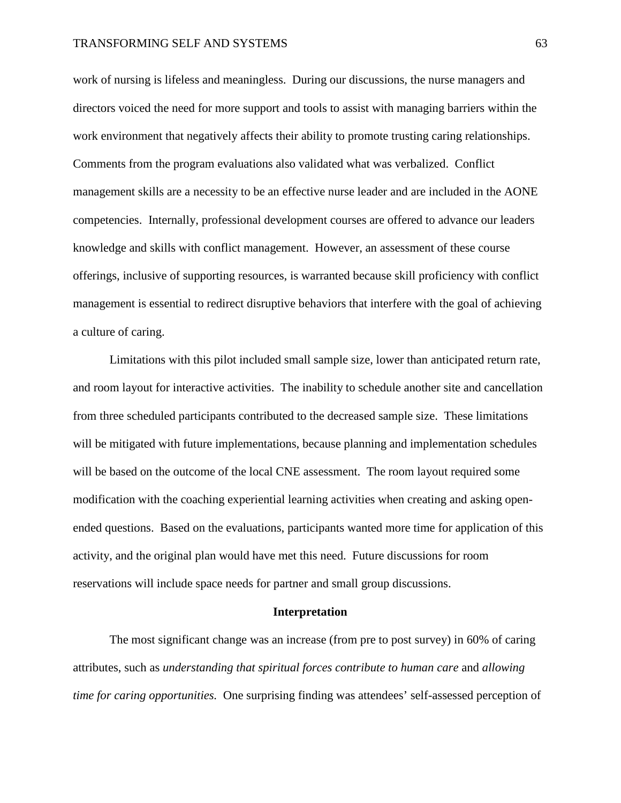work of nursing is lifeless and meaningless. During our discussions, the nurse managers and directors voiced the need for more support and tools to assist with managing barriers within the work environment that negatively affects their ability to promote trusting caring relationships. Comments from the program evaluations also validated what was verbalized. Conflict management skills are a necessity to be an effective nurse leader and are included in the AONE competencies. Internally, professional development courses are offered to advance our leaders knowledge and skills with conflict management. However, an assessment of these course offerings, inclusive of supporting resources, is warranted because skill proficiency with conflict management is essential to redirect disruptive behaviors that interfere with the goal of achieving a culture of caring.

Limitations with this pilot included small sample size, lower than anticipated return rate, and room layout for interactive activities. The inability to schedule another site and cancellation from three scheduled participants contributed to the decreased sample size. These limitations will be mitigated with future implementations, because planning and implementation schedules will be based on the outcome of the local CNE assessment. The room layout required some modification with the coaching experiential learning activities when creating and asking openended questions. Based on the evaluations, participants wanted more time for application of this activity, and the original plan would have met this need. Future discussions for room reservations will include space needs for partner and small group discussions.

#### **Interpretation**

The most significant change was an increase (from pre to post survey) in 60% of caring attributes, such as *understanding that spiritual forces contribute to human care* and *allowing time for caring opportunities.* One surprising finding was attendees' self-assessed perception of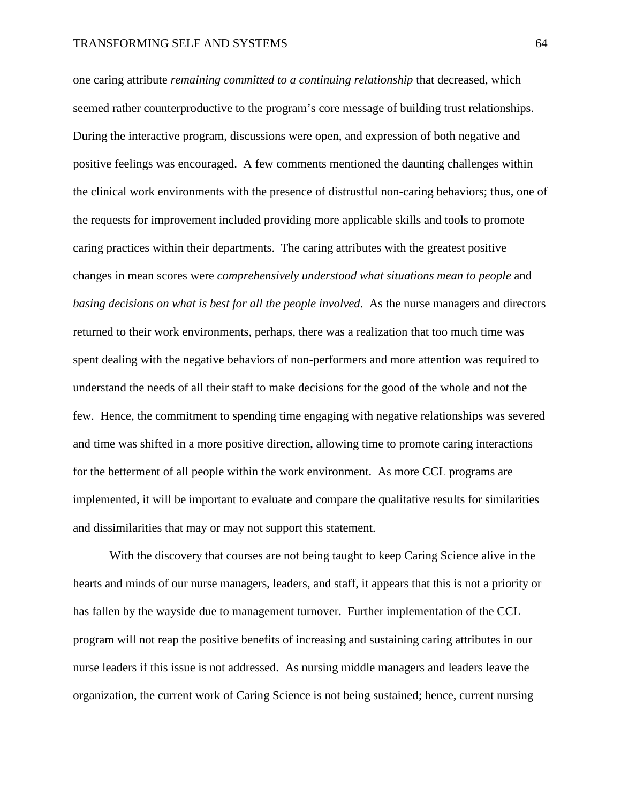one caring attribute *remaining committed to a continuing relationship* that decreased, which seemed rather counterproductive to the program's core message of building trust relationships. During the interactive program, discussions were open, and expression of both negative and positive feelings was encouraged. A few comments mentioned the daunting challenges within the clinical work environments with the presence of distrustful non-caring behaviors; thus, one of the requests for improvement included providing more applicable skills and tools to promote caring practices within their departments. The caring attributes with the greatest positive changes in mean scores were *comprehensively understood what situations mean to people* and *basing decisions on what is best for all the people involved*. As the nurse managers and directors returned to their work environments, perhaps, there was a realization that too much time was spent dealing with the negative behaviors of non-performers and more attention was required to understand the needs of all their staff to make decisions for the good of the whole and not the few. Hence, the commitment to spending time engaging with negative relationships was severed and time was shifted in a more positive direction, allowing time to promote caring interactions for the betterment of all people within the work environment. As more CCL programs are implemented, it will be important to evaluate and compare the qualitative results for similarities and dissimilarities that may or may not support this statement.

With the discovery that courses are not being taught to keep Caring Science alive in the hearts and minds of our nurse managers, leaders, and staff, it appears that this is not a priority or has fallen by the wayside due to management turnover. Further implementation of the CCL program will not reap the positive benefits of increasing and sustaining caring attributes in our nurse leaders if this issue is not addressed. As nursing middle managers and leaders leave the organization, the current work of Caring Science is not being sustained; hence, current nursing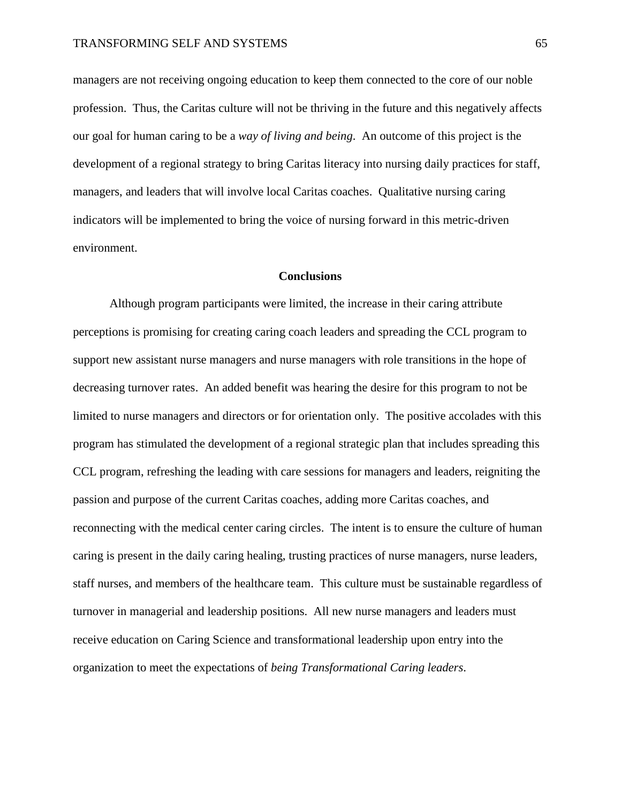managers are not receiving ongoing education to keep them connected to the core of our noble profession. Thus, the Caritas culture will not be thriving in the future and this negatively affects our goal for human caring to be a *way of living and being*. An outcome of this project is the development of a regional strategy to bring Caritas literacy into nursing daily practices for staff, managers, and leaders that will involve local Caritas coaches. Qualitative nursing caring indicators will be implemented to bring the voice of nursing forward in this metric-driven environment.

## **Conclusions**

Although program participants were limited, the increase in their caring attribute perceptions is promising for creating caring coach leaders and spreading the CCL program to support new assistant nurse managers and nurse managers with role transitions in the hope of decreasing turnover rates. An added benefit was hearing the desire for this program to not be limited to nurse managers and directors or for orientation only. The positive accolades with this program has stimulated the development of a regional strategic plan that includes spreading this CCL program, refreshing the leading with care sessions for managers and leaders, reigniting the passion and purpose of the current Caritas coaches, adding more Caritas coaches, and reconnecting with the medical center caring circles. The intent is to ensure the culture of human caring is present in the daily caring healing, trusting practices of nurse managers, nurse leaders, staff nurses, and members of the healthcare team. This culture must be sustainable regardless of turnover in managerial and leadership positions. All new nurse managers and leaders must receive education on Caring Science and transformational leadership upon entry into the organization to meet the expectations of *being Transformational Caring leaders*.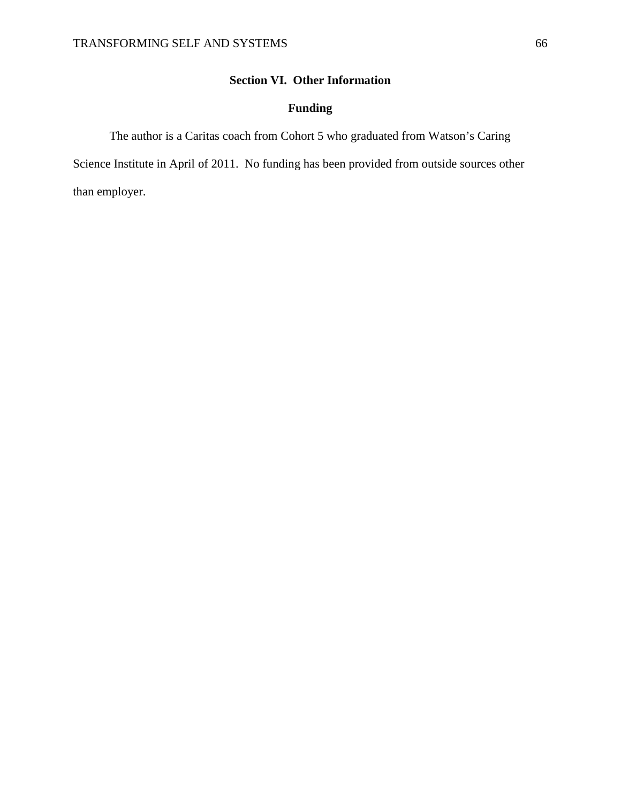## **Section VI. Other Information**

## **Funding**

The author is a Caritas coach from Cohort 5 who graduated from Watson's Caring

Science Institute in April of 2011. No funding has been provided from outside sources other than employer.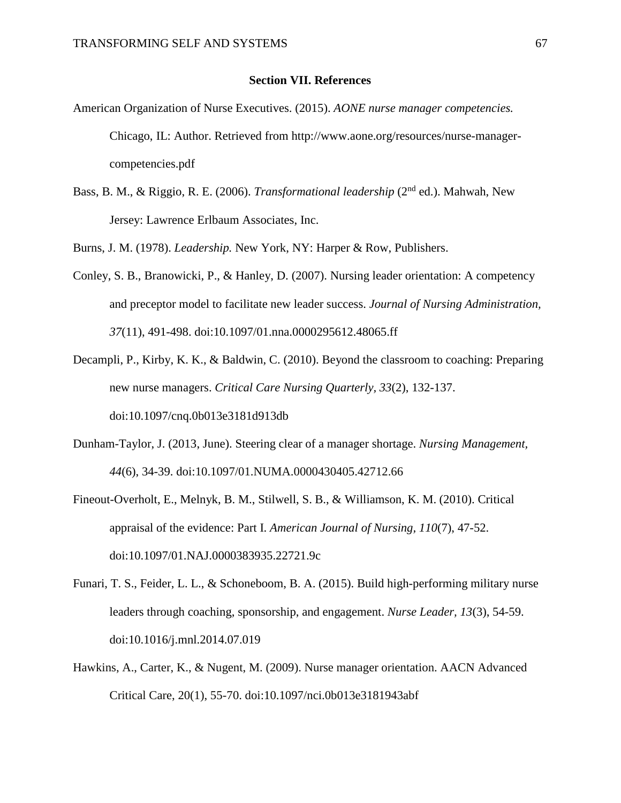### **Section VII. References**

- American Organization of Nurse Executives. (2015). *AONE nurse manager competencies.*  Chicago, IL: Author. Retrieved from http://www.aone.org/resources/nurse-managercompetencies.pdf
- Bass, B. M., & Riggio, R. E. (2006). *Transformational leadership* (2nd ed.). Mahwah, New Jersey: Lawrence Erlbaum Associates, Inc.

Burns, J. M. (1978). *Leadership.* New York, NY: Harper & Row, Publishers.

- Conley, S. B., Branowicki, P., & Hanley, D. (2007). Nursing leader orientation: A competency and preceptor model to facilitate new leader success. *Journal of Nursing Administration, 37*(11), 491-498. doi:10.1097/01.nna.0000295612.48065.ff
- Decampli, P., Kirby, K. K., & Baldwin, C. (2010). Beyond the classroom to coaching: Preparing new nurse managers. *Critical Care Nursing Quarterly, 33*(2), 132-137. doi:10.1097/cnq.0b013e3181d913db
- Dunham-Taylor, J. (2013, June). Steering clear of a manager shortage. *Nursing Management, 44*(6), 34-39. doi:10.1097/01.NUMA.0000430405.42712.66
- Fineout-Overholt, E., Melnyk, B. M., Stilwell, S. B., & Williamson, K. M. (2010). Critical appraisal of the evidence: Part I. *American Journal of Nursing, 110*(7), 47-52. doi:10.1097/01.NAJ.0000383935.22721.9c
- Funari, T. S., Feider, L. L., & Schoneboom, B. A. (2015). Build high-performing military nurse leaders through coaching, sponsorship, and engagement. *Nurse Leader, 13*(3), 54-59. doi:10.1016/j.mnl.2014.07.019
- Hawkins, A., Carter, K., & Nugent, M. (2009). Nurse manager orientation. AACN Advanced Critical Care, 20(1), 55-70. doi:10.1097/nci.0b013e3181943abf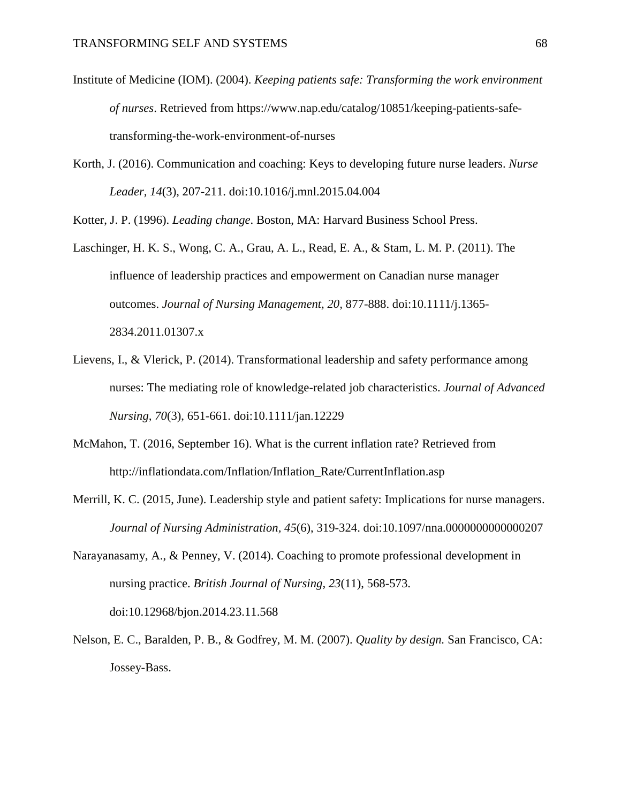- Institute of Medicine (IOM). (2004). *Keeping patients safe: Transforming the work environment of nurses*. Retrieved from https://www.nap.edu/catalog/10851/keeping-patients-safetransforming-the-work-environment-of-nurses
- Korth, J. (2016). Communication and coaching: Keys to developing future nurse leaders. *Nurse Leader, 14*(3), 207-211. doi:10.1016/j.mnl.2015.04.004

Kotter, J. P. (1996). *Leading change*. Boston, MA: Harvard Business School Press.

- Laschinger, H. K. S., Wong, C. A., Grau, A. L., Read, E. A., & Stam, L. M. P. (2011). The influence of leadership practices and empowerment on Canadian nurse manager outcomes. *Journal of Nursing Management, 20,* 877-888. doi:10.1111/j.1365- 2834.2011.01307.x
- Lievens, I., & Vlerick, P. (2014). Transformational leadership and safety performance among nurses: The mediating role of knowledge-related job characteristics. *Journal of Advanced Nursing, 70*(3), 651-661. doi:10.1111/jan.12229
- McMahon, T. (2016, September 16). What is the current inflation rate? Retrieved from http://inflationdata.com/Inflation/Inflation\_Rate/CurrentInflation.asp
- Merrill, K. C. (2015, June). Leadership style and patient safety: Implications for nurse managers. *Journal of Nursing Administration, 45*(6), 319-324. doi:10.1097/nna.0000000000000207
- Narayanasamy, A., & Penney, V. (2014). Coaching to promote professional development in nursing practice. *British Journal of Nursing, 23*(11), 568-573. doi:10.12968/bjon.2014.23.11.568
- Nelson, E. C., Baralden, P. B., & Godfrey, M. M. (2007). *Quality by design.* San Francisco, CA: Jossey-Bass.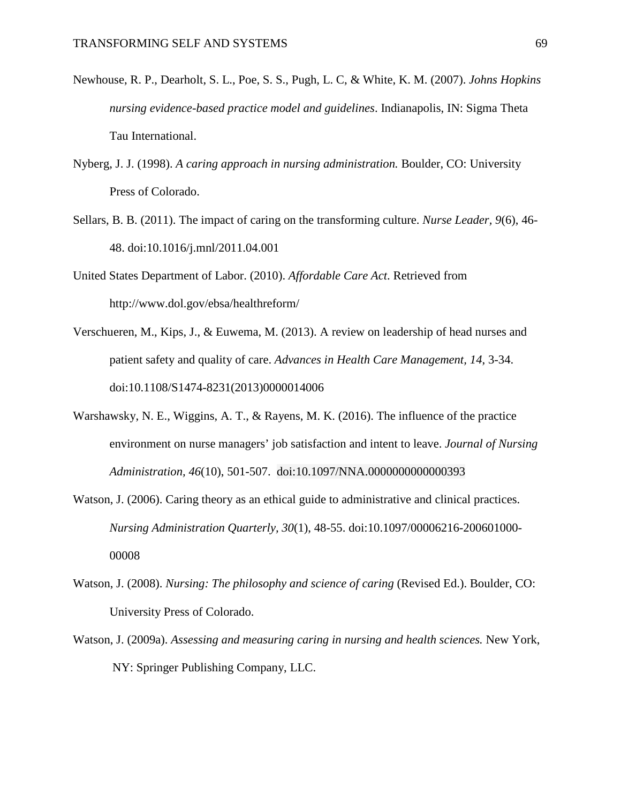- Newhouse, R. P., Dearholt, S. L., Poe, S. S., Pugh, L. C, & White, K. M. (2007). *Johns Hopkins nursing evidence-based practice model and guidelines*. Indianapolis, IN: Sigma Theta Tau International.
- Nyberg, J. J. (1998). *A caring approach in nursing administration.* Boulder, CO: University Press of Colorado.
- Sellars, B. B. (2011). The impact of caring on the transforming culture. *Nurse Leader, 9*(6), 46- 48. doi:10.1016/j.mnl/2011.04.001
- United States Department of Labor. (2010). *Affordable Care Act*. Retrieved from http://www.dol.gov/ebsa/healthreform/
- Verschueren, M., Kips, J., & Euwema, M. (2013). A review on leadership of head nurses and patient safety and quality of care. *Advances in Health Care Management, 14*, 3-34. doi:10.1108/S1474-8231(2013)0000014006
- Warshawsky, N. E., Wiggins, A. T., & Rayens, M. K. (2016). The influence of the practice environment on nurse managers' job satisfaction and intent to leave. *Journal of Nursing Administration, 46*(10), 501-507. doi:10.1097/NNA.0000000000000393
- Watson, J. (2006). Caring theory as an ethical guide to administrative and clinical practices. *Nursing Administration Quarterly, 30*(1), 48-55. doi:10.1097/00006216-200601000- 00008
- Watson, J. (2008). *Nursing: The philosophy and science of caring* (Revised Ed.). Boulder, CO: University Press of Colorado.
- Watson, J. (2009a). *Assessing and measuring caring in nursing and health sciences.* New York, NY: Springer Publishing Company, LLC.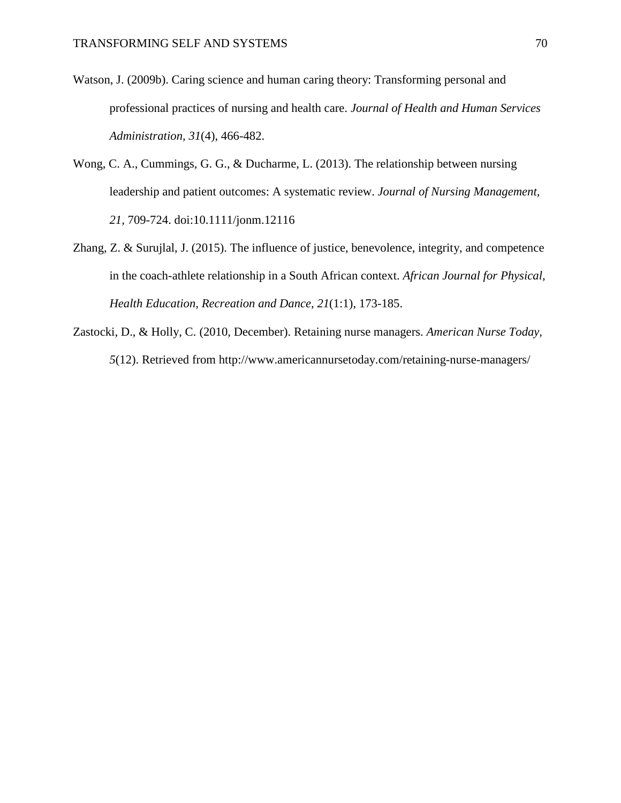- Watson, J. (2009b). Caring science and human caring theory: Transforming personal and professional practices of nursing and health care. *Journal of Health and Human Services Administration, 31*(4), 466-482.
- Wong, C. A., Cummings, G. G., & Ducharme, L. (2013). The relationship between nursing leadership and patient outcomes: A systematic review. *Journal of Nursing Management, 21,* 709-724. doi:10.1111/jonm.12116
- Zhang, Z. & Surujlal, J. (2015). The influence of justice, benevolence, integrity, and competence in the coach-athlete relationship in a South African context. *African Journal for Physical, Health Education, Recreation and Dance, 21*(1:1), 173-185.
- Zastocki, D., & Holly, C. (2010, December). Retaining nurse managers. *American Nurse Today, 5*(12). Retrieved from http://www.americannursetoday.com/retaining-nurse-managers/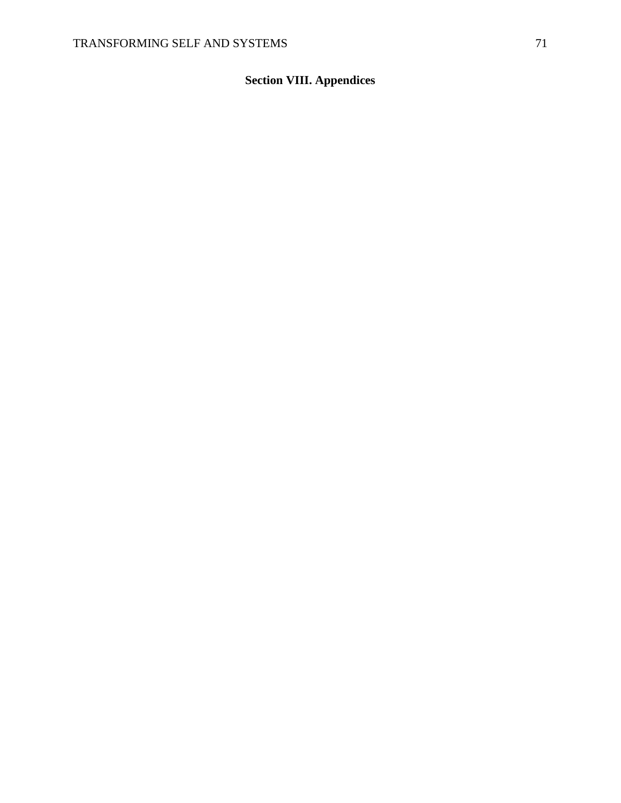# **Section VIII. Appendices**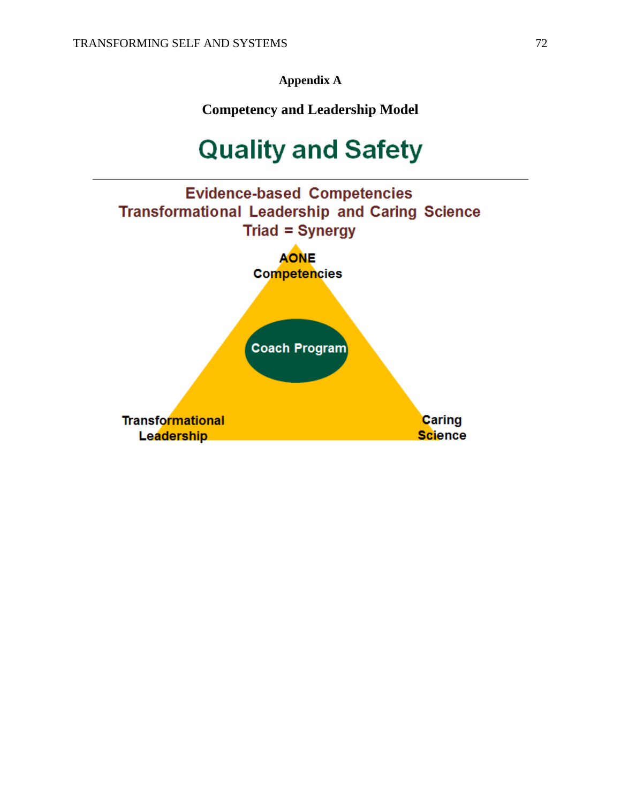**Appendix A**

**Competency and Leadership Model**

# **Quality and Safety**

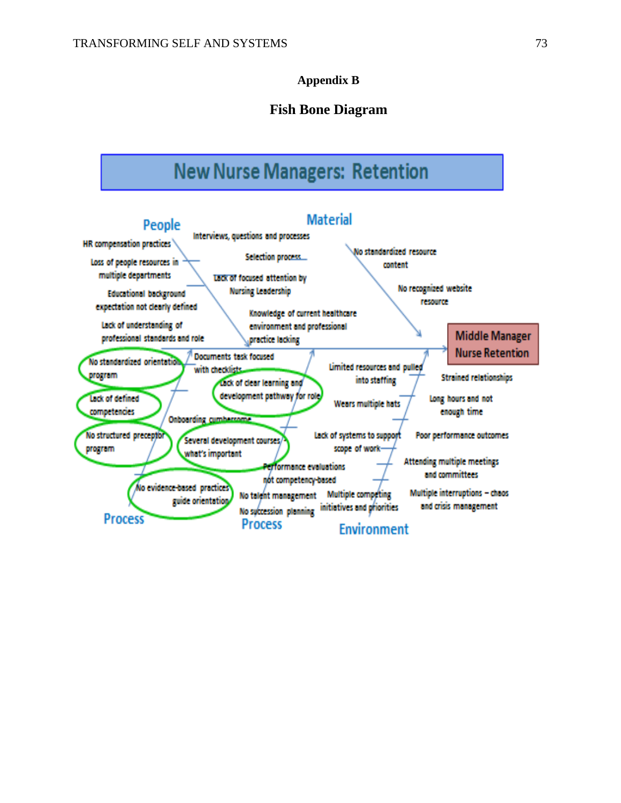### **Appendix B**

### **Fish Bone Diagram**

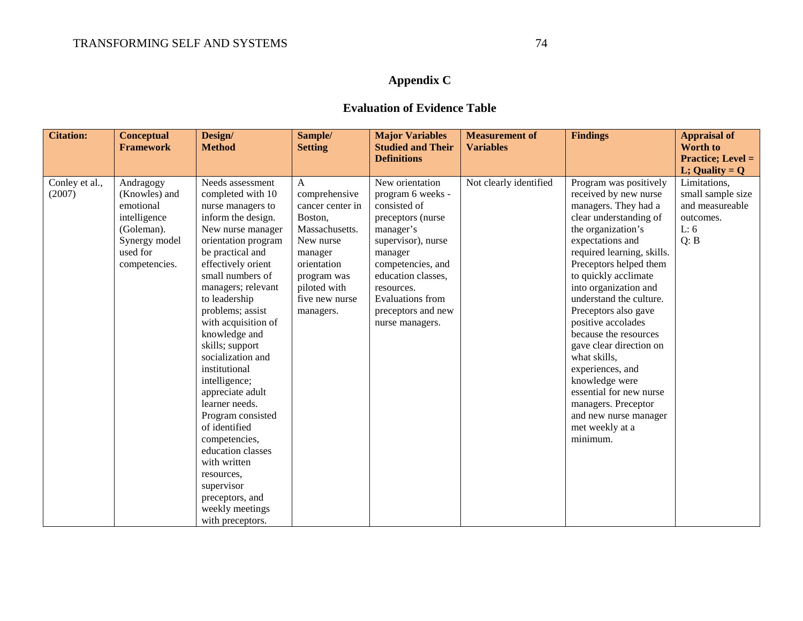## **Appendix C**

### **Evaluation of Evidence Table**

| <b>Citation:</b>         | <b>Conceptual</b><br><b>Framework</b>                                                                               | Design/<br><b>Method</b>                                                                                                                                                                                                                                                                                                                                                                                                                                                                                                                                                                        | Sample/<br><b>Setting</b>                                                                                                                                                | <b>Major Variables</b><br><b>Studied and Their</b>                                                                                                                                                                                            | <b>Measurement of</b><br><b>Variables</b> | <b>Findings</b>                                                                                                                                                                                                                                                                                                                                                                                                                                                                                                                                   | <b>Appraisal of</b><br><b>Worth to</b>                                            |
|--------------------------|---------------------------------------------------------------------------------------------------------------------|-------------------------------------------------------------------------------------------------------------------------------------------------------------------------------------------------------------------------------------------------------------------------------------------------------------------------------------------------------------------------------------------------------------------------------------------------------------------------------------------------------------------------------------------------------------------------------------------------|--------------------------------------------------------------------------------------------------------------------------------------------------------------------------|-----------------------------------------------------------------------------------------------------------------------------------------------------------------------------------------------------------------------------------------------|-------------------------------------------|---------------------------------------------------------------------------------------------------------------------------------------------------------------------------------------------------------------------------------------------------------------------------------------------------------------------------------------------------------------------------------------------------------------------------------------------------------------------------------------------------------------------------------------------------|-----------------------------------------------------------------------------------|
|                          |                                                                                                                     |                                                                                                                                                                                                                                                                                                                                                                                                                                                                                                                                                                                                 |                                                                                                                                                                          | <b>Definitions</b>                                                                                                                                                                                                                            |                                           |                                                                                                                                                                                                                                                                                                                                                                                                                                                                                                                                                   | <b>Practice; Level =</b><br>L; Quality = $Q$                                      |
| Conley et al.,<br>(2007) | Andragogy<br>(Knowles) and<br>emotional<br>intelligence<br>(Goleman).<br>Synergy model<br>used for<br>competencies. | Needs assessment<br>completed with 10<br>nurse managers to<br>inform the design.<br>New nurse manager<br>orientation program<br>be practical and<br>effectively orient<br>small numbers of<br>managers; relevant<br>to leadership<br>problems; assist<br>with acquisition of<br>knowledge and<br>skills; support<br>socialization and<br>institutional<br>intelligence;<br>appreciate adult<br>learner needs.<br>Program consisted<br>of identified<br>competencies,<br>education classes<br>with written<br>resources,<br>supervisor<br>preceptors, and<br>weekly meetings<br>with preceptors. | A<br>comprehensive<br>cancer center in<br>Boston,<br>Massachusetts.<br>New nurse<br>manager<br>orientation<br>program was<br>piloted with<br>five new nurse<br>managers. | New orientation<br>program 6 weeks -<br>consisted of<br>preceptors (nurse<br>manager's<br>supervisor), nurse<br>manager<br>competencies, and<br>education classes,<br>resources.<br>Evaluations from<br>preceptors and new<br>nurse managers. | Not clearly identified                    | Program was positively<br>received by new nurse<br>managers. They had a<br>clear understanding of<br>the organization's<br>expectations and<br>required learning, skills.<br>Preceptors helped them<br>to quickly acclimate<br>into organization and<br>understand the culture.<br>Preceptors also gave<br>positive accolades<br>because the resources<br>gave clear direction on<br>what skills,<br>experiences, and<br>knowledge were<br>essential for new nurse<br>managers. Preceptor<br>and new nurse manager<br>met weekly at a<br>minimum. | Limitations,<br>small sample size<br>and measureable<br>outcomes.<br>L: 6<br>Q: B |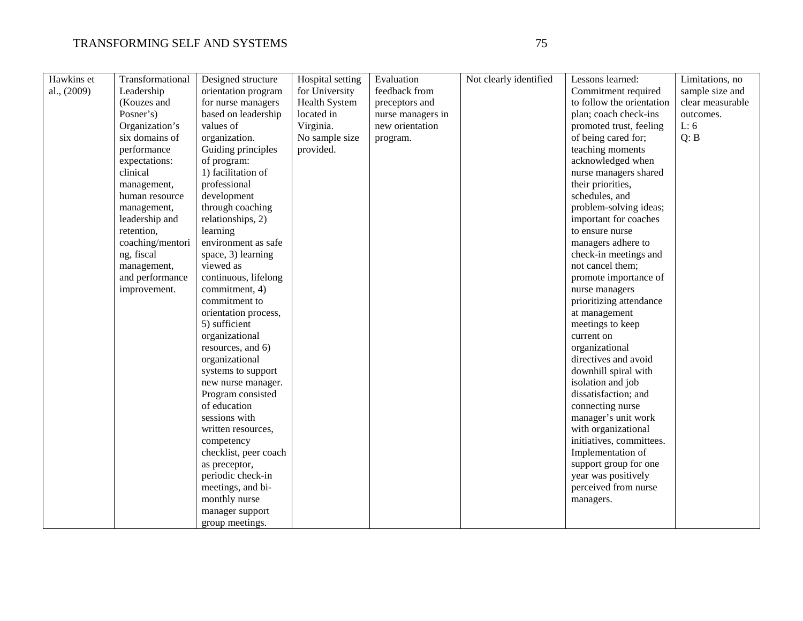| Hawkins et  | Transformational | Designed structure    | Hospital setting     | Evaluation        | Not clearly identified | Lessons learned:          | Limitations, no  |
|-------------|------------------|-----------------------|----------------------|-------------------|------------------------|---------------------------|------------------|
| al., (2009) | Leadership       | orientation program   | for University       | feedback from     |                        | Commitment required       | sample size and  |
|             | (Kouzes and      | for nurse managers    | <b>Health System</b> | preceptors and    |                        | to follow the orientation | clear measurable |
|             | Posner's)        | based on leadership   | located in           | nurse managers in |                        | plan; coach check-ins     | outcomes.        |
|             | Organization's   | values of             | Virginia.            | new orientation   |                        | promoted trust, feeling   | L: 6             |
|             | six domains of   | organization.         | No sample size       | program.          |                        | of being cared for;       | Q: B             |
|             | performance      | Guiding principles    | provided.            |                   |                        | teaching moments          |                  |
|             | expectations:    | of program:           |                      |                   |                        | acknowledged when         |                  |
|             | clinical         | 1) facilitation of    |                      |                   |                        | nurse managers shared     |                  |
|             | management,      | professional          |                      |                   |                        | their priorities,         |                  |
|             | human resource   | development           |                      |                   |                        | schedules, and            |                  |
|             | management,      | through coaching      |                      |                   |                        | problem-solving ideas;    |                  |
|             | leadership and   | relationships, 2)     |                      |                   |                        | important for coaches     |                  |
|             | retention,       | learning              |                      |                   |                        | to ensure nurse           |                  |
|             | coaching/mentori | environment as safe   |                      |                   |                        | managers adhere to        |                  |
|             | ng, fiscal       | space, 3) learning    |                      |                   |                        | check-in meetings and     |                  |
|             | management,      | viewed as             |                      |                   |                        | not cancel them;          |                  |
|             | and performance  | continuous, lifelong  |                      |                   |                        | promote importance of     |                  |
|             | improvement.     | commitment, 4)        |                      |                   |                        | nurse managers            |                  |
|             |                  | commitment to         |                      |                   |                        | prioritizing attendance   |                  |
|             |                  | orientation process,  |                      |                   |                        | at management             |                  |
|             |                  | 5) sufficient         |                      |                   |                        | meetings to keep          |                  |
|             |                  | organizational        |                      |                   |                        | current on                |                  |
|             |                  | resources, and 6)     |                      |                   |                        | organizational            |                  |
|             |                  | organizational        |                      |                   |                        | directives and avoid      |                  |
|             |                  | systems to support    |                      |                   |                        | downhill spiral with      |                  |
|             |                  | new nurse manager.    |                      |                   |                        | isolation and job         |                  |
|             |                  | Program consisted     |                      |                   |                        | dissatisfaction; and      |                  |
|             |                  | of education          |                      |                   |                        | connecting nurse          |                  |
|             |                  | sessions with         |                      |                   |                        | manager's unit work       |                  |
|             |                  | written resources,    |                      |                   |                        | with organizational       |                  |
|             |                  | competency            |                      |                   |                        | initiatives, committees.  |                  |
|             |                  | checklist, peer coach |                      |                   |                        | Implementation of         |                  |
|             |                  | as preceptor,         |                      |                   |                        | support group for one     |                  |
|             |                  | periodic check-in     |                      |                   |                        | year was positively       |                  |
|             |                  | meetings, and bi-     |                      |                   |                        | perceived from nurse      |                  |
|             |                  | monthly nurse         |                      |                   |                        | managers.                 |                  |
|             |                  | manager support       |                      |                   |                        |                           |                  |
|             |                  | group meetings.       |                      |                   |                        |                           |                  |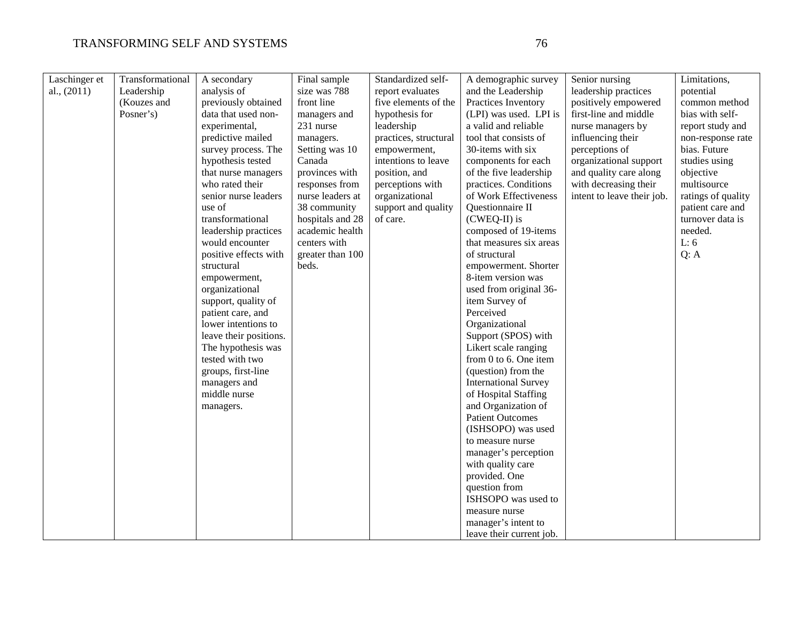### TRANSFORMING SELF AND SYSTEMS 76

| Laschinger et | Transformational | A secondary            | Final sample     | Standardized self-    | A demographic survey        | Senior nursing             | Limitations,       |
|---------------|------------------|------------------------|------------------|-----------------------|-----------------------------|----------------------------|--------------------|
| al., $(2011)$ | Leadership       | analysis of            | size was 788     | report evaluates      | and the Leadership          | leadership practices       | potential          |
|               | (Kouzes and      | previously obtained    | front line       | five elements of the  | Practices Inventory         | positively empowered       | common method      |
|               | Posner's)        | data that used non-    | managers and     | hypothesis for        | (LPI) was used. LPI is      | first-line and middle      | bias with self-    |
|               |                  | experimental,          | 231 nurse        | leadership            | a valid and reliable        | nurse managers by          | report study and   |
|               |                  | predictive mailed      | managers.        | practices, structural | tool that consists of       | influencing their          | non-response rate  |
|               |                  | survey process. The    | Setting was 10   | empowerment,          | 30-items with six           | perceptions of             | bias. Future       |
|               |                  | hypothesis tested      | Canada           | intentions to leave   | components for each         | organizational support     | studies using      |
|               |                  | that nurse managers    | provinces with   | position, and         | of the five leadership      | and quality care along     | objective          |
|               |                  | who rated their        | responses from   | perceptions with      | practices. Conditions       | with decreasing their      | multisource        |
|               |                  | senior nurse leaders   | nurse leaders at | organizational        | of Work Effectiveness       | intent to leave their job. | ratings of quality |
|               |                  | use of                 | 38 community     | support and quality   | Questionnaire II            |                            | patient care and   |
|               |                  | transformational       | hospitals and 28 | of care.              | (CWEQ-II) is                |                            | turnover data is   |
|               |                  | leadership practices   | academic health  |                       | composed of 19-items        |                            | needed.            |
|               |                  | would encounter        | centers with     |                       | that measures six areas     |                            | L: 6               |
|               |                  | positive effects with  | greater than 100 |                       | of structural               |                            | Q: A               |
|               |                  | structural             | beds.            |                       | empowerment. Shorter        |                            |                    |
|               |                  |                        |                  |                       | 8-item version was          |                            |                    |
|               |                  | empowerment,           |                  |                       |                             |                            |                    |
|               |                  | organizational         |                  |                       | used from original 36-      |                            |                    |
|               |                  | support, quality of    |                  |                       | item Survey of              |                            |                    |
|               |                  | patient care, and      |                  |                       | Perceived                   |                            |                    |
|               |                  | lower intentions to    |                  |                       | Organizational              |                            |                    |
|               |                  | leave their positions. |                  |                       | Support (SPOS) with         |                            |                    |
|               |                  | The hypothesis was     |                  |                       | Likert scale ranging        |                            |                    |
|               |                  | tested with two        |                  |                       | from $0$ to $6$ . One item  |                            |                    |
|               |                  | groups, first-line     |                  |                       | (question) from the         |                            |                    |
|               |                  | managers and           |                  |                       | <b>International Survey</b> |                            |                    |
|               |                  | middle nurse           |                  |                       | of Hospital Staffing        |                            |                    |
|               |                  | managers.              |                  |                       | and Organization of         |                            |                    |
|               |                  |                        |                  |                       | <b>Patient Outcomes</b>     |                            |                    |
|               |                  |                        |                  |                       | (ISHSOPO) was used          |                            |                    |
|               |                  |                        |                  |                       | to measure nurse            |                            |                    |
|               |                  |                        |                  |                       | manager's perception        |                            |                    |
|               |                  |                        |                  |                       | with quality care           |                            |                    |
|               |                  |                        |                  |                       | provided. One               |                            |                    |
|               |                  |                        |                  |                       | question from               |                            |                    |
|               |                  |                        |                  |                       | ISHSOPO was used to         |                            |                    |
|               |                  |                        |                  |                       | measure nurse               |                            |                    |
|               |                  |                        |                  |                       | manager's intent to         |                            |                    |
|               |                  |                        |                  |                       | leave their current job.    |                            |                    |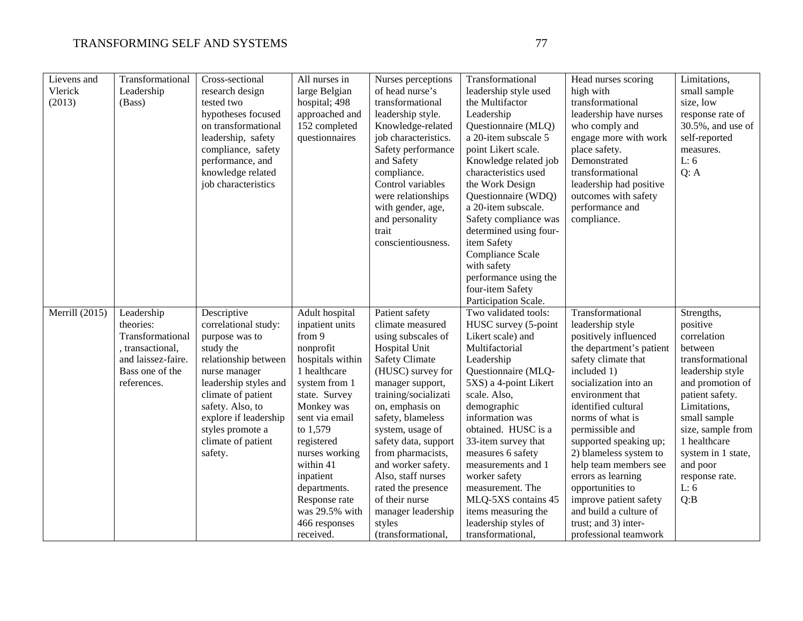| Lievens and<br>Vlerick<br>(2013) | Transformational<br>Leadership<br>(Bass)                                                                                | Cross-sectional<br>research design<br>tested two<br>hypotheses focused<br>on transformational<br>leadership, safety<br>compliance, safety<br>performance, and<br>knowledge related<br>job characteristics                                                    | All nurses in<br>large Belgian<br>hospital; 498<br>approached and<br>152 completed<br>questionnaires                                                                                                                                                                                                                  | Nurses perceptions<br>of head nurse's<br>transformational<br>leadership style.<br>Knowledge-related<br>job characteristics.<br>Safety performance<br>and Safety<br>compliance.<br>Control variables<br>were relationships<br>with gender, age,<br>and personality<br>trait<br>conscientiousness.                                                                                                                       | Transformational<br>leadership style used<br>the Multifactor<br>Leadership<br>Questionnaire (MLQ)<br>a 20-item subscale 5<br>point Likert scale.<br>Knowledge related job<br>characteristics used<br>the Work Design<br>Questionnaire (WDQ)<br>a 20-item subscale.<br>Safety compliance was<br>determined using four-<br>item Safety<br>Compliance Scale<br>with safety<br>performance using the<br>four-item Safety<br>Participation Scale. | Head nurses scoring<br>high with<br>transformational<br>leadership have nurses<br>who comply and<br>engage more with work<br>place safety.<br>Demonstrated<br>transformational<br>leadership had positive<br>outcomes with safety<br>performance and<br>compliance.                                                                                                                                                                                                    | Limitations,<br>small sample<br>size, low<br>response rate of<br>$30.5\%$ , and use of<br>self-reported<br>measures.<br>L: 6<br>Q: A                                                                                                                                    |
|----------------------------------|-------------------------------------------------------------------------------------------------------------------------|--------------------------------------------------------------------------------------------------------------------------------------------------------------------------------------------------------------------------------------------------------------|-----------------------------------------------------------------------------------------------------------------------------------------------------------------------------------------------------------------------------------------------------------------------------------------------------------------------|------------------------------------------------------------------------------------------------------------------------------------------------------------------------------------------------------------------------------------------------------------------------------------------------------------------------------------------------------------------------------------------------------------------------|----------------------------------------------------------------------------------------------------------------------------------------------------------------------------------------------------------------------------------------------------------------------------------------------------------------------------------------------------------------------------------------------------------------------------------------------|------------------------------------------------------------------------------------------------------------------------------------------------------------------------------------------------------------------------------------------------------------------------------------------------------------------------------------------------------------------------------------------------------------------------------------------------------------------------|-------------------------------------------------------------------------------------------------------------------------------------------------------------------------------------------------------------------------------------------------------------------------|
| Merrill (2015)                   | Leadership<br>theories:<br>Transformational<br>, transactional,<br>and laissez-faire.<br>Bass one of the<br>references. | Descriptive<br>correlational study:<br>purpose was to<br>study the<br>relationship between<br>nurse manager<br>leadership styles and<br>climate of patient<br>safety. Also, to<br>explore if leadership<br>styles promote a<br>climate of patient<br>safety. | Adult hospital<br>inpatient units<br>from 9<br>nonprofit<br>hospitals within<br>1 healthcare<br>system from 1<br>state. Survey<br>Monkey was<br>sent via email<br>to 1,579<br>registered<br>nurses working<br>within 41<br>inpatient<br>departments.<br>Response rate<br>was 29.5% with<br>466 responses<br>received. | Patient safety<br>climate measured<br>using subscales of<br>Hospital Unit<br><b>Safety Climate</b><br>(HUSC) survey for<br>manager support,<br>training/socializati<br>on, emphasis on<br>safety, blameless<br>system, usage of<br>safety data, support<br>from pharmacists,<br>and worker safety.<br>Also, staff nurses<br>rated the presence<br>of their nurse<br>manager leadership<br>styles<br>(transformational, | Two validated tools:<br>HUSC survey (5-point<br>Likert scale) and<br>Multifactorial<br>Leadership<br>Questionnaire (MLQ-<br>5XS) a 4-point Likert<br>scale. Also,<br>demographic<br>information was<br>obtained. HUSC is a<br>33-item survey that<br>measures 6 safety<br>measurements and 1<br>worker safety<br>measurement. The<br>MLQ-5XS contains 45<br>items measuring the<br>leadership styles of<br>transformational,                 | Transformational<br>leadership style<br>positively influenced<br>the department's patient<br>safety climate that<br>included 1)<br>socialization into an<br>environment that<br>identified cultural<br>norms of what is<br>permissible and<br>supported speaking up;<br>2) blameless system to<br>help team members see<br>errors as learning<br>opportunities to<br>improve patient safety<br>and build a culture of<br>trust; and 3) inter-<br>professional teamwork | Strengths,<br>positive<br>correlation<br>between<br>transformational<br>leadership style<br>and promotion of<br>patient safety.<br>Limitations,<br>small sample<br>size, sample from<br>1 healthcare<br>system in 1 state,<br>and poor<br>response rate.<br>L: 6<br>Q:B |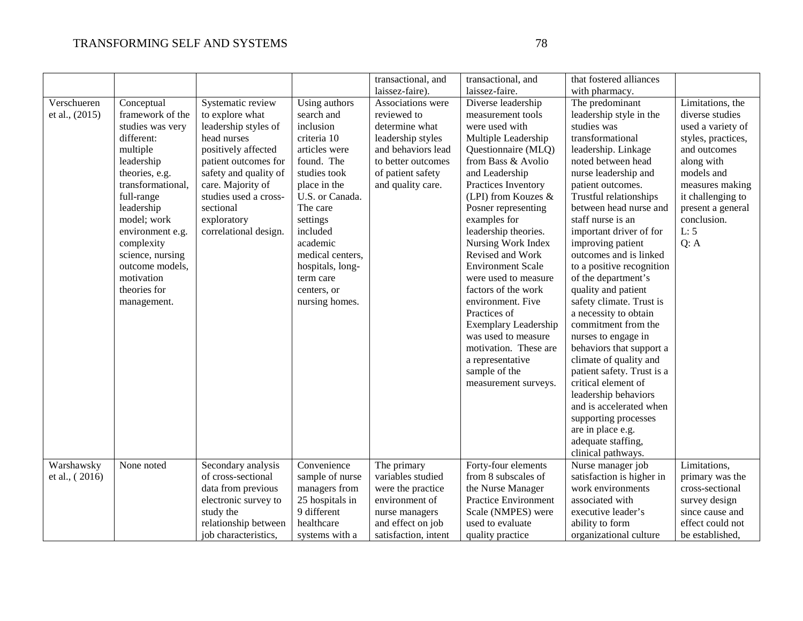|                |                   |                       |                  | transactional, and   | transactional, and          | that fostered alliances    |                    |
|----------------|-------------------|-----------------------|------------------|----------------------|-----------------------------|----------------------------|--------------------|
|                |                   |                       |                  | laissez-faire).      | laissez-faire.              | with pharmacy.             |                    |
| Verschueren    | Conceptual        | Systematic review     | Using authors    | Associations were    | Diverse leadership          | The predominant            | Limitations, the   |
| et al., (2015) | framework of the  | to explore what       | search and       | reviewed to          | measurement tools           | leadership style in the    | diverse studies    |
|                | studies was very  | leadership styles of  | inclusion        | determine what       | were used with              | studies was                | used a variety of  |
|                | different:        | head nurses           | criteria 10      | leadership styles    | Multiple Leadership         | transformational           | styles, practices, |
|                | multiple          | positively affected   | articles were    | and behaviors lead   | Questionnaire (MLQ)         | leadership. Linkage        | and outcomes       |
|                | leadership        | patient outcomes for  | found. The       | to better outcomes   | from Bass & Avolio          | noted between head         | along with         |
|                | theories, e.g.    | safety and quality of | studies took     | of patient safety    | and Leadership              | nurse leadership and       | models and         |
|                | transformational, | care. Majority of     | place in the     | and quality care.    | Practices Inventory         | patient outcomes.          | measures making    |
|                | full-range        | studies used a cross- | U.S. or Canada.  |                      | (LPI) from Kouzes $&$       | Trustful relationships     | it challenging to  |
|                | leadership        | sectional             | The care         |                      | Posner representing         | between head nurse and     | present a general  |
|                | model; work       | exploratory           | settings         |                      | examples for                | staff nurse is an          | conclusion.        |
|                | environment e.g.  | correlational design. | included         |                      | leadership theories.        | important driver of for    | L: 5               |
|                | complexity        |                       | academic         |                      | Nursing Work Index          | improving patient          | Q: A               |
|                | science, nursing  |                       | medical centers, |                      | Revised and Work            | outcomes and is linked     |                    |
|                | outcome models,   |                       | hospitals, long- |                      | <b>Environment Scale</b>    | to a positive recognition  |                    |
|                | motivation        |                       | term care        |                      | were used to measure        | of the department's        |                    |
|                | theories for      |                       | centers, or      |                      | factors of the work         | quality and patient        |                    |
|                | management.       |                       | nursing homes.   |                      | environment. Five           | safety climate. Trust is   |                    |
|                |                   |                       |                  |                      | Practices of                | a necessity to obtain      |                    |
|                |                   |                       |                  |                      | <b>Exemplary Leadership</b> | commitment from the        |                    |
|                |                   |                       |                  |                      | was used to measure         | nurses to engage in        |                    |
|                |                   |                       |                  |                      | motivation. These are       | behaviors that support a   |                    |
|                |                   |                       |                  |                      |                             |                            |                    |
|                |                   |                       |                  |                      | a representative            | climate of quality and     |                    |
|                |                   |                       |                  |                      | sample of the               | patient safety. Trust is a |                    |
|                |                   |                       |                  |                      | measurement surveys.        | critical element of        |                    |
|                |                   |                       |                  |                      |                             | leadership behaviors       |                    |
|                |                   |                       |                  |                      |                             | and is accelerated when    |                    |
|                |                   |                       |                  |                      |                             | supporting processes       |                    |
|                |                   |                       |                  |                      |                             | are in place e.g.          |                    |
|                |                   |                       |                  |                      |                             | adequate staffing,         |                    |
|                |                   |                       |                  |                      |                             | clinical pathways.         |                    |
| Warshawsky     | None noted        | Secondary analysis    | Convenience      | The primary          | Forty-four elements         | Nurse manager job          | Limitations,       |
| et al., (2016) |                   | of cross-sectional    | sample of nurse  | variables studied    | from 8 subscales of         | satisfaction is higher in  | primary was the    |
|                |                   | data from previous    | managers from    | were the practice    | the Nurse Manager           | work environments          | cross-sectional    |
|                |                   | electronic survey to  | 25 hospitals in  | environment of       | Practice Environment        | associated with            | survey design      |
|                |                   | study the             | 9 different      | nurse managers       | Scale (NMPES) were          | executive leader's         | since cause and    |
|                |                   | relationship between  | healthcare       | and effect on job    | used to evaluate            | ability to form            | effect could not   |
|                |                   | job characteristics,  | systems with a   | satisfaction, intent | quality practice            | organizational culture     | be established.    |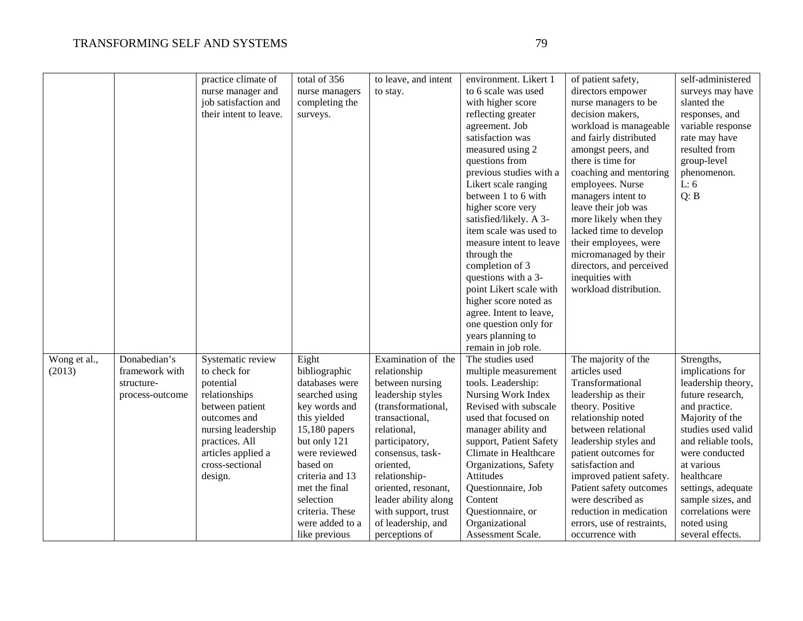|              |                 | practice climate of    | total of 356    | to leave, and intent | environment. Likert 1   | of patient safety,         | self-administered   |
|--------------|-----------------|------------------------|-----------------|----------------------|-------------------------|----------------------------|---------------------|
|              |                 | nurse manager and      | nurse managers  | to stay.             | to 6 scale was used     | directors empower          | surveys may have    |
|              |                 | job satisfaction and   | completing the  |                      | with higher score       | nurse managers to be       | slanted the         |
|              |                 | their intent to leave. | surveys.        |                      | reflecting greater      | decision makers,           | responses, and      |
|              |                 |                        |                 |                      | agreement. Job          | workload is manageable     | variable response   |
|              |                 |                        |                 |                      | satisfaction was        | and fairly distributed     | rate may have       |
|              |                 |                        |                 |                      | measured using 2        | amongst peers, and         | resulted from       |
|              |                 |                        |                 |                      | questions from          | there is time for          | group-level         |
|              |                 |                        |                 |                      | previous studies with a | coaching and mentoring     | phenomenon.         |
|              |                 |                        |                 |                      | Likert scale ranging    | employees. Nurse           | L: 6                |
|              |                 |                        |                 |                      | between 1 to 6 with     | managers intent to         | Q: B                |
|              |                 |                        |                 |                      | higher score very       | leave their job was        |                     |
|              |                 |                        |                 |                      | satisfied/likely. A 3-  | more likely when they      |                     |
|              |                 |                        |                 |                      | item scale was used to  | lacked time to develop     |                     |
|              |                 |                        |                 |                      | measure intent to leave | their employees, were      |                     |
|              |                 |                        |                 |                      | through the             | micromanaged by their      |                     |
|              |                 |                        |                 |                      | completion of 3         | directors, and perceived   |                     |
|              |                 |                        |                 |                      | questions with a 3-     | inequities with            |                     |
|              |                 |                        |                 |                      | point Likert scale with | workload distribution.     |                     |
|              |                 |                        |                 |                      | higher score noted as   |                            |                     |
|              |                 |                        |                 |                      | agree. Intent to leave, |                            |                     |
|              |                 |                        |                 |                      | one question only for   |                            |                     |
|              |                 |                        |                 |                      | years planning to       |                            |                     |
|              |                 |                        |                 |                      | remain in job role.     |                            |                     |
| Wong et al., | Donabedian's    | Systematic review      | Eight           | Examination of the   | The studies used        | The majority of the        | Strengths,          |
| (2013)       | framework with  | to check for           | bibliographic   | relationship         | multiple measurement    | articles used              | implications for    |
|              | structure-      | potential              | databases were  | between nursing      | tools. Leadership:      | Transformational           | leadership theory,  |
|              | process-outcome | relationships          | searched using  | leadership styles    | Nursing Work Index      | leadership as their        | future research,    |
|              |                 | between patient        | key words and   | (transformational,   | Revised with subscale   | theory. Positive           | and practice.       |
|              |                 | outcomes and           | this yielded    | transactional,       | used that focused on    | relationship noted         | Majority of the     |
|              |                 | nursing leadership     | 15,180 papers   | relational,          | manager ability and     | between relational         | studies used valid  |
|              |                 | practices. All         | but only 121    | participatory,       | support, Patient Safety | leadership styles and      | and reliable tools, |
|              |                 | articles applied a     | were reviewed   | consensus, task-     | Climate in Healthcare   | patient outcomes for       | were conducted      |
|              |                 | cross-sectional        | based on        | oriented,            | Organizations, Safety   | satisfaction and           | at various          |
|              |                 | design.                | criteria and 13 | relationship-        | Attitudes               | improved patient safety.   | healthcare          |
|              |                 |                        | met the final   | oriented, resonant,  | Questionnaire, Job      | Patient safety outcomes    | settings, adequate  |
|              |                 |                        | selection       | leader ability along | Content                 | were described as          | sample sizes, and   |
|              |                 |                        | criteria. These | with support, trust  | Questionnaire, or       | reduction in medication    | correlations were   |
|              |                 |                        | were added to a | of leadership, and   | Organizational          | errors, use of restraints, | noted using         |
|              |                 |                        | like previous   | perceptions of       | Assessment Scale.       | occurrence with            | several effects.    |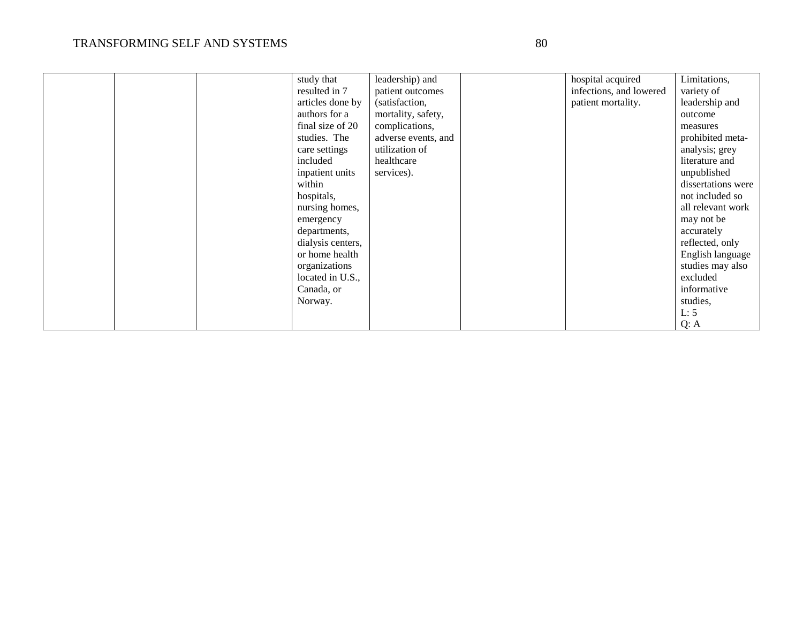|  | study that        | leadership) and     | hospital acquired       | Limitations,       |
|--|-------------------|---------------------|-------------------------|--------------------|
|  |                   |                     |                         |                    |
|  | resulted in 7     | patient outcomes    | infections, and lowered | variety of         |
|  | articles done by  | (satisfaction,      | patient mortality.      | leadership and     |
|  | authors for a     | mortality, safety,  |                         | outcome            |
|  | final size of 20  | complications,      |                         | measures           |
|  | studies. The      | adverse events, and |                         | prohibited meta-   |
|  | care settings     | utilization of      |                         | analysis; grey     |
|  | included          | healthcare          |                         | literature and     |
|  | inpatient units   | services).          |                         | unpublished        |
|  | within            |                     |                         | dissertations were |
|  | hospitals,        |                     |                         | not included so    |
|  | nursing homes,    |                     |                         | all relevant work  |
|  | emergency         |                     |                         | may not be         |
|  | departments,      |                     |                         | accurately         |
|  | dialysis centers, |                     |                         | reflected, only    |
|  | or home health    |                     |                         | English language   |
|  | organizations     |                     |                         | studies may also   |
|  | located in U.S.,  |                     |                         | excluded           |
|  | Canada, or        |                     |                         | informative        |
|  | Norway.           |                     |                         | studies,           |
|  |                   |                     |                         | L: 5               |
|  |                   |                     |                         | Q: A               |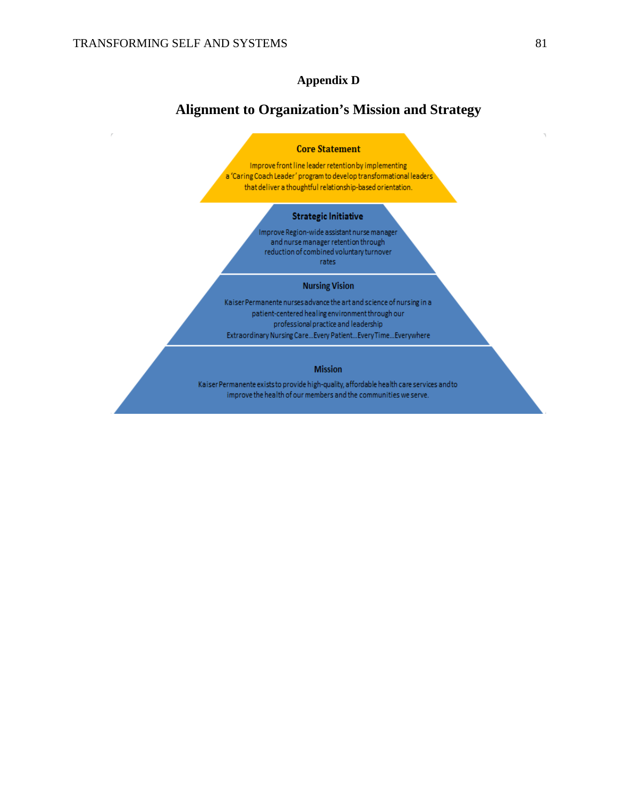### **Appendix D**

### **Alignment to Organization's Mission and Strategy**

#### **Core Statement**

Improve front line leader retention by implementing a 'Caring Coach Leader' program to develop transformational leaders' that deliver a thoughtful relationship-based orientation.

#### **Strategic Initiative**

Improve Region-wide assistant nurse manager and nurse manager retention through reduction of combined voluntary turnover rates

#### **Nursing Vision**

Kaiser Permanente nurses advance the art and science of nursing in a patient-centered healing environment through our professional practice and leadership Extraordinary Nursing Care... Every Patient... Every Time... Everywhere

#### **Mission**

Kaiser Permanente exists to provide high-quality, affordable health care services and to improve the health of our members and the communities we serve.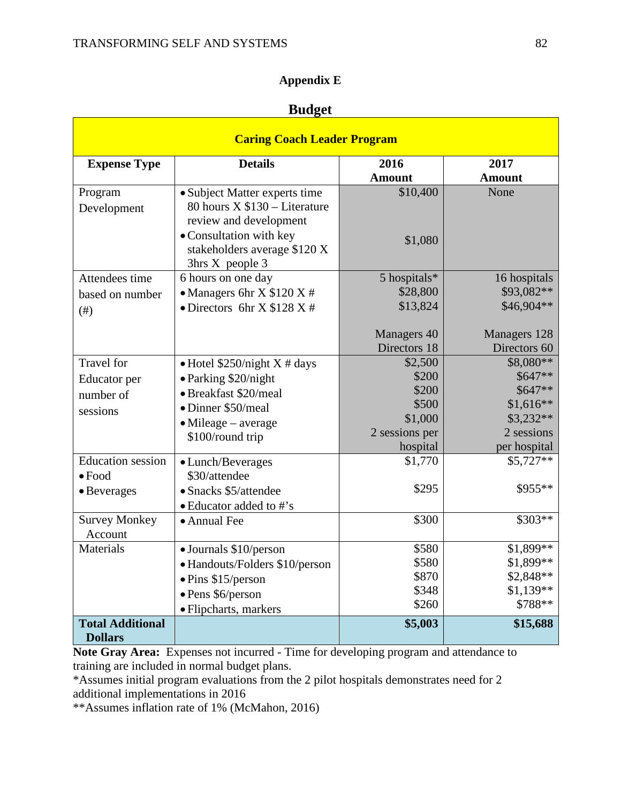$\blacksquare$ 

### **Appendix E**

### **Budget**

| <b>Caring Coach Leader Program</b>        |                                |                |                          |  |  |  |  |  |
|-------------------------------------------|--------------------------------|----------------|--------------------------|--|--|--|--|--|
| <b>Expense Type</b>                       | <b>Details</b>                 | 2016           | 2017                     |  |  |  |  |  |
|                                           |                                | <b>Amount</b>  | <b>Amount</b>            |  |  |  |  |  |
| Program                                   | • Subject Matter experts time  | \$10,400       | None                     |  |  |  |  |  |
| Development                               | 80 hours $X $130 - Literature$ |                |                          |  |  |  |  |  |
|                                           | review and development         |                |                          |  |  |  |  |  |
|                                           | • Consultation with key        | \$1,080        |                          |  |  |  |  |  |
|                                           | stakeholders average \$120 X   |                |                          |  |  |  |  |  |
|                                           | 3hrs X people 3                |                |                          |  |  |  |  |  |
| Attendees time                            | 6 hours on one day             | 5 hospitals*   | 16 hospitals             |  |  |  |  |  |
| based on number                           | • Managers 6hr X $$120 X #$    | \$28,800       | \$93,082**<br>\$46,904** |  |  |  |  |  |
| $($ # $)$                                 | • Directors 6hr X $$128$ X #   | \$13,824       |                          |  |  |  |  |  |
|                                           |                                | Managers 40    | Managers 128             |  |  |  |  |  |
|                                           |                                | Directors 18   | Directors 60             |  |  |  |  |  |
| <b>Travel</b> for                         | • Hotel $$250/night X # days$  | \$2,500        | \$8,080**                |  |  |  |  |  |
| Educator per                              | • Parking \$20/night           | \$200          | \$647**                  |  |  |  |  |  |
| number of                                 | • Breakfast \$20/meal          | \$200          | \$647**                  |  |  |  |  |  |
| sessions                                  | • Dinner \$50/meal             | \$500          | $$1,616**$               |  |  |  |  |  |
|                                           | $\bullet$ Mileage – average    | \$1,000        | $$3,232**$               |  |  |  |  |  |
|                                           | \$100/round trip               | 2 sessions per | 2 sessions               |  |  |  |  |  |
|                                           |                                | hospital       | per hospital             |  |  |  |  |  |
| <b>Education</b> session                  | • Lunch/Beverages              | \$1,770        | $$5,727**$               |  |  |  |  |  |
| $\bullet$ Food                            | \$30/attendee                  |                |                          |  |  |  |  |  |
| • Beverages                               | • Snacks \$5/attendee          | \$295          | \$955**                  |  |  |  |  |  |
|                                           | • Educator added to #'s        |                |                          |  |  |  |  |  |
| <b>Survey Monkey</b>                      | • Annual Fee                   | \$300          | \$303**                  |  |  |  |  |  |
| Account                                   |                                |                |                          |  |  |  |  |  |
| <b>Materials</b>                          | • Journals \$10/person         | \$580          | $$1,899**$               |  |  |  |  |  |
|                                           | • Handouts/Folders \$10/person | \$580          | \$1,899**                |  |  |  |  |  |
|                                           | $\bullet$ Pins \$15/person     | \$870<br>\$348 | \$2,848**<br>$$1,139**$  |  |  |  |  |  |
|                                           | · Pens \$6/person              | \$260          | \$788**                  |  |  |  |  |  |
|                                           | · Flipcharts, markers          |                |                          |  |  |  |  |  |
| <b>Total Additional</b><br><b>Dollars</b> |                                | \$5,003        | \$15,688                 |  |  |  |  |  |

**Note Gray Area:** Expenses not incurred - Time for developing program and attendance to training are included in normal budget plans.

\*Assumes initial program evaluations from the 2 pilot hospitals demonstrates need for 2 additional implementations in 2016

\*\*Assumes inflation rate of 1% (McMahon, 2016)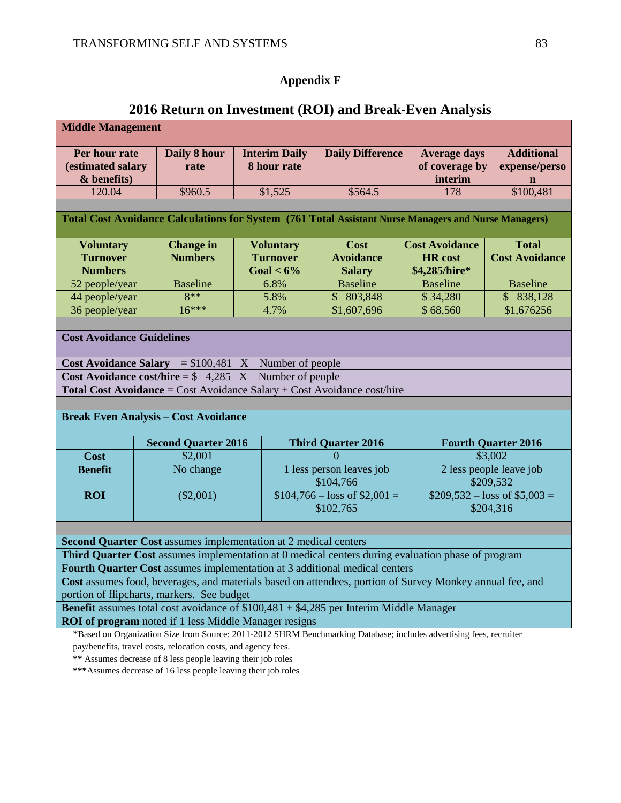## **Appendix F**

## **2016 Return on Investment (ROI) and Break-Even Analysis**

| <b>Middle Management</b>                                                                                 |  |                                                                        |  |                      |                                                                                                                     |  |                       |                                      |
|----------------------------------------------------------------------------------------------------------|--|------------------------------------------------------------------------|--|----------------------|---------------------------------------------------------------------------------------------------------------------|--|-----------------------|--------------------------------------|
| Per hour rate                                                                                            |  | Daily 8 hour                                                           |  | <b>Interim Daily</b> | <b>Daily Difference</b>                                                                                             |  | <b>Average days</b>   | <b>Additional</b>                    |
| (estimated salary                                                                                        |  | rate                                                                   |  | 8 hour rate          |                                                                                                                     |  | of coverage by        | expense/perso                        |
| $&$ benefits)                                                                                            |  |                                                                        |  |                      |                                                                                                                     |  | interim               | n                                    |
| 120.04                                                                                                   |  | \$960.5                                                                |  | \$1,525              | \$564.5                                                                                                             |  | 178                   | \$100,481                            |
|                                                                                                          |  |                                                                        |  |                      |                                                                                                                     |  |                       |                                      |
|                                                                                                          |  |                                                                        |  |                      | Total Cost Avoidance Calculations for System (761 Total Assistant Nurse Managers and Nurse Managers)                |  |                       |                                      |
| <b>Voluntary</b>                                                                                         |  | <b>Change</b> in                                                       |  | <b>Voluntary</b>     | <b>Cost</b>                                                                                                         |  | <b>Cost Avoidance</b> | <b>Total</b>                         |
| <b>Turnover</b>                                                                                          |  | <b>Numbers</b>                                                         |  | <b>Turnover</b>      | <b>Avoidance</b>                                                                                                    |  | <b>HR</b> cost        | <b>Cost Avoidance</b>                |
| <b>Numbers</b>                                                                                           |  |                                                                        |  | Goal $< 6\%$         | <b>Salary</b>                                                                                                       |  | \$4,285/hire*         |                                      |
| 52 people/year                                                                                           |  | <b>Baseline</b>                                                        |  | 6.8%                 | <b>Baseline</b>                                                                                                     |  | <b>Baseline</b>       | <b>Baseline</b>                      |
| 44 people/year                                                                                           |  | $8**$                                                                  |  | 5.8%                 | \$803,848                                                                                                           |  | \$34,280              | \$838,128                            |
| 36 people/year                                                                                           |  | $16***$                                                                |  | 4.7%                 | \$1,607,696                                                                                                         |  | \$68,560              | \$1,676256                           |
|                                                                                                          |  |                                                                        |  |                      |                                                                                                                     |  |                       |                                      |
| <b>Cost Avoidance Guidelines</b>                                                                         |  |                                                                        |  |                      |                                                                                                                     |  |                       |                                      |
|                                                                                                          |  | <b>Cost Avoidance Salary</b> = $$100,481$ X Number of people           |  |                      |                                                                                                                     |  |                       |                                      |
|                                                                                                          |  | Cost Avoidance cost/hire = $$4,285$ X                                  |  | Number of people     |                                                                                                                     |  |                       |                                      |
|                                                                                                          |  |                                                                        |  |                      | Total Cost Avoidance = Cost Avoidance Salary + Cost Avoidance cost/hire                                             |  |                       |                                      |
|                                                                                                          |  |                                                                        |  |                      |                                                                                                                     |  |                       |                                      |
|                                                                                                          |  | <b>Break Even Analysis - Cost Avoidance</b>                            |  |                      |                                                                                                                     |  |                       |                                      |
|                                                                                                          |  | <b>Second Quarter 2016</b>                                             |  |                      | <b>Third Quarter 2016</b>                                                                                           |  |                       | <b>Fourth Quarter 2016</b>           |
| <b>Cost</b>                                                                                              |  | \$2,001                                                                |  |                      | 0                                                                                                                   |  |                       | \$3,002                              |
| <b>Benefit</b>                                                                                           |  | No change                                                              |  |                      | 1 less person leaves job<br>\$104,766                                                                               |  |                       | 2 less people leave job<br>\$209,532 |
| <b>ROI</b>                                                                                               |  | $(\$2,001)$                                                            |  |                      | $$104,766 - loss of $2,001 =$                                                                                       |  |                       | $$209,532 - loss of $5,003 =$        |
|                                                                                                          |  |                                                                        |  |                      | \$102,765                                                                                                           |  |                       | \$204,316                            |
|                                                                                                          |  |                                                                        |  |                      |                                                                                                                     |  |                       |                                      |
|                                                                                                          |  |                                                                        |  |                      |                                                                                                                     |  |                       |                                      |
|                                                                                                          |  | <b>Second Quarter Cost</b> assumes implementation at 2 medical centers |  |                      |                                                                                                                     |  |                       |                                      |
|                                                                                                          |  |                                                                        |  |                      | <b>Third Quarter Cost</b> assumes implementation at 0 medical centers during evaluation phase of program            |  |                       |                                      |
| Fourth Quarter Cost assumes implementation at 3 additional medical centers                               |  |                                                                        |  |                      |                                                                                                                     |  |                       |                                      |
| Cost assumes food, beverages, and materials based on attendees, portion of Survey Monkey annual fee, and |  |                                                                        |  |                      |                                                                                                                     |  |                       |                                      |
| portion of flipcharts, markers. See budget                                                               |  |                                                                        |  |                      |                                                                                                                     |  |                       |                                      |
|                                                                                                          |  |                                                                        |  |                      | <b>Benefit</b> assumes total cost avoidance of $$100,481 + $4,285$ per Interim Middle Manager                       |  |                       |                                      |
|                                                                                                          |  | <b>ROI of program</b> noted if 1 less Middle Manager resigns           |  |                      |                                                                                                                     |  |                       |                                      |
|                                                                                                          |  |                                                                        |  |                      | *Based on Organization Size from Source: 2011-2012 SHRM Benchmarking Database; includes advertising fees, recruiter |  |                       |                                      |
|                                                                                                          |  | pay/benefits, travel costs, relocation costs, and agency fees.         |  |                      |                                                                                                                     |  |                       |                                      |
| ** Assumes decrease of 8 less people leaving their job roles                                             |  |                                                                        |  |                      |                                                                                                                     |  |                       |                                      |

**\*\*\***Assumes decrease of 16 less people leaving their job roles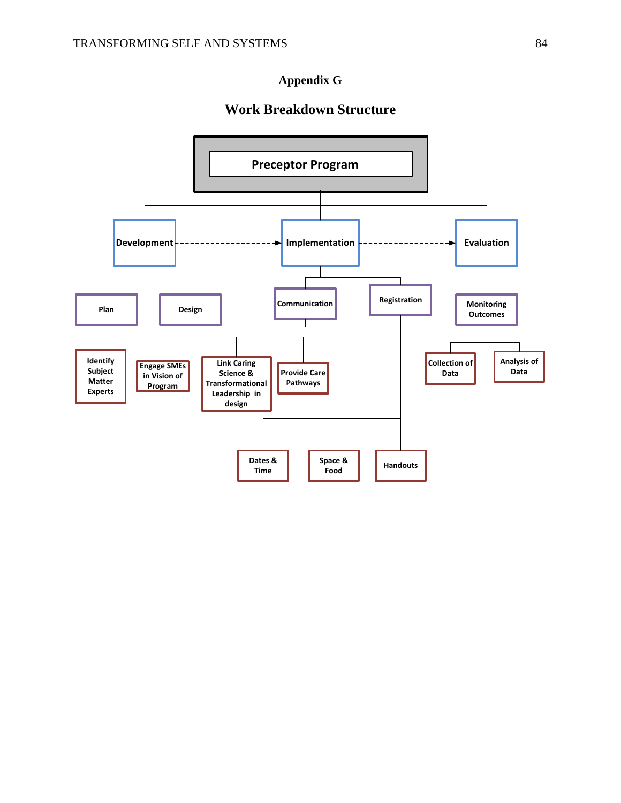### **Appendix G**

### **Work Breakdown Structure**

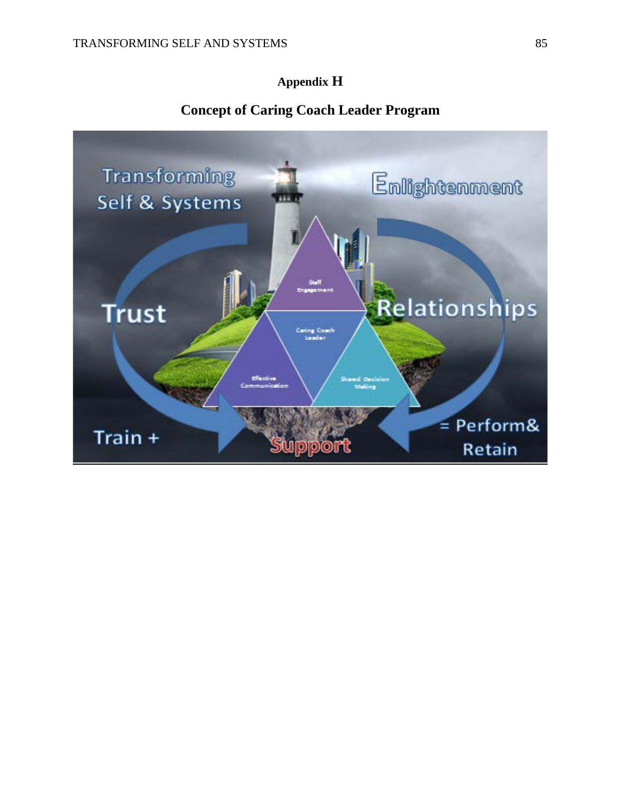### **Appendix H**

### **Concept of Caring Coach Leader Program**

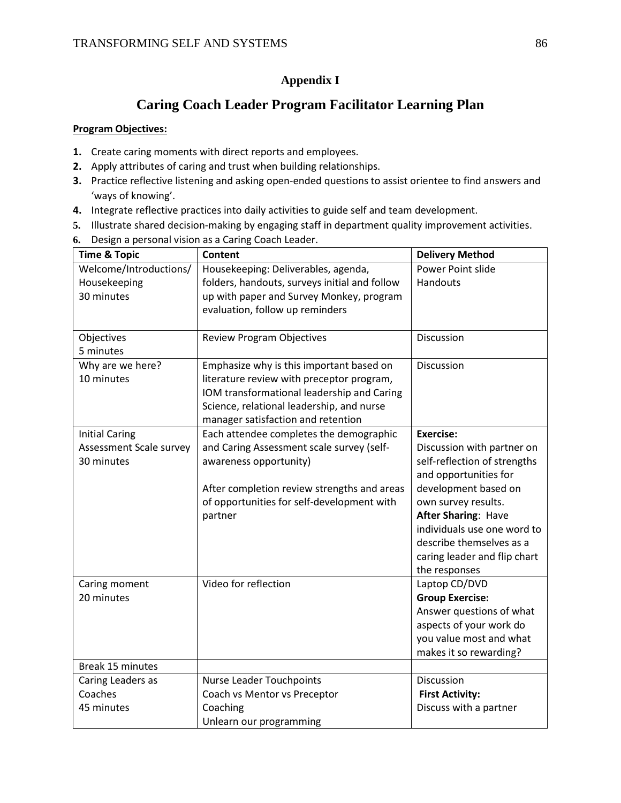### **Appendix I**

### **Caring Coach Leader Program Facilitator Learning Plan**

#### **Program Objectives:**

- **1.** Create caring moments with direct reports and employees.
- **2.** Apply attributes of caring and trust when building relationships.
- **3.** Practice reflective listening and asking open-ended questions to assist orientee to find answers and 'ways of knowing'.
- **4.** Integrate reflective practices into daily activities to guide self and team development.
- **5.** Illustrate shared decision-making by engaging staff in department quality improvement activities.
- **6.** Design a personal vision as a Caring Coach Leader.

| <b>Time &amp; Topic</b> | <b>Content</b>                                | <b>Delivery Method</b>       |
|-------------------------|-----------------------------------------------|------------------------------|
| Welcome/Introductions/  | Housekeeping: Deliverables, agenda,           | Power Point slide            |
| Housekeeping            | folders, handouts, surveys initial and follow | Handouts                     |
| 30 minutes              | up with paper and Survey Monkey, program      |                              |
|                         | evaluation, follow up reminders               |                              |
|                         |                                               |                              |
| Objectives              | <b>Review Program Objectives</b>              | <b>Discussion</b>            |
| 5 minutes               |                                               |                              |
| Why are we here?        | Emphasize why is this important based on      | <b>Discussion</b>            |
| 10 minutes              | literature review with preceptor program,     |                              |
|                         | IOM transformational leadership and Caring    |                              |
|                         | Science, relational leadership, and nurse     |                              |
|                         | manager satisfaction and retention            |                              |
| <b>Initial Caring</b>   | Each attendee completes the demographic       | <b>Exercise:</b>             |
| Assessment Scale survey | and Caring Assessment scale survey (self-     | Discussion with partner on   |
| 30 minutes              | awareness opportunity)                        | self-reflection of strengths |
|                         |                                               | and opportunities for        |
|                         | After completion review strengths and areas   | development based on         |
|                         | of opportunities for self-development with    | own survey results.          |
|                         | partner                                       | <b>After Sharing: Have</b>   |
|                         |                                               | individuals use one word to  |
|                         |                                               | describe themselves as a     |
|                         |                                               | caring leader and flip chart |
|                         |                                               | the responses                |
| Caring moment           | Video for reflection                          | Laptop CD/DVD                |
| 20 minutes              |                                               | <b>Group Exercise:</b>       |
|                         |                                               | Answer questions of what     |
|                         |                                               | aspects of your work do      |
|                         |                                               | you value most and what      |
|                         |                                               | makes it so rewarding?       |
| Break 15 minutes        |                                               |                              |
| Caring Leaders as       | <b>Nurse Leader Touchpoints</b>               | Discussion                   |
| Coaches                 | Coach vs Mentor vs Preceptor                  | <b>First Activity:</b>       |
| 45 minutes              | Coaching                                      | Discuss with a partner       |
|                         | Unlearn our programming                       |                              |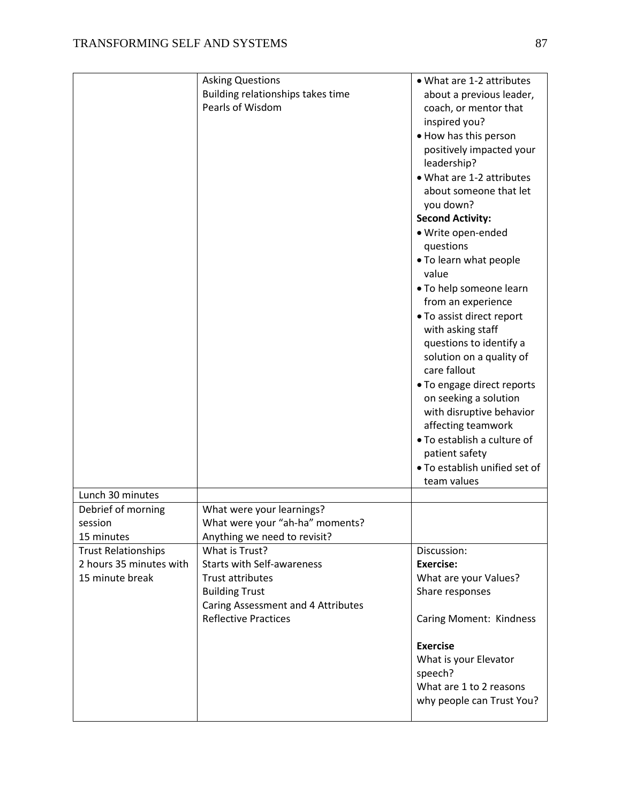|                            | <b>Asking Questions</b>            | • What are 1-2 attributes     |
|----------------------------|------------------------------------|-------------------------------|
|                            | Building relationships takes time  | about a previous leader,      |
|                            | Pearls of Wisdom                   | coach, or mentor that         |
|                            |                                    | inspired you?                 |
|                            |                                    | • How has this person         |
|                            |                                    | positively impacted your      |
|                            |                                    | leadership?                   |
|                            |                                    | • What are 1-2 attributes     |
|                            |                                    | about someone that let        |
|                            |                                    | you down?                     |
|                            |                                    | <b>Second Activity:</b>       |
|                            |                                    |                               |
|                            |                                    | · Write open-ended            |
|                            |                                    | questions                     |
|                            |                                    | . To learn what people        |
|                            |                                    | value                         |
|                            |                                    | • To help someone learn       |
|                            |                                    | from an experience            |
|                            |                                    | • To assist direct report     |
|                            |                                    | with asking staff             |
|                            |                                    | questions to identify a       |
|                            |                                    | solution on a quality of      |
|                            |                                    | care fallout                  |
|                            |                                    | • To engage direct reports    |
|                            |                                    | on seeking a solution         |
|                            |                                    | with disruptive behavior      |
|                            |                                    | affecting teamwork            |
|                            |                                    | . To establish a culture of   |
|                            |                                    | patient safety                |
|                            |                                    | . To establish unified set of |
|                            |                                    | team values                   |
| Lunch 30 minutes           |                                    |                               |
| Debrief of morning         | What were your learnings?          |                               |
| session                    | What were your "ah-ha" moments?    |                               |
| 15 minutes                 | Anything we need to revisit?       |                               |
| <b>Trust Relationships</b> | What is Trust?                     | Discussion:                   |
| 2 hours 35 minutes with    | <b>Starts with Self-awareness</b>  | <b>Exercise:</b>              |
| 15 minute break            | Trust attributes                   | What are your Values?         |
|                            | <b>Building Trust</b>              | Share responses               |
|                            | Caring Assessment and 4 Attributes |                               |
|                            | <b>Reflective Practices</b>        | Caring Moment: Kindness       |
|                            |                                    |                               |
|                            |                                    | <b>Exercise</b>               |
|                            |                                    | What is your Elevator         |
|                            |                                    | speech?                       |
|                            |                                    | What are 1 to 2 reasons       |
|                            |                                    | why people can Trust You?     |
|                            |                                    |                               |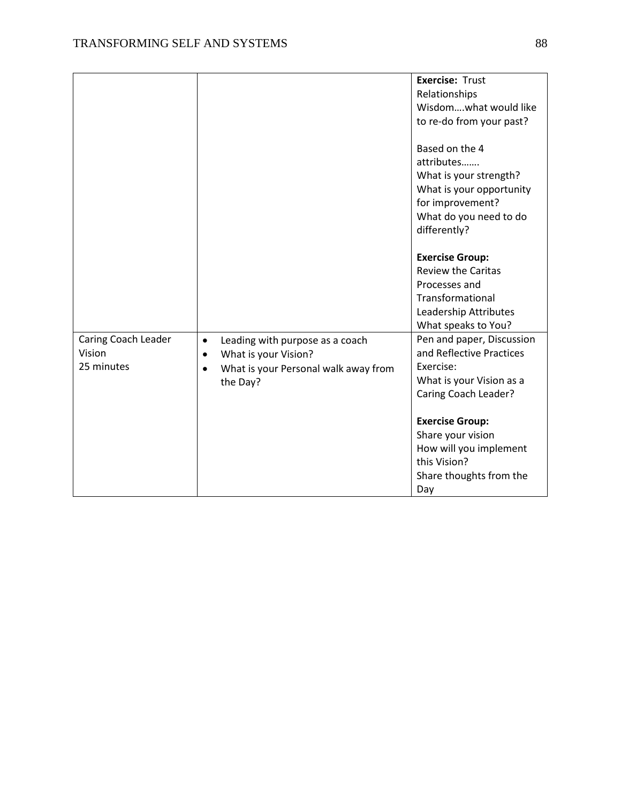|                                             |                                                                                                                                                    | <b>Exercise: Trust</b><br>Relationships<br>Wisdomwhat would like<br>to re-do from your past?                                                     |
|---------------------------------------------|----------------------------------------------------------------------------------------------------------------------------------------------------|--------------------------------------------------------------------------------------------------------------------------------------------------|
|                                             |                                                                                                                                                    | Based on the 4<br>attributes<br>What is your strength?<br>What is your opportunity<br>for improvement?<br>What do you need to do<br>differently? |
|                                             |                                                                                                                                                    | <b>Exercise Group:</b><br><b>Review the Caritas</b><br>Processes and<br>Transformational<br>Leadership Attributes<br>What speaks to You?         |
| Caring Coach Leader<br>Vision<br>25 minutes | Leading with purpose as a coach<br>$\bullet$<br>What is your Vision?<br>$\bullet$<br>What is your Personal walk away from<br>$\bullet$<br>the Day? | Pen and paper, Discussion<br>and Reflective Practices<br>Exercise:<br>What is your Vision as a<br>Caring Coach Leader?                           |
|                                             |                                                                                                                                                    | <b>Exercise Group:</b><br>Share your vision<br>How will you implement<br>this Vision?<br>Share thoughts from the<br>Day                          |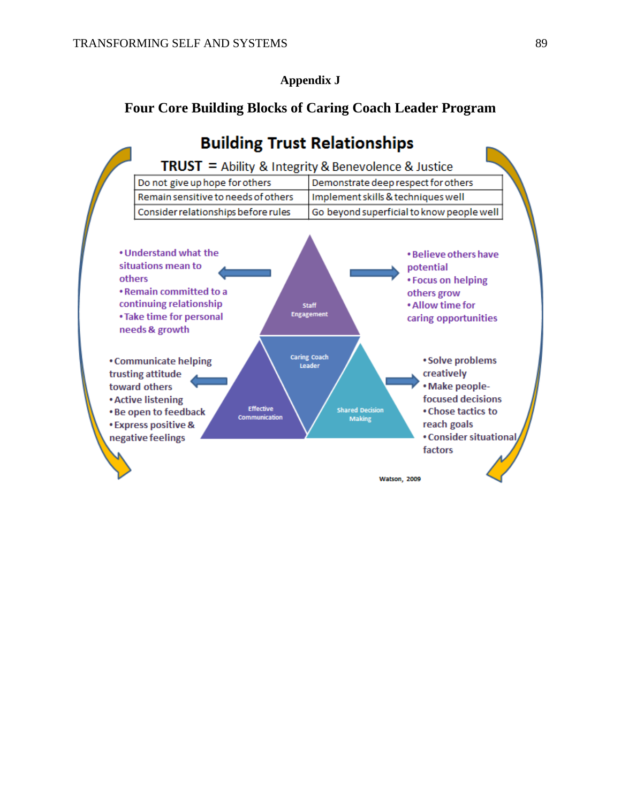**Appendix J**

### **Four Core Building Blocks of Caring Coach Leader Program**

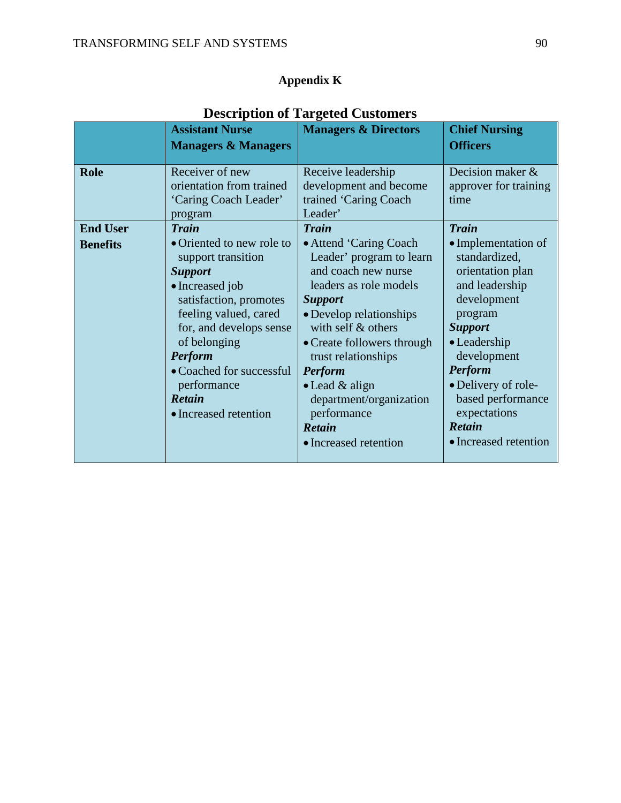## **Appendix K**

|                                                   | <b>Assistant Nurse</b><br><b>Managers &amp; Managers</b>                                                                                                                                                          | <b>Managers &amp; Directors</b>                                                                                                                                                                                                      | <b>Chief Nursing</b><br><b>Officers</b>                                                                                                                                                  |
|---------------------------------------------------|-------------------------------------------------------------------------------------------------------------------------------------------------------------------------------------------------------------------|--------------------------------------------------------------------------------------------------------------------------------------------------------------------------------------------------------------------------------------|------------------------------------------------------------------------------------------------------------------------------------------------------------------------------------------|
| <b>Role</b><br><b>End User</b><br><b>Benefits</b> | Receiver of new<br>orientation from trained<br>'Caring Coach Leader'<br>program<br><b>Train</b><br>• Oriented to new role to<br>support transition<br><b>Support</b><br>• Increased job<br>satisfaction, promotes | Receive leadership<br>development and become<br>trained 'Caring Coach<br>Leader'<br><b>Train</b><br>• Attend 'Caring Coach<br>Leader' program to learn<br>and coach new nurse<br>leaders as role models<br><b>Support</b>            | Decision maker $\&$<br>approver for training<br>time<br><b>Train</b><br>• Implementation of<br>standardized,<br>orientation plan<br>and leadership<br>development                        |
|                                                   | feeling valued, cared<br>for, and develops sense<br>of belonging<br><b>Perform</b><br>• Coached for successful<br>performance<br><b>Retain</b><br>• Increased retention                                           | • Develop relationships<br>with self $&$ others<br>• Create followers through<br>trust relationships<br><b>Perform</b><br>$\bullet$ Lead & align<br>department/organization<br>performance<br><b>Retain</b><br>• Increased retention | program<br><b>Support</b><br>$\bullet$ Leadership<br>development<br><b>Perform</b><br>• Delivery of role-<br>based performance<br>expectations<br><b>Retain</b><br>• Increased retention |

## **Description of Targeted Customers**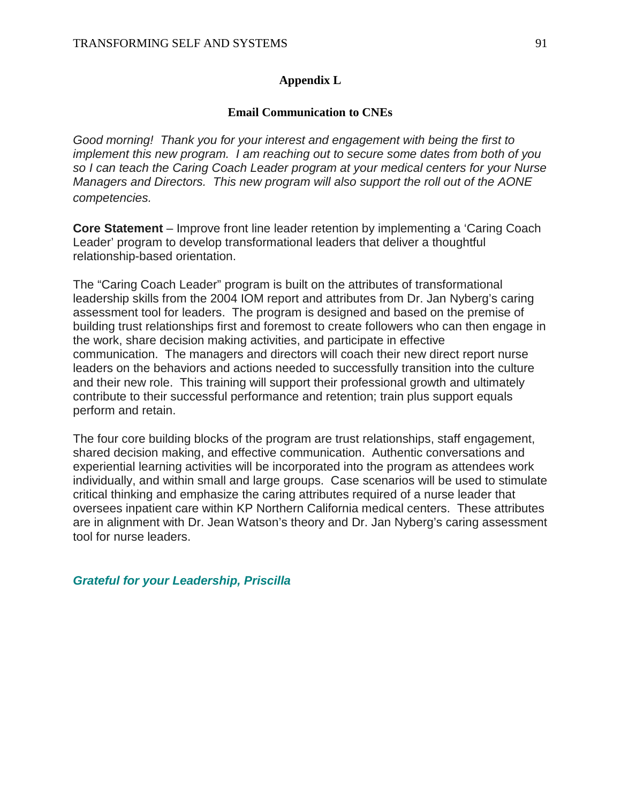#### **Appendix L**

#### **Email Communication to CNEs**

*Good morning! Thank you for your interest and engagement with being the first to implement this new program. I am reaching out to secure some dates from both of you so I can teach the Caring Coach Leader program at your medical centers for your Nurse Managers and Directors. This new program will also support the roll out of the AONE competencies.*

**Core Statement** – Improve front line leader retention by implementing a 'Caring Coach Leader' program to develop transformational leaders that deliver a thoughtful relationship-based orientation.

The "Caring Coach Leader" program is built on the attributes of transformational leadership skills from the 2004 IOM report and attributes from Dr. Jan Nyberg's caring assessment tool for leaders. The program is designed and based on the premise of building trust relationships first and foremost to create followers who can then engage in the work, share decision making activities, and participate in effective communication. The managers and directors will coach their new direct report nurse leaders on the behaviors and actions needed to successfully transition into the culture and their new role. This training will support their professional growth and ultimately contribute to their successful performance and retention; train plus support equals perform and retain.

The four core building blocks of the program are trust relationships, staff engagement, shared decision making, and effective communication. Authentic conversations and experiential learning activities will be incorporated into the program as attendees work individually, and within small and large groups. Case scenarios will be used to stimulate critical thinking and emphasize the caring attributes required of a nurse leader that oversees inpatient care within KP Northern California medical centers. These attributes are in alignment with Dr. Jean Watson's theory and Dr. Jan Nyberg's caring assessment tool for nurse leaders.

*Grateful for your Leadership, Priscilla*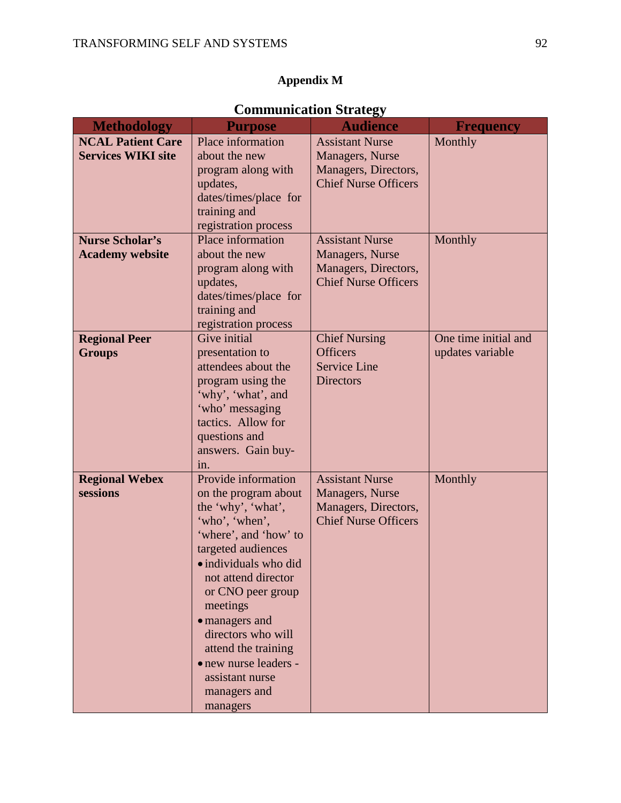## **Appendix M**

## **Communication Strategy**

| <b>Methodology</b>        | <b>Purpose</b>        | <b>Audience</b>             | <b>Frequency</b>     |  |  |  |
|---------------------------|-----------------------|-----------------------------|----------------------|--|--|--|
| <b>NCAL Patient Care</b>  | Place information     | <b>Assistant Nurse</b>      | Monthly              |  |  |  |
| <b>Services WIKI site</b> | about the new         | Managers, Nurse             |                      |  |  |  |
|                           | program along with    | Managers, Directors,        |                      |  |  |  |
|                           | updates,              | <b>Chief Nurse Officers</b> |                      |  |  |  |
|                           | dates/times/place for |                             |                      |  |  |  |
|                           | training and          |                             |                      |  |  |  |
|                           | registration process  |                             |                      |  |  |  |
| <b>Nurse Scholar's</b>    | Place information     | <b>Assistant Nurse</b>      | Monthly              |  |  |  |
| <b>Academy website</b>    | about the new         | Managers, Nurse             |                      |  |  |  |
|                           | program along with    | Managers, Directors,        |                      |  |  |  |
|                           | updates,              | <b>Chief Nurse Officers</b> |                      |  |  |  |
|                           | dates/times/place for |                             |                      |  |  |  |
|                           | training and          |                             |                      |  |  |  |
|                           | registration process  |                             |                      |  |  |  |
| <b>Regional Peer</b>      | Give initial          | <b>Chief Nursing</b>        | One time initial and |  |  |  |
| <b>Groups</b>             | presentation to       | <b>Officers</b>             | updates variable     |  |  |  |
|                           | attendees about the   | <b>Service Line</b>         |                      |  |  |  |
|                           | program using the     | <b>Directors</b>            |                      |  |  |  |
|                           | 'why', 'what', and    |                             |                      |  |  |  |
|                           | 'who' messaging       |                             |                      |  |  |  |
|                           | tactics. Allow for    |                             |                      |  |  |  |
|                           | questions and         |                             |                      |  |  |  |
|                           | answers. Gain buy-    |                             |                      |  |  |  |
|                           | 1n.                   |                             |                      |  |  |  |
| <b>Regional Webex</b>     | Provide information   | <b>Assistant Nurse</b>      | Monthly              |  |  |  |
| sessions                  | on the program about  | Managers, Nurse             |                      |  |  |  |
|                           | the 'why', 'what',    | Managers, Directors,        |                      |  |  |  |
|                           | 'who', 'when',        | <b>Chief Nurse Officers</b> |                      |  |  |  |
|                           | 'where', and 'how' to |                             |                      |  |  |  |
|                           | targeted audiences    |                             |                      |  |  |  |
|                           | · individuals who did |                             |                      |  |  |  |
|                           | not attend director   |                             |                      |  |  |  |
|                           | or CNO peer group     |                             |                      |  |  |  |
|                           | meetings              |                             |                      |  |  |  |
|                           | · managers and        |                             |                      |  |  |  |
|                           | directors who will    |                             |                      |  |  |  |
|                           | attend the training   |                             |                      |  |  |  |
|                           | • new nurse leaders - |                             |                      |  |  |  |
|                           | assistant nurse       |                             |                      |  |  |  |
|                           | managers and          |                             |                      |  |  |  |
|                           | managers              |                             |                      |  |  |  |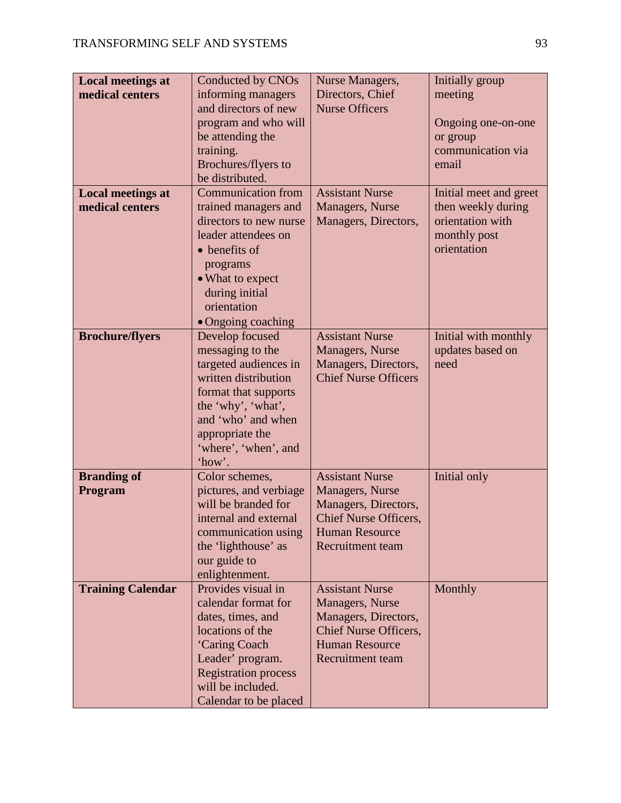| <b>Local meetings at</b> | Conducted by CNOs           | Nurse Managers,              | Initially group        |
|--------------------------|-----------------------------|------------------------------|------------------------|
| medical centers          | informing managers          | Directors, Chief             | meeting                |
|                          | and directors of new        | <b>Nurse Officers</b>        |                        |
|                          | program and who will        |                              | Ongoing one-on-one     |
|                          | be attending the            |                              | or group               |
|                          | training.                   |                              | communication via      |
|                          | Brochures/flyers to         |                              | email                  |
|                          | be distributed.             |                              |                        |
| <b>Local meetings at</b> | <b>Communication from</b>   | <b>Assistant Nurse</b>       | Initial meet and greet |
| medical centers          | trained managers and        | Managers, Nurse              | then weekly during     |
|                          | directors to new nurse      | Managers, Directors,         | orientation with       |
|                          | leader attendees on         |                              | monthly post           |
|                          | • benefits of               |                              | orientation            |
|                          | programs                    |                              |                        |
|                          | • What to expect            |                              |                        |
|                          | during initial              |                              |                        |
|                          | orientation                 |                              |                        |
|                          | • Ongoing coaching          |                              |                        |
| <b>Brochure/flyers</b>   | Develop focused             | <b>Assistant Nurse</b>       | Initial with monthly   |
|                          | messaging to the            | Managers, Nurse              | updates based on       |
|                          | targeted audiences in       | Managers, Directors,         | need                   |
|                          | written distribution        | <b>Chief Nurse Officers</b>  |                        |
|                          | format that supports        |                              |                        |
|                          | the 'why', 'what',          |                              |                        |
|                          | and 'who' and when          |                              |                        |
|                          | appropriate the             |                              |                        |
|                          | 'where', 'when', and        |                              |                        |
|                          | 'how'.                      |                              |                        |
| <b>Branding of</b>       | Color schemes,              | <b>Assistant Nurse</b>       | Initial only           |
| Program                  | pictures, and verbiage      | Managers, Nurse              |                        |
|                          | will be branded for         | Managers, Directors,         |                        |
|                          | internal and external       | <b>Chief Nurse Officers,</b> |                        |
|                          | communication using         | <b>Human Resource</b>        |                        |
|                          | the 'lighthouse' as         | <b>Recruitment team</b>      |                        |
|                          | our guide to                |                              |                        |
|                          | enlightenment.              |                              |                        |
| <b>Training Calendar</b> | Provides visual in          | <b>Assistant Nurse</b>       | Monthly                |
|                          | calendar format for         | Managers, Nurse              |                        |
|                          | dates, times, and           | Managers, Directors,         |                        |
|                          | locations of the            | <b>Chief Nurse Officers,</b> |                        |
|                          | 'Caring Coach               | <b>Human Resource</b>        |                        |
|                          | Leader' program.            | <b>Recruitment team</b>      |                        |
|                          | <b>Registration process</b> |                              |                        |
|                          | will be included.           |                              |                        |
|                          | Calendar to be placed       |                              |                        |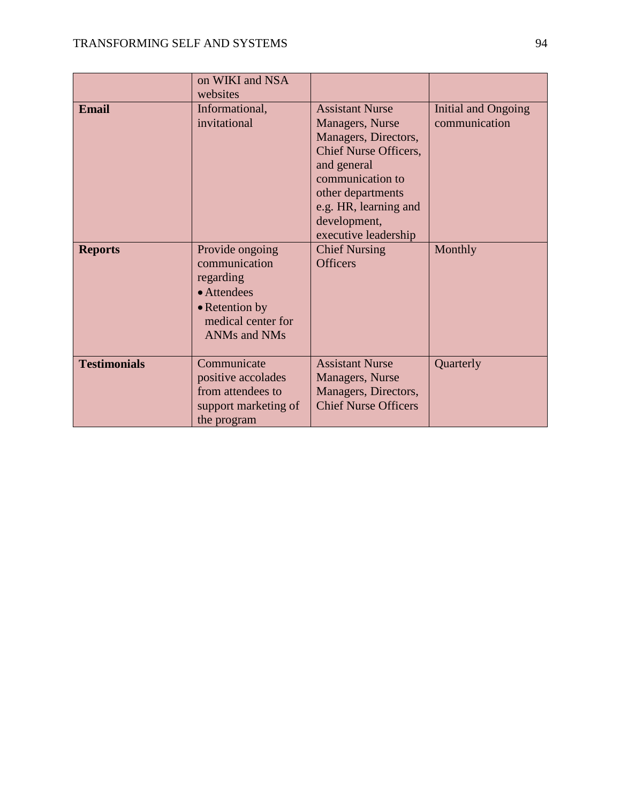|                     | on WIKI and NSA<br>websites                                                                                          |                                                                                                                                                                                                                            |                                      |
|---------------------|----------------------------------------------------------------------------------------------------------------------|----------------------------------------------------------------------------------------------------------------------------------------------------------------------------------------------------------------------------|--------------------------------------|
| <b>Email</b>        | Informational,<br>invitational                                                                                       | <b>Assistant Nurse</b><br>Managers, Nurse<br>Managers, Directors,<br><b>Chief Nurse Officers,</b><br>and general<br>communication to<br>other departments<br>e.g. HR, learning and<br>development,<br>executive leadership | Initial and Ongoing<br>communication |
| <b>Reports</b>      | Provide ongoing<br>communication<br>regarding<br>• Attendees<br>• Retention by<br>medical center for<br>ANMs and NMs | <b>Chief Nursing</b><br><b>Officers</b>                                                                                                                                                                                    | Monthly                              |
| <b>Testimonials</b> | Communicate<br>positive accolades<br>from attendees to<br>support marketing of<br>the program                        | <b>Assistant Nurse</b><br>Managers, Nurse<br>Managers, Directors,<br><b>Chief Nurse Officers</b>                                                                                                                           | Quarterly                            |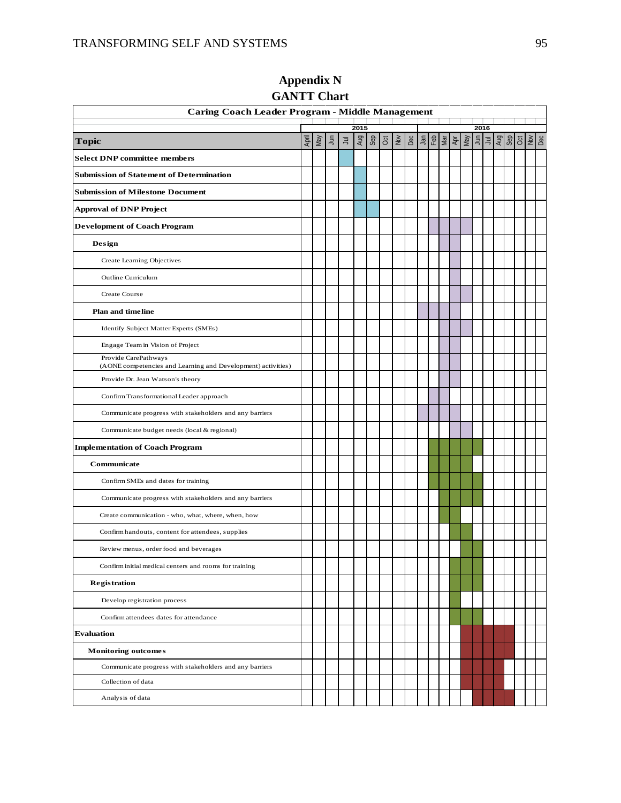| <b>Caring Coach Leader Program - Middle Management</b>                               |  |              |                 |       |      |            |               |  |     |                                                                                                                                                                                                                                                                                                                     |  |  |            |      |  |                                                                                                                               |  |  |
|--------------------------------------------------------------------------------------|--|--------------|-----------------|-------|------|------------|---------------|--|-----|---------------------------------------------------------------------------------------------------------------------------------------------------------------------------------------------------------------------------------------------------------------------------------------------------------------------|--|--|------------|------|--|-------------------------------------------------------------------------------------------------------------------------------|--|--|
|                                                                                      |  |              |                 |       | 2015 |            |               |  |     |                                                                                                                                                                                                                                                                                                                     |  |  |            | 2016 |  |                                                                                                                               |  |  |
| <b>Topic</b>                                                                         |  | April<br>May | $\bar{\vec{z}}$ | $\Xi$ | Aug  | <b>Sep</b> | $\frac{5}{2}$ |  | Dec | $\frac{1}{2}$ $\frac{1}{2}$ $\frac{1}{2}$ $\frac{1}{2}$ $\frac{1}{2}$ $\frac{1}{2}$ $\frac{1}{2}$ $\frac{1}{2}$ $\frac{1}{2}$ $\frac{1}{2}$ $\frac{1}{2}$ $\frac{1}{2}$ $\frac{1}{2}$ $\frac{1}{2}$ $\frac{1}{2}$ $\frac{1}{2}$ $\frac{1}{2}$ $\frac{1}{2}$ $\frac{1}{2}$ $\frac{1}{2}$ $\frac{1}{2}$ $\frac{1}{2}$ |  |  | Apr<br>May |      |  | $\frac{1}{2}$ $\frac{1}{2}$ $\frac{1}{2}$ $\frac{1}{2}$ $\frac{1}{2}$ $\frac{1}{2}$ $\frac{1}{2}$ $\frac{1}{2}$ $\frac{1}{2}$ |  |  |
| <b>Select DNP committee members</b>                                                  |  |              |                 |       |      |            |               |  |     |                                                                                                                                                                                                                                                                                                                     |  |  |            |      |  |                                                                                                                               |  |  |
| Submission of Statement of Determination                                             |  |              |                 |       |      |            |               |  |     |                                                                                                                                                                                                                                                                                                                     |  |  |            |      |  |                                                                                                                               |  |  |
| <b>Submission of Milestone Document</b>                                              |  |              |                 |       |      |            |               |  |     |                                                                                                                                                                                                                                                                                                                     |  |  |            |      |  |                                                                                                                               |  |  |
| Approval of DNP Project                                                              |  |              |                 |       |      |            |               |  |     |                                                                                                                                                                                                                                                                                                                     |  |  |            |      |  |                                                                                                                               |  |  |
| <b>Development of Coach Program</b>                                                  |  |              |                 |       |      |            |               |  |     |                                                                                                                                                                                                                                                                                                                     |  |  |            |      |  |                                                                                                                               |  |  |
| Design                                                                               |  |              |                 |       |      |            |               |  |     |                                                                                                                                                                                                                                                                                                                     |  |  |            |      |  |                                                                                                                               |  |  |
| Create Learning Objectives                                                           |  |              |                 |       |      |            |               |  |     |                                                                                                                                                                                                                                                                                                                     |  |  |            |      |  |                                                                                                                               |  |  |
| Outline Curriculum                                                                   |  |              |                 |       |      |            |               |  |     |                                                                                                                                                                                                                                                                                                                     |  |  |            |      |  |                                                                                                                               |  |  |
| Create Course                                                                        |  |              |                 |       |      |            |               |  |     |                                                                                                                                                                                                                                                                                                                     |  |  |            |      |  |                                                                                                                               |  |  |
| <b>Plan and timeline</b>                                                             |  |              |                 |       |      |            |               |  |     |                                                                                                                                                                                                                                                                                                                     |  |  |            |      |  |                                                                                                                               |  |  |
| Identify Subject Matter Experts (SMEs)                                               |  |              |                 |       |      |            |               |  |     |                                                                                                                                                                                                                                                                                                                     |  |  |            |      |  |                                                                                                                               |  |  |
| Engage Team in Vision of Project                                                     |  |              |                 |       |      |            |               |  |     |                                                                                                                                                                                                                                                                                                                     |  |  |            |      |  |                                                                                                                               |  |  |
| Provide CarePathways<br>(AONE competencies and Learning and Development) activities) |  |              |                 |       |      |            |               |  |     |                                                                                                                                                                                                                                                                                                                     |  |  |            |      |  |                                                                                                                               |  |  |
| Provide Dr. Jean Watson's theory                                                     |  |              |                 |       |      |            |               |  |     |                                                                                                                                                                                                                                                                                                                     |  |  |            |      |  |                                                                                                                               |  |  |
| Confirm Transformational Leader approach                                             |  |              |                 |       |      |            |               |  |     |                                                                                                                                                                                                                                                                                                                     |  |  |            |      |  |                                                                                                                               |  |  |
| Communicate progress with stakeholders and any barriers                              |  |              |                 |       |      |            |               |  |     |                                                                                                                                                                                                                                                                                                                     |  |  |            |      |  |                                                                                                                               |  |  |
| Communicate budget needs (local & regional)                                          |  |              |                 |       |      |            |               |  |     |                                                                                                                                                                                                                                                                                                                     |  |  |            |      |  |                                                                                                                               |  |  |
| <b>Implementation of Coach Program</b>                                               |  |              |                 |       |      |            |               |  |     |                                                                                                                                                                                                                                                                                                                     |  |  |            |      |  |                                                                                                                               |  |  |
| Communicate                                                                          |  |              |                 |       |      |            |               |  |     |                                                                                                                                                                                                                                                                                                                     |  |  |            |      |  |                                                                                                                               |  |  |
| Confirm SMEs and dates for training                                                  |  |              |                 |       |      |            |               |  |     |                                                                                                                                                                                                                                                                                                                     |  |  |            |      |  |                                                                                                                               |  |  |
| Communicate progress with stakeholders and any barriers                              |  |              |                 |       |      |            |               |  |     |                                                                                                                                                                                                                                                                                                                     |  |  |            |      |  |                                                                                                                               |  |  |
| Create communication - who, what, where, when, how                                   |  |              |                 |       |      |            |               |  |     |                                                                                                                                                                                                                                                                                                                     |  |  |            |      |  |                                                                                                                               |  |  |
| Confirm handouts, content for attendees, supplies                                    |  |              |                 |       |      |            |               |  |     |                                                                                                                                                                                                                                                                                                                     |  |  |            |      |  |                                                                                                                               |  |  |
| Review menus, order food and beverages                                               |  |              |                 |       |      |            |               |  |     |                                                                                                                                                                                                                                                                                                                     |  |  |            |      |  |                                                                                                                               |  |  |
| Confirm initial medical centers and rooms for training                               |  |              |                 |       |      |            |               |  |     |                                                                                                                                                                                                                                                                                                                     |  |  |            |      |  |                                                                                                                               |  |  |
| <b>Registration</b>                                                                  |  |              |                 |       |      |            |               |  |     |                                                                                                                                                                                                                                                                                                                     |  |  |            |      |  |                                                                                                                               |  |  |
| Develop registration process                                                         |  |              |                 |       |      |            |               |  |     |                                                                                                                                                                                                                                                                                                                     |  |  |            |      |  |                                                                                                                               |  |  |
| Confirm attendees dates for attendance                                               |  |              |                 |       |      |            |               |  |     |                                                                                                                                                                                                                                                                                                                     |  |  |            |      |  |                                                                                                                               |  |  |
| <b>Evaluation</b>                                                                    |  |              |                 |       |      |            |               |  |     |                                                                                                                                                                                                                                                                                                                     |  |  |            |      |  |                                                                                                                               |  |  |
| <b>Monitoring outcomes</b>                                                           |  |              |                 |       |      |            |               |  |     |                                                                                                                                                                                                                                                                                                                     |  |  |            |      |  |                                                                                                                               |  |  |
| Communicate progress with stakeholders and any barriers                              |  |              |                 |       |      |            |               |  |     |                                                                                                                                                                                                                                                                                                                     |  |  |            |      |  |                                                                                                                               |  |  |
| Collection of data                                                                   |  |              |                 |       |      |            |               |  |     |                                                                                                                                                                                                                                                                                                                     |  |  |            |      |  |                                                                                                                               |  |  |
| Analysis of data                                                                     |  |              |                 |       |      |            |               |  |     |                                                                                                                                                                                                                                                                                                                     |  |  |            |      |  |                                                                                                                               |  |  |

**Appendix N GANTT Chart**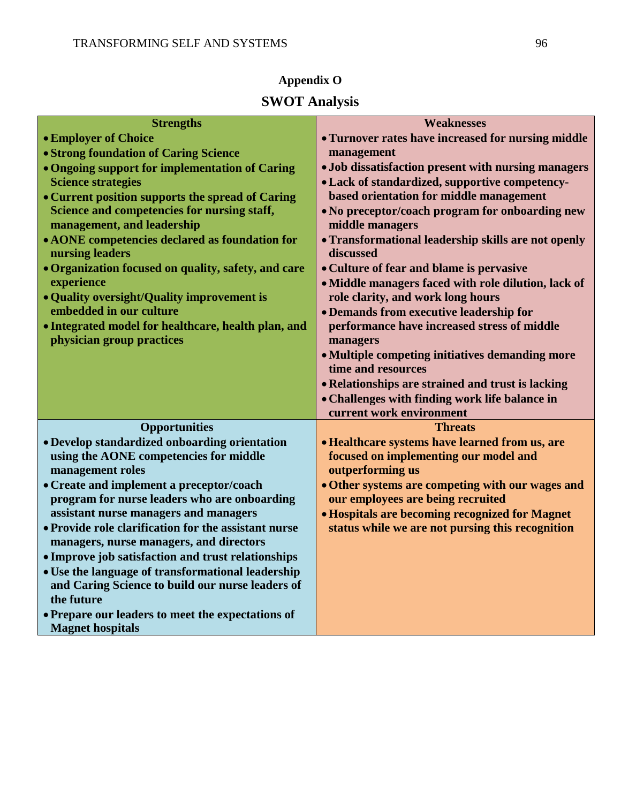## **Appendix O**

## **SWOT Analysis**

| <b>Strengths</b>                                                                                        | <b>Weaknesses</b>                                       |
|---------------------------------------------------------------------------------------------------------|---------------------------------------------------------|
| • Employer of Choice                                                                                    | • Turnover rates have increased for nursing middle      |
| • Strong foundation of Caring Science                                                                   | management                                              |
| • Ongoing support for implementation of Caring                                                          | • Job dissatisfaction present with nursing managers     |
| <b>Science strategies</b>                                                                               | • Lack of standardized, supportive competency-          |
| • Current position supports the spread of Caring                                                        | based orientation for middle management                 |
| Science and competencies for nursing staff,                                                             | • No preceptor/coach program for onboarding new         |
| management, and leadership                                                                              | middle managers                                         |
| • AONE competencies declared as foundation for                                                          | • Transformational leadership skills are not openly     |
| nursing leaders                                                                                         | discussed                                               |
| • Organization focused on quality, safety, and care                                                     | • Culture of fear and blame is pervasive                |
| experience                                                                                              | • Middle managers faced with role dilution, lack of     |
| • Quality oversight/Quality improvement is                                                              | role clarity, and work long hours                       |
| embedded in our culture                                                                                 | • Demands from executive leadership for                 |
| · Integrated model for healthcare, health plan, and<br>physician group practices                        | performance have increased stress of middle<br>managers |
|                                                                                                         | • Multiple competing initiatives demanding more         |
|                                                                                                         | time and resources                                      |
|                                                                                                         | • Relationships are strained and trust is lacking       |
|                                                                                                         | • Challenges with finding work life balance in          |
|                                                                                                         | current work environment                                |
| <b>Opportunities</b>                                                                                    | <b>Threats</b>                                          |
| • Develop standardized onboarding orientation                                                           | · Healthcare systems have learned from us, are          |
| using the AONE competencies for middle                                                                  | focused on implementing our model and                   |
| management roles                                                                                        | outperforming us                                        |
| • Create and implement a preceptor/coach                                                                | • Other systems are competing with our wages and        |
| program for nurse leaders who are onboarding                                                            | our employees are being recruited                       |
| assistant nurse managers and managers                                                                   | <b>• Hospitals are becoming recognized for Magnet</b>   |
| • Provide role clarification for the assistant nurse                                                    | status while we are not pursing this recognition        |
| managers, nurse managers, and directors                                                                 |                                                         |
| • Improve job satisfaction and trust relationships<br>• Use the language of transformational leadership |                                                         |
| and Caring Science to build our nurse leaders of                                                        |                                                         |
| the future                                                                                              |                                                         |
| • Prepare our leaders to meet the expectations of                                                       |                                                         |
| <b>Magnet hospitals</b>                                                                                 |                                                         |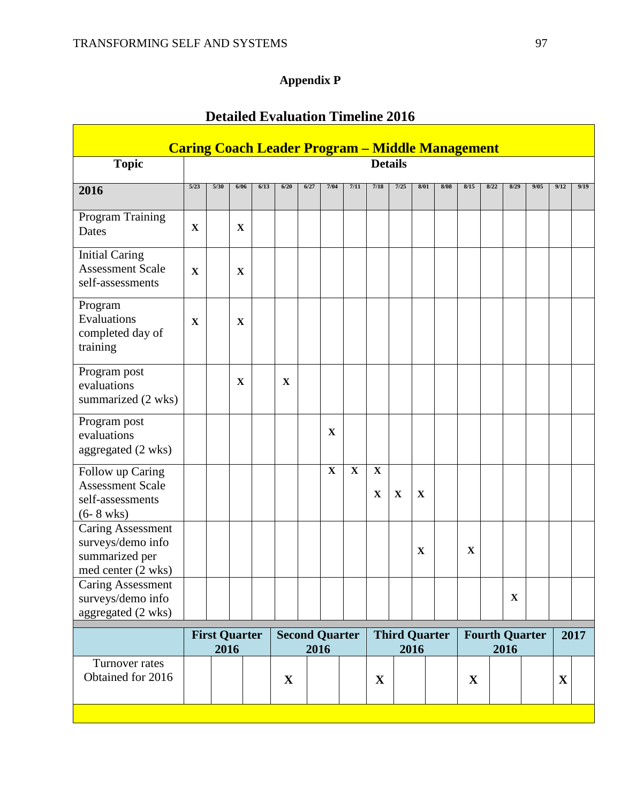## **Appendix P**

|                                                                                          | <b>Caring Coach Leader Program - Middle Management</b> |      |                      |      |             |      |                       |             |                            |             |                              |      |              |      |             |                       |             |      |
|------------------------------------------------------------------------------------------|--------------------------------------------------------|------|----------------------|------|-------------|------|-----------------------|-------------|----------------------------|-------------|------------------------------|------|--------------|------|-------------|-----------------------|-------------|------|
| <b>Topic</b>                                                                             |                                                        |      |                      |      |             |      |                       |             | <b>Details</b>             |             |                              |      |              |      |             |                       |             |      |
| 2016                                                                                     | 5/23                                                   | 5/30 | 6/06                 | 6/13 | 6/20        | 6/27 | 7/04                  | 7/11        | 7/18                       | 7/25        | 8/01                         | 8/08 | 8/15         | 8/22 | 8/29        | 9/05                  | 9/12        | 9/19 |
| Program Training<br>Dates                                                                | X                                                      |      | $\mathbf X$          |      |             |      |                       |             |                            |             |                              |      |              |      |             |                       |             |      |
| <b>Initial Caring</b><br><b>Assessment Scale</b><br>self-assessments                     | $\mathbf X$                                            |      | $\mathbf X$          |      |             |      |                       |             |                            |             |                              |      |              |      |             |                       |             |      |
| Program<br>Evaluations<br>completed day of<br>training                                   | $\mathbf X$                                            |      | $\mathbf X$          |      |             |      |                       |             |                            |             |                              |      |              |      |             |                       |             |      |
| Program post<br>evaluations<br>summarized (2 wks)                                        |                                                        |      | $\mathbf X$          |      | $\mathbf X$ |      |                       |             |                            |             |                              |      |              |      |             |                       |             |      |
| Program post<br>evaluations<br>aggregated (2 wks)                                        |                                                        |      |                      |      |             |      | X                     |             |                            |             |                              |      |              |      |             |                       |             |      |
| Follow up Caring<br><b>Assessment Scale</b><br>self-assessments<br>$(6 - 8 \text{ wks})$ |                                                        |      |                      |      |             |      | $\mathbf X$           | $\mathbf X$ | $\mathbf X$<br>$\mathbf X$ | $\mathbf X$ | $\mathbf X$                  |      |              |      |             |                       |             |      |
| <b>Caring Assessment</b><br>surveys/demo info<br>summarized per<br>med center (2 wks)    |                                                        |      |                      |      |             |      |                       |             |                            |             | X                            |      | $\mathbf X$  |      |             |                       |             |      |
| Caring Assessment<br>surveys/demo info<br>aggregated (2 wks)                             |                                                        |      |                      |      |             |      |                       |             |                            |             |                              |      |              |      | $\mathbf X$ |                       |             |      |
|                                                                                          |                                                        | 2016 | <b>First Quarter</b> |      |             | 2016 | <b>Second Quarter</b> |             |                            |             | <b>Third Quarter</b><br>2016 |      |              |      | 2016        | <b>Fourth Quarter</b> |             | 2017 |
| Turnover rates<br>Obtained for 2016                                                      |                                                        |      |                      |      | $\mathbf X$ |      |                       |             | $\mathbf X$                |             |                              |      | $\mathbf{X}$ |      |             |                       | $\mathbf X$ |      |
|                                                                                          |                                                        |      |                      |      |             |      |                       |             |                            |             |                              |      |              |      |             |                       |             |      |

## **Detailed Evaluation Timeline 2016**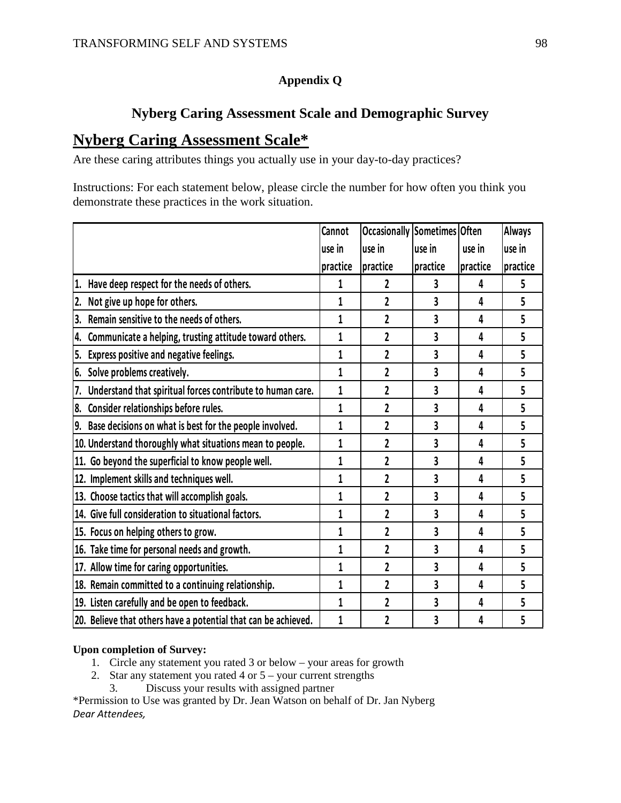### **Appendix Q**

## **Nyberg Caring Assessment Scale and Demographic Survey**

## **Nyberg Caring Assessment Scale\***

Are these caring attributes things you actually use in your day-to-day practices?

Instructions: For each statement below, please circle the number for how often you think you demonstrate these practices in the work situation.

|                                                                | <b>Cannot</b> | <b>Occasionally Sometimes Often</b> |          |          | <b>Always</b> |
|----------------------------------------------------------------|---------------|-------------------------------------|----------|----------|---------------|
|                                                                | use in        | use in                              | use in   | use in   | use in        |
|                                                                | practice      | practice                            | practice | practice | practice      |
| 1. Have deep respect for the needs of others.                  | 1             | 2                                   | 3        | 4        | 5             |
| 2. Not give up hope for others.                                | 1             | $\overline{c}$                      | 3        | 4        | 5             |
| Remain sensitive to the needs of others.<br>3.                 | 1             | 2                                   | 3        | 4        | 5             |
| 4. Communicate a helping, trusting attitude toward others.     | $\mathbf{1}$  | 2                                   | 3        | 4        | 5             |
| Express positive and negative feelings.<br>5.                  | 1             | $\overline{2}$                      | 3        | 4        | 5             |
| 6. Solve problems creatively.                                  | 1             | $\overline{c}$                      | 3        | 4        | 5             |
| 7. Understand that spiritual forces contribute to human care.  | 1             | 2                                   | 3        | 4        | 5             |
| 8. Consider relationships before rules.                        | 1             | $\overline{2}$                      | 3        | 4        | 5             |
| 9. Base decisions on what is best for the people involved.     | 1             | 2                                   | 3        | 4        | 5             |
| 10. Understand thoroughly what situations mean to people.      | 1             | $\overline{2}$                      | 3        | 4        | 5             |
| 11. Go beyond the superficial to know people well.             | 1             | 2                                   | 3        | 4        | 5             |
| 12. Implement skills and techniques well.                      | 1             | $\overline{c}$                      | 3        | 4        | 5             |
| 13. Choose tactics that will accomplish goals.                 | 1             | $\overline{c}$                      | 3        | 4        | 5             |
| 14. Give full consideration to situational factors.            | 1             | 2                                   | 3        | 4        | 5             |
| 15. Focus on helping others to grow.                           | 1             | 2                                   | 3        | 4        | 5             |
| 16. Take time for personal needs and growth.                   | 1             | 2                                   | 3        | 4        | 5             |
| 17. Allow time for caring opportunities.                       | 1             | $\overline{c}$                      | 3        | 4        | 5             |
| 18. Remain committed to a continuing relationship.             | 1             | $\overline{c}$                      | 3        | 4        | 5             |
| 19. Listen carefully and be open to feedback.                  | 1             | $\overline{c}$                      | 3        | 4        | 5             |
| 20. Believe that others have a potential that can be achieved. | 1             | 2                                   | 3        | 4        | 5             |

### **Upon completion of Survey:**

- 1. Circle any statement you rated 3 or below your areas for growth
- 2. Star any statement you rated 4 or 5 your current strengths
	- 3. Discuss your results with assigned partner

\*Permission to Use was granted by Dr. Jean Watson on behalf of Dr. Jan Nyberg *Dear Attendees,*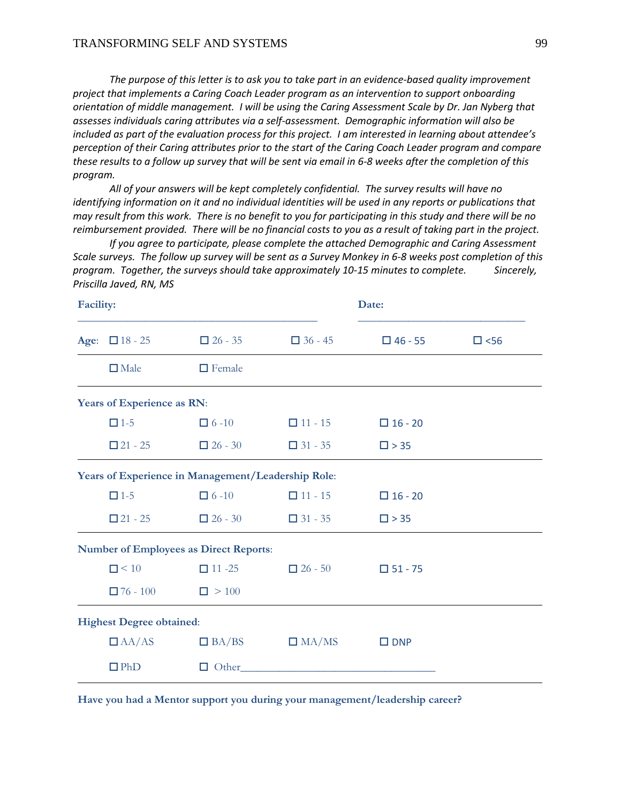*The purpose of this letter is to ask you to take part in an evidence-based quality improvement project that implements a Caring Coach Leader program as an intervention to support onboarding orientation of middle management. I will be using the Caring Assessment Scale by Dr. Jan Nyberg that assesses individuals caring attributes via a self-assessment. Demographic information will also be included as part of the evaluation process for this project. I am interested in learning about attendee's perception of their Caring attributes prior to the start of the Caring Coach Leader program and compare these results to a follow up survey that will be sent via email in 6-8 weeks after the completion of this program.* 

*All of your answers will be kept completely confidential. The survey results will have no identifying information on it and no individual identities will be used in any reports or publications that may result from this work. There is no benefit to you for participating in this study and there will be no reimbursement provided. There will be no financial costs to you as a result of taking part in the project.*

*If you agree to participate, please complete the attached Demographic and Caring Assessment Scale surveys. The follow up survey will be sent as a Survey Monkey in 6-8 weeks post completion of this program. Together, the surveys should take approximately 10-15 minutes to complete. Sincerely, Priscilla Javed, RN, MS*

| <b>Facility:</b> |                                 |                                                           |                | Date:          |               |
|------------------|---------------------------------|-----------------------------------------------------------|----------------|----------------|---------------|
|                  | Age: $\Box$ 18 - 25             | $\Box$ 26 - 35                                            | $\Box$ 36 - 45 | $\Box$ 46 - 55 | $\square$ <56 |
|                  | $\Box$ Male                     | $\Box$ Female                                             |                |                |               |
|                  | Years of Experience as RN:      |                                                           |                |                |               |
|                  | $\Box$ 1-5                      | $\Box$ 6 -10                                              | $\Box$ 11 - 15 | $\Box$ 16 - 20 |               |
|                  | $\square$ 21 - 25               | $\Box$ 26 - 30                                            | $\Box$ 31 - 35 | $\square$ > 35 |               |
|                  |                                 | <b>Years of Experience in Management/Leadership Role:</b> |                |                |               |
|                  | $\Box$ 1-5                      | $\Box$ 6 -10                                              | $\Box$ 11 - 15 | $\Box$ 16 - 20 |               |
|                  | $\square$ 21 - 25               | $\Box$ 26 - 30                                            | $\Box$ 31 - 35 | $\square$ > 35 |               |
|                  |                                 | <b>Number of Employees as Direct Reports:</b>             |                |                |               |
|                  | $\Box$ < 10                     | $\Box$ 11 -25                                             | $\Box$ 26 - 50 | $\Box$ 51 - 75 |               |
|                  | $\Box$ 76 - 100                 | $\Box > 100$                                              |                |                |               |
|                  | <b>Highest Degree obtained:</b> |                                                           |                |                |               |
|                  | $\Box$ AA/AS                    | $\Box$ BA/BS                                              | $\Box$ MA/MS   | $\square$ DNP  |               |
|                  | $\n  PhD\n$                     | Other<br>□                                                |                |                |               |

**Have you had a Mentor support you during your management/leadership career?**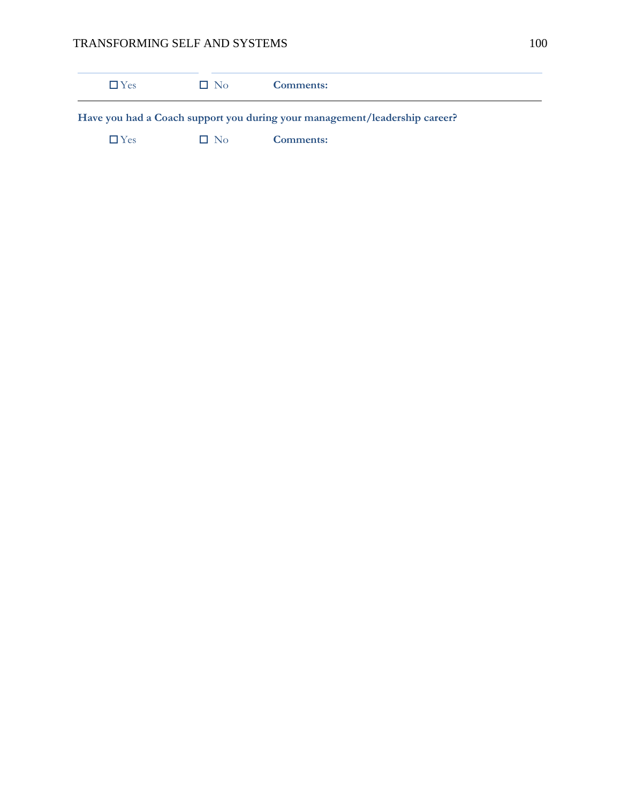| $\Box$ Yes | $\Box$ No | Comments:                                                                  |  |
|------------|-----------|----------------------------------------------------------------------------|--|
|            |           | Have you had a Coach support you during your management/leadership career? |  |
| $\Box$ Yes | $\Box$ No | Comments:                                                                  |  |
|            |           |                                                                            |  |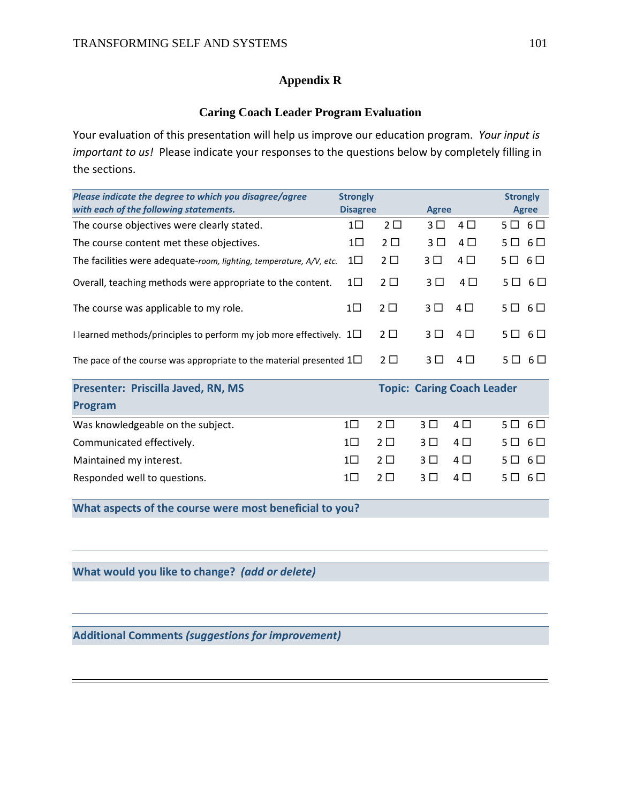### **Appendix R**

### **Caring Coach Leader Program Evaluation**

Your evaluation of this presentation will help us improve our education program. *Your input is important to us!* Please indicate your responses to the questions below by completely filling in the sections.

| Please indicate the degree to which you disagree/agree<br>with each of the following statements. | <b>Strongly</b><br><b>Disagree</b> |                | <b>Agree</b> |         | <b>Strongly</b>  | <b>Agree</b>     |
|--------------------------------------------------------------------------------------------------|------------------------------------|----------------|--------------|---------|------------------|------------------|
| The course objectives were clearly stated.                                                       | 1□                                 | $2\square$     | 3 □          | $4\Box$ | $5\Box$ 6 $\Box$ |                  |
| The course content met these objectives.                                                         | $1\square$                         | $2\Box$        | 3 L I        | $4\Box$ | $5\Box$ 6 $\Box$ |                  |
| The facilities were adequate-room, lighting, temperature, A/V, etc.                              | $1\square$                         | $2\Box$        | 3 □          | $4\Box$ | $5\Box$ 6 $\Box$ |                  |
| Overall, teaching methods were appropriate to the content.                                       | $1\square$                         | 2 <sub>2</sub> | 3 L I        | $4\Box$ |                  | $5\Box$ 6 $\Box$ |
| The course was applicable to my role.                                                            | 1 L                                | $2\Box$        | 3 □          | $4\Box$ |                  | $5\Box$ 6 $\Box$ |
| I learned methods/principles to perform my job more effectively. $1\Box$                         |                                    | $2\square$     | 3 □          | $4\Box$ |                  | $5\Box$ 6 $\Box$ |
| The pace of the course was appropriate to the material presented $1\Box$                         |                                    | 2 <sub>1</sub> | 3 L          | 4 □     | 5 L L            | 6 □              |

| Presenter: Priscilla Javed, RN, MS | <b>Topic: Caring Coach Leader</b> |         |                 |          |                  |  |  |  |  |  |
|------------------------------------|-----------------------------------|---------|-----------------|----------|------------------|--|--|--|--|--|
| Program                            |                                   |         |                 |          |                  |  |  |  |  |  |
| Was knowledgeable on the subject.  | $1\Box$                           | $2\Box$ | $3 \Box 4 \Box$ |          | $5\Box$ 6 $\Box$ |  |  |  |  |  |
| Communicated effectively.          | $1 \square$                       | $2\Box$ | $3 \square$     | $4 \Box$ | $5\Box$ $6\Box$  |  |  |  |  |  |
| Maintained my interest.            | $1\Box$                           | $2\Box$ | $3 \square$     | 4 O      | $5\Box$ $6\Box$  |  |  |  |  |  |
| Responded well to questions.       |                                   |         | 3 N             | 4 I I    | $5\Box$ 6 $\Box$ |  |  |  |  |  |

**What aspects of the course were most beneficial to you?**

**What would you like to change?** *(add or delete)*

**Additional Comments** *(suggestions for improvement)*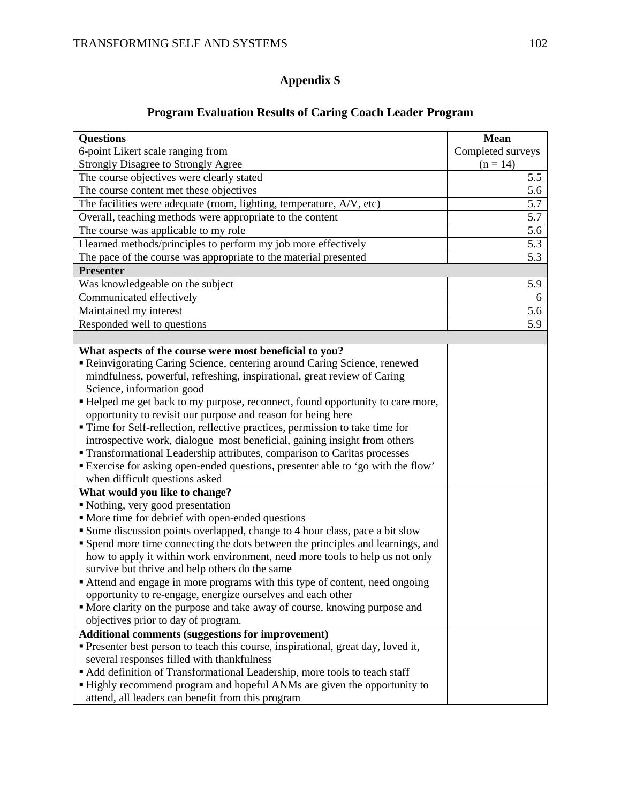### **Appendix S**

#### **Questions** 6-point Likert scale ranging from Strongly Disagree to Strongly Agree **Mean** Completed surveys  $(n = 14)$ The course objectives were clearly stated 5.5 The course content met these objectives 5.6 The facilities were adequate (room, lighting, temperature, A/V, etc) 5.7 Overall, teaching methods were appropriate to the content 5.7 The course was applicable to my role 5.6 I learned methods/principles to perform my job more effectively 5.3 The pace of the course was appropriate to the material presented 5.3 **Presenter** Was knowledgeable on the subject 5.9 Communicated effectively 6 Maintained my interest 5.6 Responded well to questions 5.9 **What aspects of the course were most beneficial to you?** Reinvigorating Caring Science, centering around Caring Science, renewed mindfulness, powerful, refreshing, inspirational, great review of Caring Science, information good Helped me get back to my purpose, reconnect, found opportunity to care more, opportunity to revisit our purpose and reason for being here Time for Self-reflection, reflective practices, permission to take time for introspective work, dialogue most beneficial, gaining insight from others Transformational Leadership attributes, comparison to Caritas processes Exercise for asking open-ended questions, presenter able to 'go with the flow' when difficult questions asked **What would you like to change?** Nothing, very good presentation • More time for debrief with open-ended questions Some discussion points overlapped, change to 4 hour class, pace a bit slow Spend more time connecting the dots between the principles and learnings, and how to apply it within work environment, need more tools to help us not only survive but thrive and help others do the same Attend and engage in more programs with this type of content, need ongoing opportunity to re-engage, energize ourselves and each other More clarity on the purpose and take away of course, knowing purpose and objectives prior to day of program. **Additional comments (suggestions for improvement)** Presenter best person to teach this course, inspirational, great day, loved it, several responses filled with thankfulness Add definition of Transformational Leadership, more tools to teach staff Highly recommend program and hopeful ANMs are given the opportunity to attend, all leaders can benefit from this program

#### **Program Evaluation Results of Caring Coach Leader Program**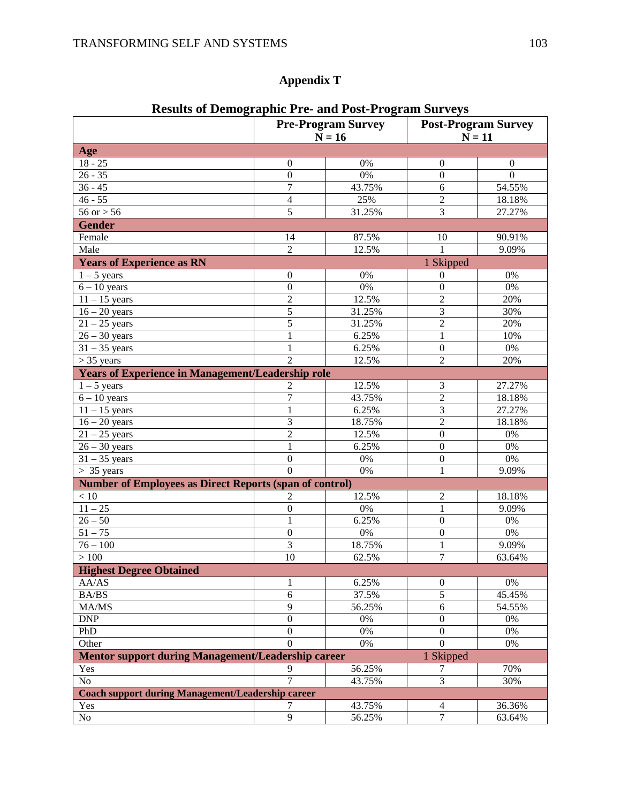## **Appendix T**

|                                                                        | Kesuns of Demographic 1 re- and 1 0st-1 rogram burveys<br><b>Pre-Program Survey</b><br>$N = 16$ |                 | <b>Post-Program Survey</b><br>$N = 11$ |                  |  |
|------------------------------------------------------------------------|-------------------------------------------------------------------------------------------------|-----------------|----------------------------------------|------------------|--|
| Age                                                                    |                                                                                                 |                 |                                        |                  |  |
| $18 - 25$                                                              | $\boldsymbol{0}$                                                                                | 0%              | $\boldsymbol{0}$                       | $\boldsymbol{0}$ |  |
| $26 - 35$                                                              | $\boldsymbol{0}$                                                                                | 0%              | $\boldsymbol{0}$                       | $\overline{0}$   |  |
| $36 - 45$                                                              | $\overline{7}$                                                                                  | 43.75%          | $\sqrt{6}$                             | 54.55%           |  |
| $46 - 55$                                                              | $\overline{4}$                                                                                  | 25%             | $\overline{2}$                         | 18.18%           |  |
| $56$ or $> 56$                                                         | 5                                                                                               | 31.25%          | 3                                      | 27.27%           |  |
| <b>Gender</b>                                                          |                                                                                                 |                 |                                        |                  |  |
| Female                                                                 | 14                                                                                              | 87.5%           | 10                                     | 90.91%           |  |
| Male                                                                   | $\overline{2}$                                                                                  | 12.5%           | 1                                      | 9.09%            |  |
| <b>Years of Experience as RN</b>                                       |                                                                                                 |                 | 1 Skipped                              |                  |  |
| $1 - 5$ years                                                          | $\boldsymbol{0}$                                                                                | 0%              | $\mathbf{0}$                           | $0\%$            |  |
| $6 - 10$ years                                                         | $\overline{0}$                                                                                  | 0%              | $\boldsymbol{0}$                       | $\overline{0\%}$ |  |
| $11 - 15$ years                                                        | $\overline{2}$                                                                                  | 12.5%           | $\overline{2}$                         | 20%              |  |
| $16 - 20$ years                                                        | 5                                                                                               | 31.25%          | $\overline{3}$                         | 30%              |  |
| $21 - 25$ years                                                        | 5                                                                                               | 31.25%          | $\overline{2}$                         | 20%              |  |
| $26 - 30$ years                                                        | $\mathbf{1}$                                                                                    | 6.25%           | $\mathbf{1}$                           | 10%              |  |
| $31 - 35$ years                                                        | $\mathbf{1}$                                                                                    | 6.25%           | $\boldsymbol{0}$                       | $0\%$            |  |
| $> 35$ years                                                           | $\overline{2}$                                                                                  | 12.5%           | $\overline{2}$                         | 20%              |  |
| <b>Years of Experience in Management/Leadership role</b>               |                                                                                                 |                 |                                        |                  |  |
| $1 - 5$ years                                                          |                                                                                                 | 12.5%           | 3                                      | 27.27%           |  |
| $6 - 10$ years                                                         | 2<br>$\overline{7}$                                                                             | 43.75%          | $\overline{2}$                         | 18.18%           |  |
| $11 - 15$ years                                                        | $\mathbf{1}$                                                                                    | 6.25%           | $\overline{3}$                         | 27.27%           |  |
|                                                                        | 3                                                                                               | 18.75%          | $\overline{c}$                         | 18.18%           |  |
| $16 - 20$ years                                                        | $\overline{c}$                                                                                  | 12.5%           | $\boldsymbol{0}$                       | $0\%$            |  |
| $21 - 25$ years<br>$26 - 30$ years                                     | $\mathbf{1}$                                                                                    | 6.25%           | $\boldsymbol{0}$                       | $0\%$            |  |
|                                                                        | $\boldsymbol{0}$                                                                                | $0\%$           | $\boldsymbol{0}$                       | $0\%$            |  |
| $31 - 35$ years                                                        | $\overline{0}$                                                                                  | 0%              | $\mathbf{1}$                           | 9.09%            |  |
| $> 35$ years                                                           |                                                                                                 |                 |                                        |                  |  |
| <b>Number of Employees as Direct Reports (span of control)</b>         |                                                                                                 |                 |                                        |                  |  |
| $<10\,$                                                                | 2                                                                                               | 12.5%           | $\overline{c}$                         | 18.18%           |  |
| $11 - 25$                                                              | $\boldsymbol{0}$                                                                                | 0%              | $\mathbf{1}$                           | 9.09%            |  |
| $26 - 50$                                                              | $\mathbf{1}$                                                                                    | $\sqrt{6.25\%}$ | $\overline{0}$                         | $0\%$            |  |
| $51 - 75$                                                              | $\overline{0}$<br>$\overline{3}$                                                                | $0\%$           | $\overline{0}$<br>$\overline{1}$       | $0\%$            |  |
| $76 - 100$                                                             | 10                                                                                              | 18.75%          | $\overline{7}$                         | 9.09%            |  |
| $>100\,$                                                               |                                                                                                 | 62.5%           |                                        | 63.64%           |  |
| <b>Highest Degree Obtained</b>                                         |                                                                                                 |                 |                                        |                  |  |
| AA/AS                                                                  | 1                                                                                               | 6.25%           | $\boldsymbol{0}$                       | 0%               |  |
| BA/BS                                                                  | 6                                                                                               | 37.5%           | $\overline{5}$                         | 45.45%           |  |
| MA/MS                                                                  | $\overline{9}$                                                                                  | 56.25%          | 6                                      | 54.55%           |  |
| <b>DNP</b>                                                             | $\boldsymbol{0}$                                                                                | $0\%$           | $\boldsymbol{0}$                       | 0%               |  |
| PhD                                                                    | $\boldsymbol{0}$                                                                                | 0%              | $\boldsymbol{0}$                       | $\overline{0\%}$ |  |
| Other                                                                  | $\overline{0}$                                                                                  | $0\%$           | $\overline{0}$                         | 0%               |  |
| <b>Mentor support during Management/Leadership career</b><br>1 Skipped |                                                                                                 |                 |                                        |                  |  |
| Yes                                                                    | 9                                                                                               | 56.25%          | 7                                      | 70%              |  |
| No                                                                     | $\overline{7}$                                                                                  | 43.75%          | $\overline{3}$                         | 30%              |  |
| <b>Coach support during Management/Leadership career</b>               |                                                                                                 |                 |                                        |                  |  |
| Yes                                                                    | 7                                                                                               | 43.75%          | $\overline{4}$                         | 36.36%           |  |
| No                                                                     | $\overline{9}$                                                                                  | 56.25%          | $\overline{7}$                         | 63.64%           |  |

### **Results of Demographic Pre- and Post-Program Surveys**